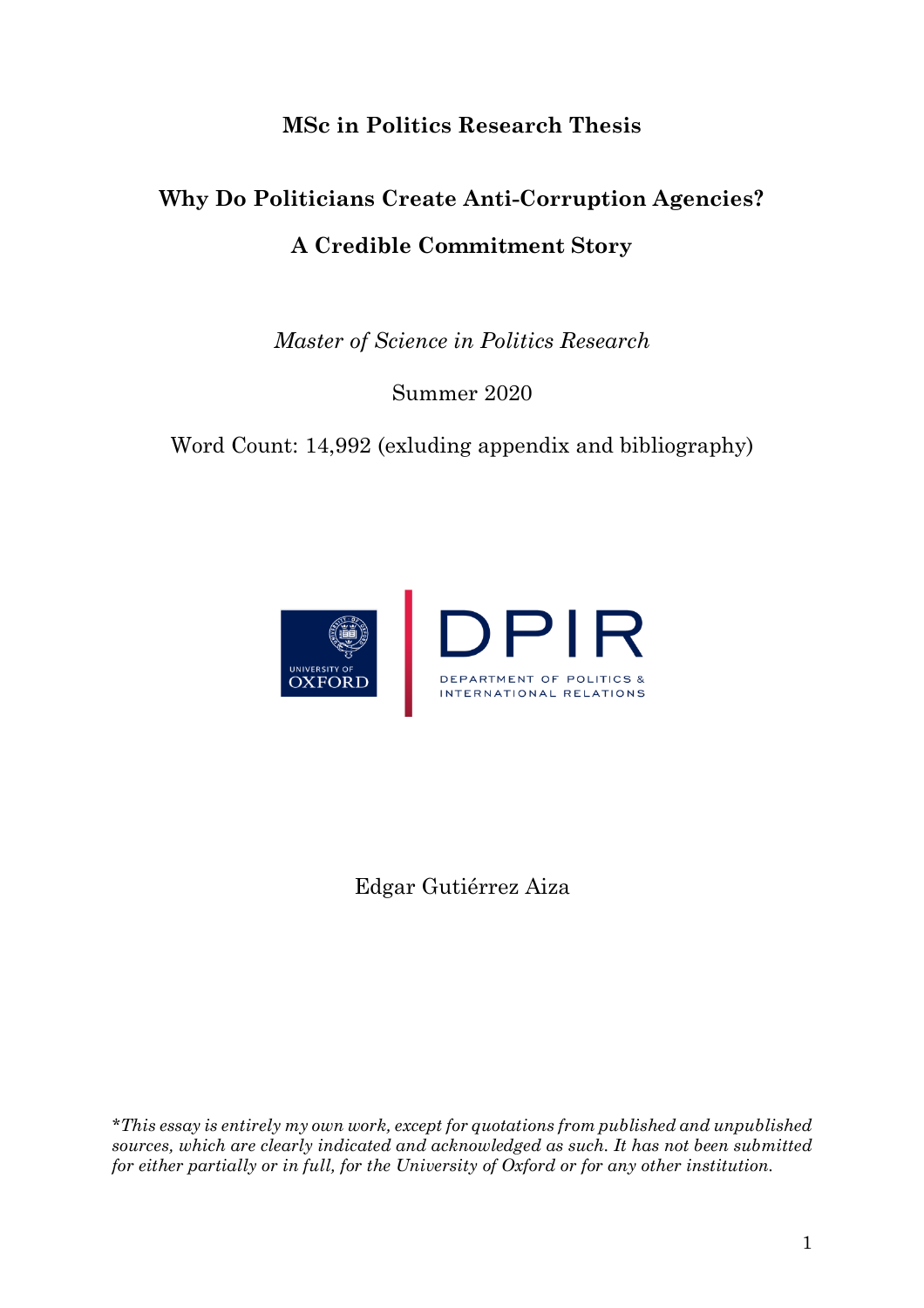# **MSc in Politics Research Thesis**

# **Why Do Politicians Create Anti-Corruption Agencies? A Credible Commitment Story**

*Master of Science in Politics Research*

Summer 2020

Word Count: 14,992 (exluding appendix and bibliography)



Edgar Gutiérrez Aiza

*\*This essay is entirely my own work, except for quotations from published and unpublished sources, which are clearly indicated and acknowledged as such. It has not been submitted for either partially or in full, for the University of Oxford or for any other institution.*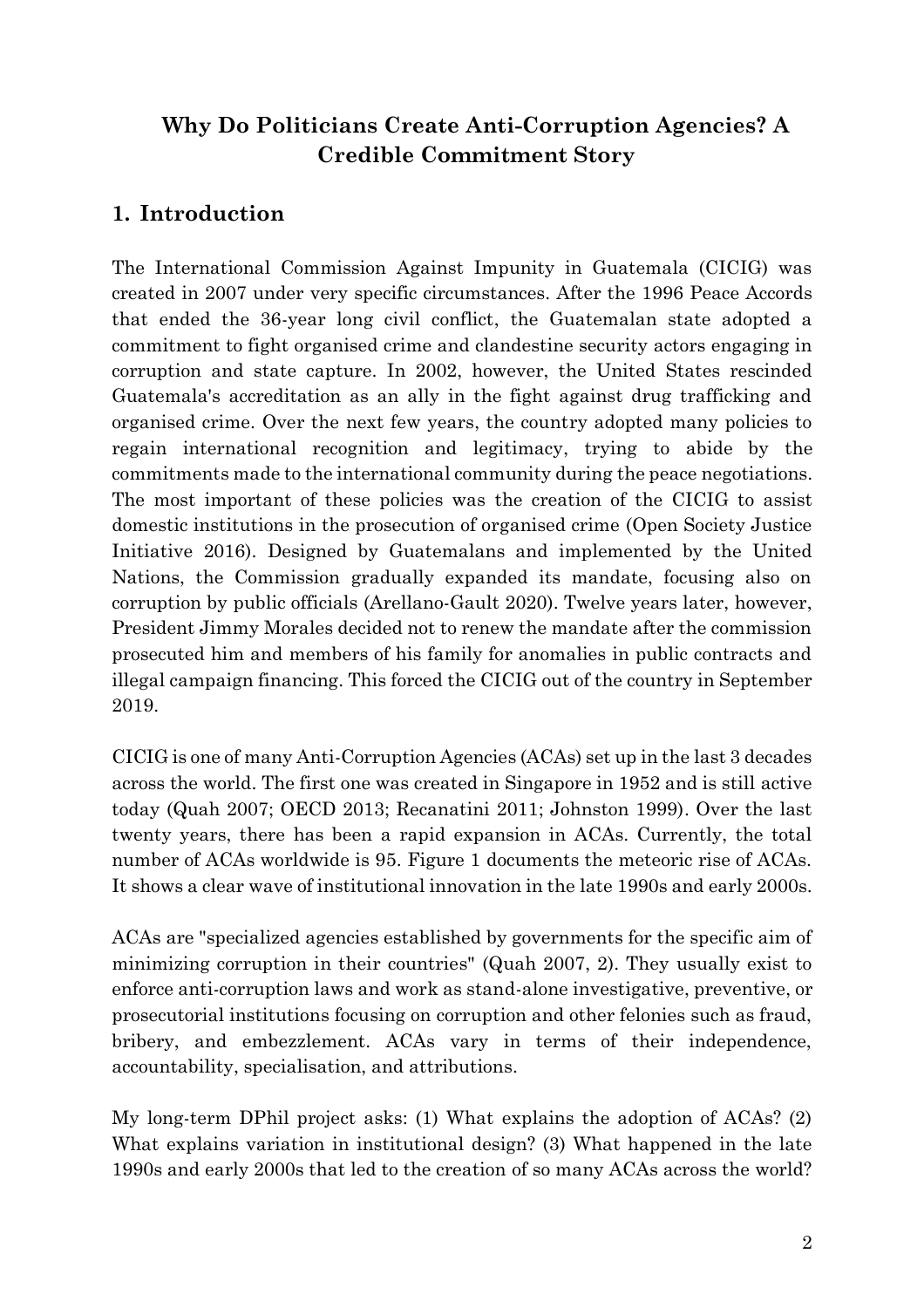# **Why Do Politicians Create Anti-Corruption Agencies? A Credible Commitment Story**

# **1. Introduction**

The International Commission Against Impunity in Guatemala (CICIG) was created in 2007 under very specific circumstances. After the 1996 Peace Accords that ended the 36-year long civil conflict, the Guatemalan state adopted a commitment to fight organised crime and clandestine security actors engaging in corruption and state capture. In 2002, however, the United States rescinded Guatemala's accreditation as an ally in the fight against drug trafficking and organised crime. Over the next few years, the country adopted many policies to regain international recognition and legitimacy, trying to abide by the commitments made to the international community during the peace negotiations. The most important of these policies was the creation of the CICIG to assist domestic institutions in the prosecution of organised crime (Open Society Justice Initiative 2016). Designed by Guatemalans and implemented by the United Nations, the Commission gradually expanded its mandate, focusing also on corruption by public officials (Arellano-Gault 2020). Twelve years later, however, President Jimmy Morales decided not to renew the mandate after the commission prosecuted him and members of his family for anomalies in public contracts and illegal campaign financing. This forced the CICIG out of the country in September 2019.

CICIG is one of many Anti-Corruption Agencies (ACAs) set up in the last 3 decades across the world. The first one was created in Singapore in 1952 and is still active today (Quah 2007; OECD 2013; Recanatini 2011; Johnston 1999). Over the last twenty years, there has been a rapid expansion in ACAs. Currently, the total number of ACAs worldwide is 95. Figure 1 documents the meteoric rise of ACAs. It shows a clear wave of institutional innovation in the late 1990s and early 2000s.

ACAs are "specialized agencies established by governments for the specific aim of minimizing corruption in their countries" (Quah 2007, 2). They usually exist to enforce anti-corruption laws and work as stand-alone investigative, preventive, or prosecutorial institutions focusing on corruption and other felonies such as fraud, bribery, and embezzlement. ACAs vary in terms of their independence, accountability, specialisation, and attributions.

My long-term DPhil project asks: (1) What explains the adoption of ACAs? (2) What explains variation in institutional design? (3) What happened in the late 1990s and early 2000s that led to the creation of so many ACAs across the world?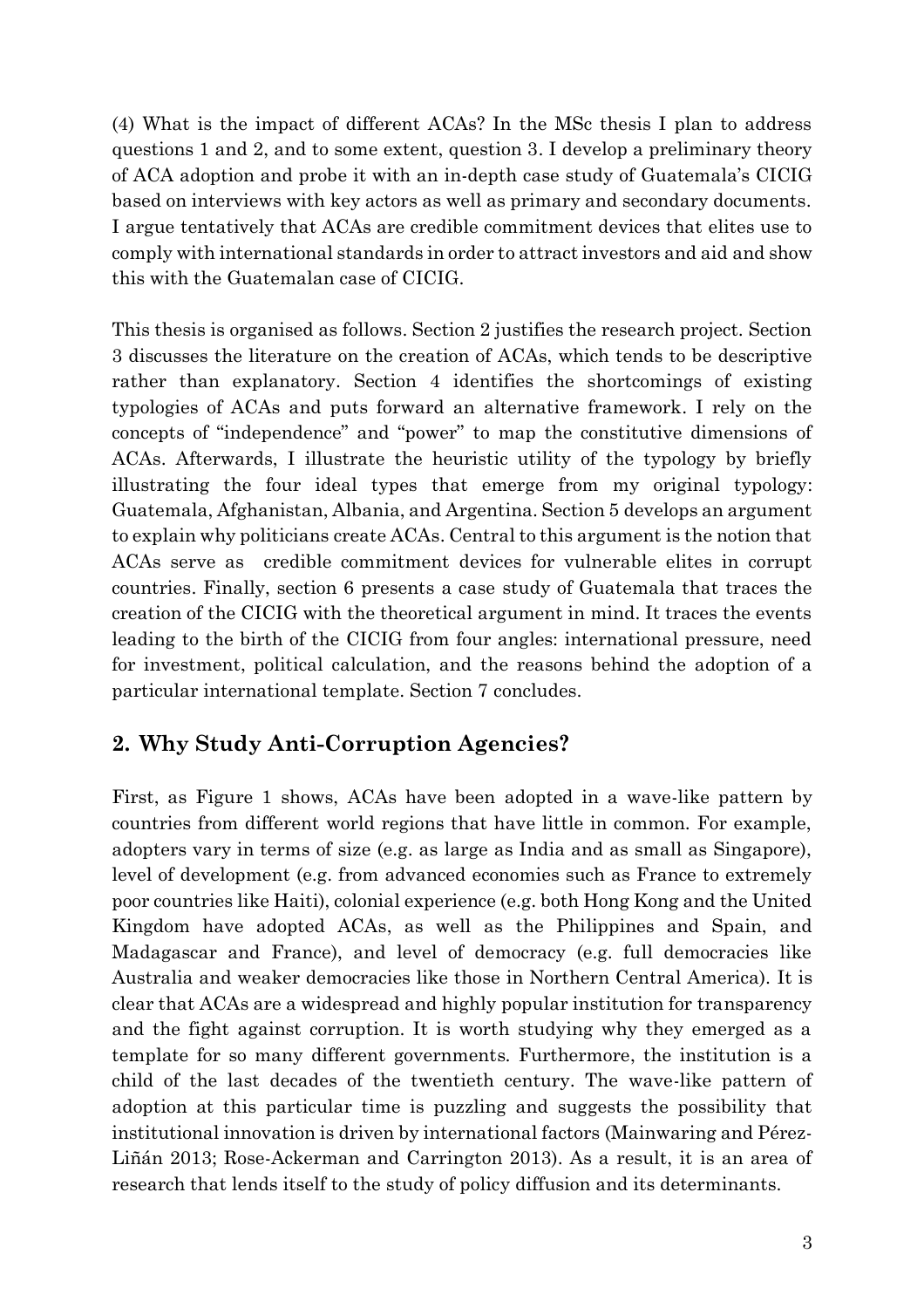(4) What is the impact of different ACAs? In the MSc thesis I plan to address questions 1 and 2, and to some extent, question 3. I develop a preliminary theory of ACA adoption and probe it with an in-depth case study of Guatemala's CICIG based on interviews with key actors as well as primary and secondary documents. I argue tentatively that ACAs are credible commitment devices that elites use to comply with international standards in order to attract investors and aid and show this with the Guatemalan case of CICIG.

This thesis is organised as follows. Section 2 justifies the research project. Section 3 discusses the literature on the creation of ACAs, which tends to be descriptive rather than explanatory. Section 4 identifies the shortcomings of existing typologies of ACAs and puts forward an alternative framework. I rely on the concepts of "independence" and "power" to map the constitutive dimensions of ACAs. Afterwards, I illustrate the heuristic utility of the typology by briefly illustrating the four ideal types that emerge from my original typology: Guatemala, Afghanistan, Albania, and Argentina. Section 5 develops an argument to explain why politicians create ACAs. Central to this argument is the notion that ACAs serve as credible commitment devices for vulnerable elites in corrupt countries. Finally, section 6 presents a case study of Guatemala that traces the creation of the CICIG with the theoretical argument in mind. It traces the events leading to the birth of the CICIG from four angles: international pressure, need for investment, political calculation, and the reasons behind the adoption of a particular international template. Section 7 concludes.

### **2. Why Study Anti-Corruption Agencies?**

First, as Figure 1 shows, ACAs have been adopted in a wave-like pattern by countries from different world regions that have little in common. For example, adopters vary in terms of size (e.g. as large as India and as small as Singapore), level of development (e.g. from advanced economies such as France to extremely poor countries like Haiti), colonial experience (e.g. both Hong Kong and the United Kingdom have adopted ACAs, as well as the Philippines and Spain, and Madagascar and France), and level of democracy (e.g. full democracies like Australia and weaker democracies like those in Northern Central America). It is clear that ACAs are a widespread and highly popular institution for transparency and the fight against corruption. It is worth studying why they emerged as a template for so many different governments. Furthermore, the institution is a child of the last decades of the twentieth century. The wave-like pattern of adoption at this particular time is puzzling and suggests the possibility that institutional innovation is driven by international factors (Mainwaring and Pérez-Liñán 2013; Rose-Ackerman and Carrington 2013). As a result, it is an area of research that lends itself to the study of policy diffusion and its determinants.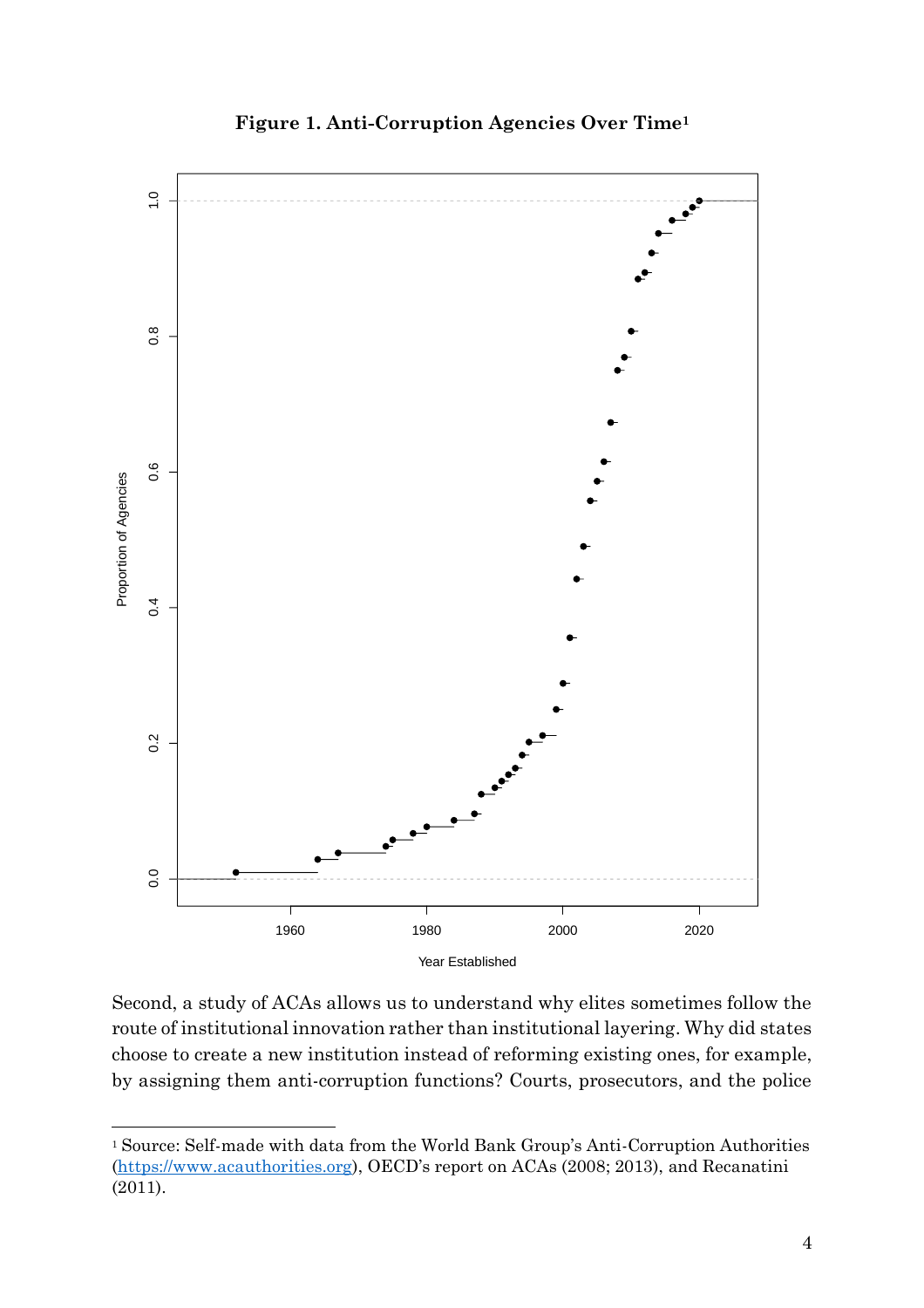

**Figure 1. Anti-Corruption Agencies Over Time<sup>1</sup> Anti−Corruption Agencies** 

Second, a study of ACAs allows us to understand why elites sometimes follow the route of institutional innovation rather than institutional layering. Why did states choose to create a new institution instead of reforming existing ones, for example, by assigning them anti-corruption functions? Courts, prosecutors, and the police

<sup>1</sup> Source: Self-made with data from the World Bank Group's Anti-Corruption Authorities [\(https://www.acauthorities.org\)](https://www.acauthorities.org/), OECD's report on ACAs (2008; 2013), and Recanatini (2011).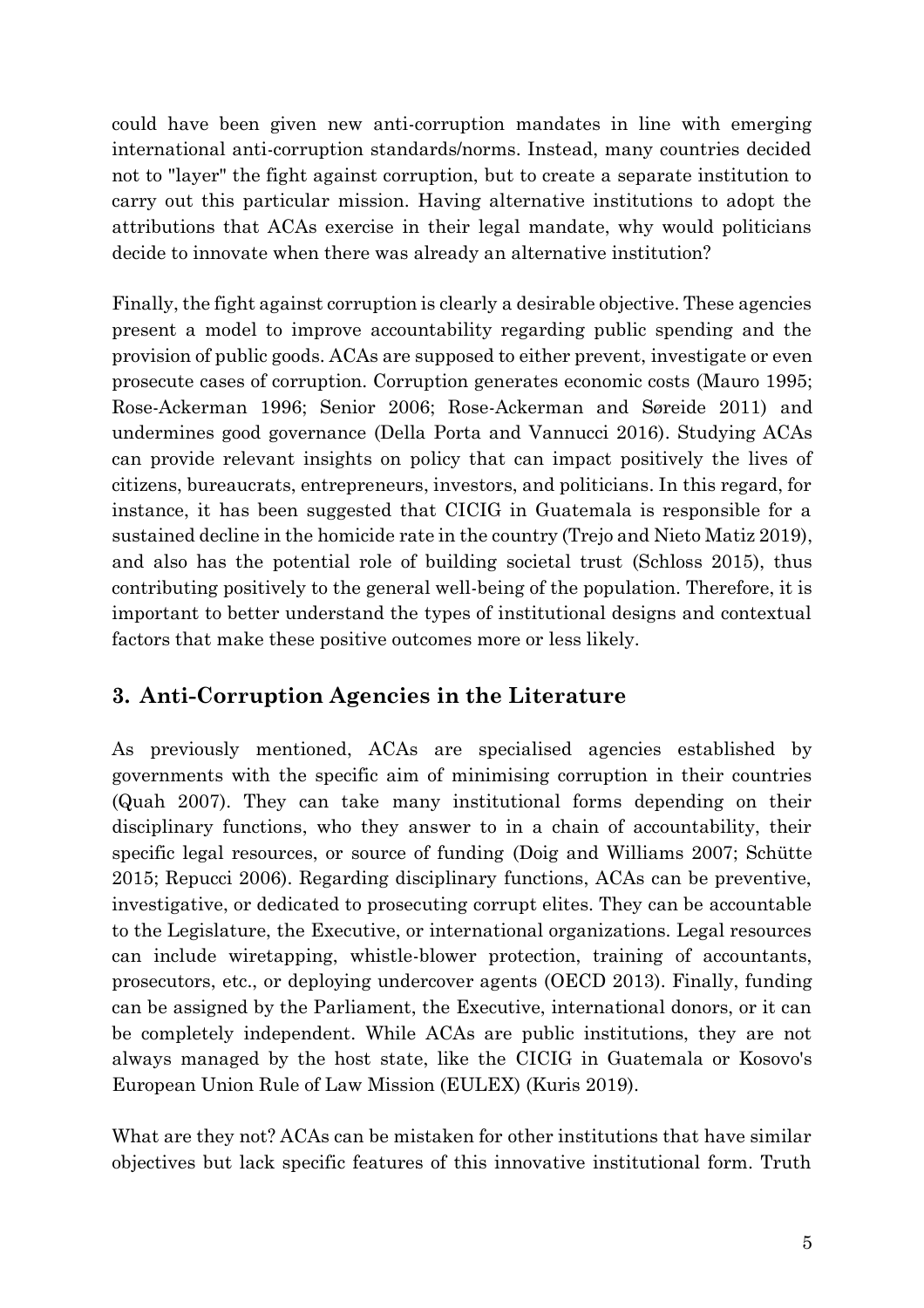could have been given new anti-corruption mandates in line with emerging international anti-corruption standards/norms. Instead, many countries decided not to "layer" the fight against corruption, but to create a separate institution to carry out this particular mission. Having alternative institutions to adopt the attributions that ACAs exercise in their legal mandate, why would politicians decide to innovate when there was already an alternative institution?

Finally, the fight against corruption is clearly a desirable objective. These agencies present a model to improve accountability regarding public spending and the provision of public goods. ACAs are supposed to either prevent, investigate or even prosecute cases of corruption. Corruption generates economic costs (Mauro 1995; Rose-Ackerman 1996; Senior 2006; Rose-Ackerman and Søreide 2011) and undermines good governance (Della Porta and Vannucci 2016). Studying ACAs can provide relevant insights on policy that can impact positively the lives of citizens, bureaucrats, entrepreneurs, investors, and politicians. In this regard, for instance, it has been suggested that CICIG in Guatemala is responsible for a sustained decline in the homicide rate in the country (Trejo and Nieto Matiz 2019), and also has the potential role of building societal trust (Schloss 2015), thus contributing positively to the general well-being of the population. Therefore, it is important to better understand the types of institutional designs and contextual factors that make these positive outcomes more or less likely.

# **3. Anti-Corruption Agencies in the Literature**

As previously mentioned, ACAs are specialised agencies established by governments with the specific aim of minimising corruption in their countries (Quah 2007). They can take many institutional forms depending on their disciplinary functions, who they answer to in a chain of accountability, their specific legal resources, or source of funding (Doig and Williams 2007; Schütte 2015; Repucci 2006). Regarding disciplinary functions, ACAs can be preventive, investigative, or dedicated to prosecuting corrupt elites. They can be accountable to the Legislature, the Executive, or international organizations. Legal resources can include wiretapping, whistle-blower protection, training of accountants, prosecutors, etc., or deploying undercover agents (OECD 2013). Finally, funding can be assigned by the Parliament, the Executive, international donors, or it can be completely independent. While ACAs are public institutions, they are not always managed by the host state, like the CICIG in Guatemala or Kosovo's European Union Rule of Law Mission (EULEX) (Kuris 2019).

What are they not? ACAs can be mistaken for other institutions that have similar objectives but lack specific features of this innovative institutional form. Truth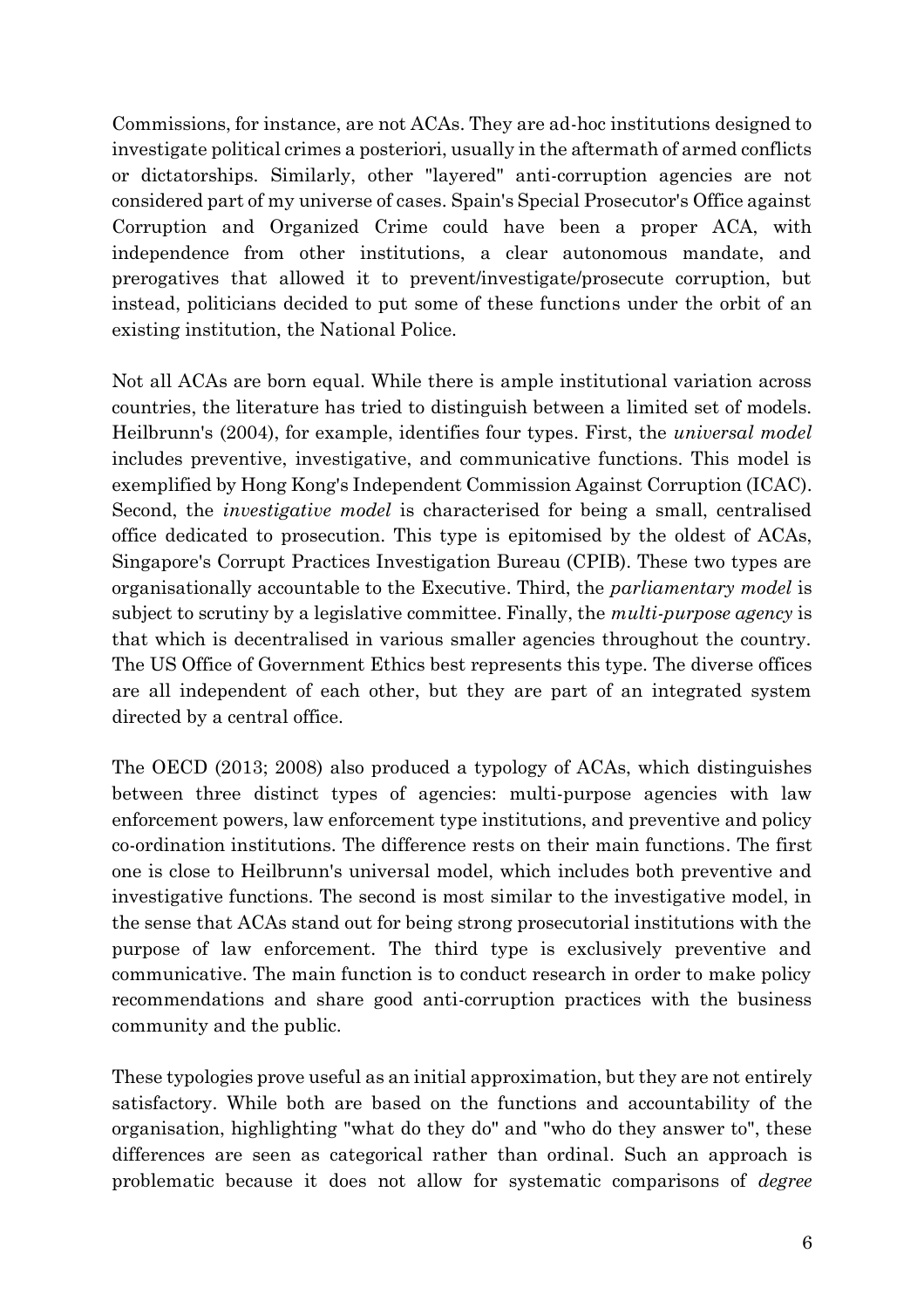Commissions, for instance, are not ACAs. They are ad-hoc institutions designed to investigate political crimes a posteriori, usually in the aftermath of armed conflicts or dictatorships. Similarly, other "layered" anti-corruption agencies are not considered part of my universe of cases. Spain's Special Prosecutor's Office against Corruption and Organized Crime could have been a proper ACA, with independence from other institutions, a clear autonomous mandate, and prerogatives that allowed it to prevent/investigate/prosecute corruption, but instead, politicians decided to put some of these functions under the orbit of an existing institution, the National Police.

Not all ACAs are born equal. While there is ample institutional variation across countries, the literature has tried to distinguish between a limited set of models. Heilbrunn's (2004), for example, identifies four types. First, the *universal model* includes preventive, investigative, and communicative functions. This model is exemplified by Hong Kong's Independent Commission Against Corruption (ICAC). Second, the *investigative model* is characterised for being a small, centralised office dedicated to prosecution. This type is epitomised by the oldest of ACAs, Singapore's Corrupt Practices Investigation Bureau (CPIB). These two types are organisationally accountable to the Executive. Third, the *parliamentary model* is subject to scrutiny by a legislative committee. Finally, the *multi-purpose agency* is that which is decentralised in various smaller agencies throughout the country. The US Office of Government Ethics best represents this type. The diverse offices are all independent of each other, but they are part of an integrated system directed by a central office.

The OECD (2013; 2008) also produced a typology of ACAs, which distinguishes between three distinct types of agencies: multi-purpose agencies with law enforcement powers, law enforcement type institutions, and preventive and policy co-ordination institutions. The difference rests on their main functions. The first one is close to Heilbrunn's universal model, which includes both preventive and investigative functions. The second is most similar to the investigative model, in the sense that ACAs stand out for being strong prosecutorial institutions with the purpose of law enforcement. The third type is exclusively preventive and communicative. The main function is to conduct research in order to make policy recommendations and share good anti-corruption practices with the business community and the public.

These typologies prove useful as an initial approximation, but they are not entirely satisfactory. While both are based on the functions and accountability of the organisation, highlighting "what do they do" and "who do they answer to", these differences are seen as categorical rather than ordinal. Such an approach is problematic because it does not allow for systematic comparisons of *degree*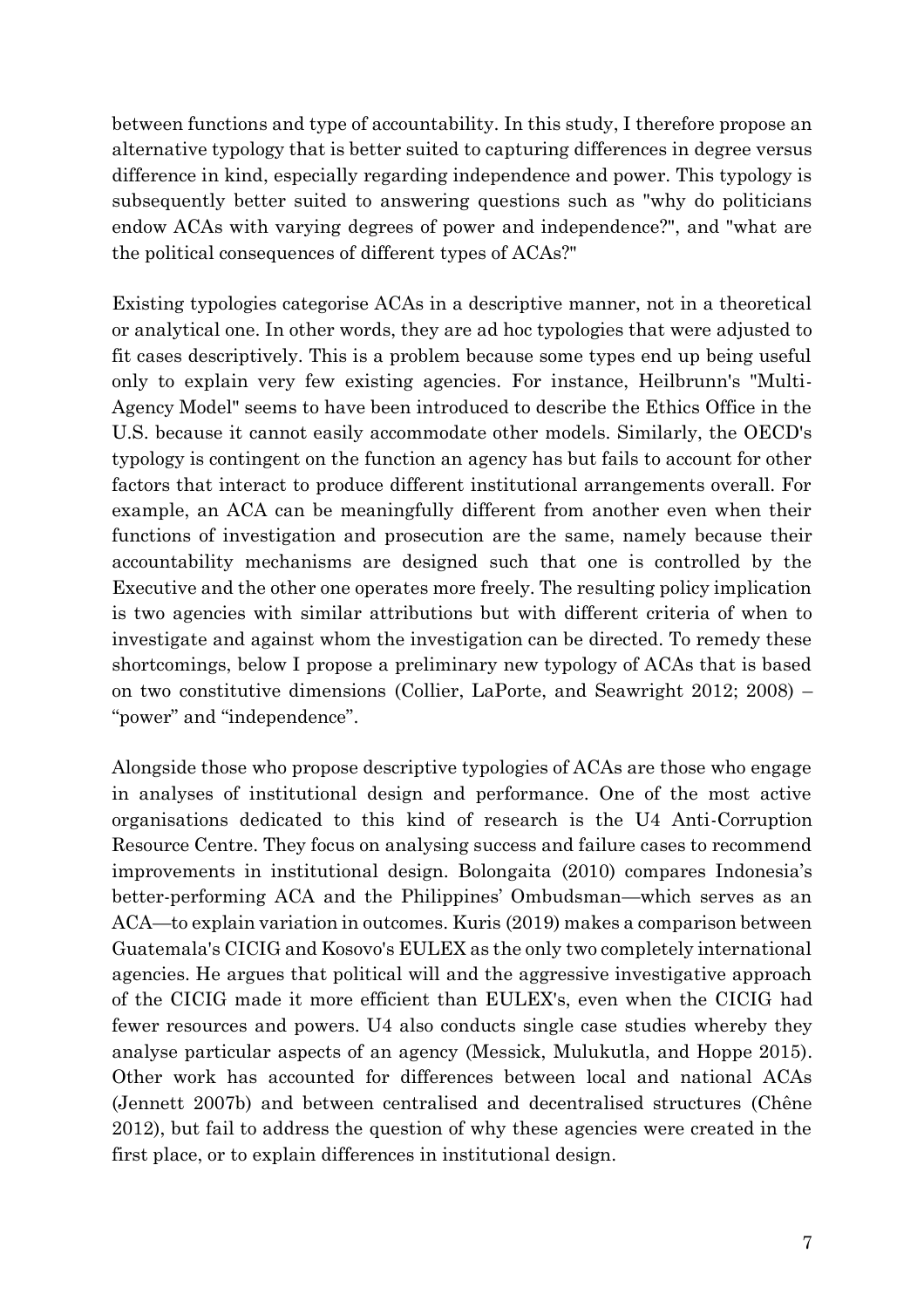between functions and type of accountability. In this study, I therefore propose an alternative typology that is better suited to capturing differences in degree versus difference in kind, especially regarding independence and power. This typology is subsequently better suited to answering questions such as "why do politicians endow ACAs with varying degrees of power and independence?", and "what are the political consequences of different types of ACAs?"

Existing typologies categorise ACAs in a descriptive manner, not in a theoretical or analytical one. In other words, they are ad hoc typologies that were adjusted to fit cases descriptively. This is a problem because some types end up being useful only to explain very few existing agencies. For instance, Heilbrunn's "Multi-Agency Model" seems to have been introduced to describe the Ethics Office in the U.S. because it cannot easily accommodate other models. Similarly, the OECD's typology is contingent on the function an agency has but fails to account for other factors that interact to produce different institutional arrangements overall. For example, an ACA can be meaningfully different from another even when their functions of investigation and prosecution are the same, namely because their accountability mechanisms are designed such that one is controlled by the Executive and the other one operates more freely. The resulting policy implication is two agencies with similar attributions but with different criteria of when to investigate and against whom the investigation can be directed. To remedy these shortcomings, below I propose a preliminary new typology of ACAs that is based on two constitutive dimensions (Collier, LaPorte, and Seawright 2012; 2008) – "power" and "independence".

Alongside those who propose descriptive typologies of ACAs are those who engage in analyses of institutional design and performance. One of the most active organisations dedicated to this kind of research is the U4 Anti-Corruption Resource Centre. They focus on analysing success and failure cases to recommend improvements in institutional design. Bolongaita (2010) compares Indonesia's better-performing ACA and the Philippines' Ombudsman—which serves as an ACA—to explain variation in outcomes. Kuris (2019) makes a comparison between Guatemala's CICIG and Kosovo's EULEX as the only two completely international agencies. He argues that political will and the aggressive investigative approach of the CICIG made it more efficient than EULEX's, even when the CICIG had fewer resources and powers. U4 also conducts single case studies whereby they analyse particular aspects of an agency (Messick, Mulukutla, and Hoppe 2015). Other work has accounted for differences between local and national ACAs (Jennett 2007b) and between centralised and decentralised structures (Chêne 2012), but fail to address the question of why these agencies were created in the first place, or to explain differences in institutional design.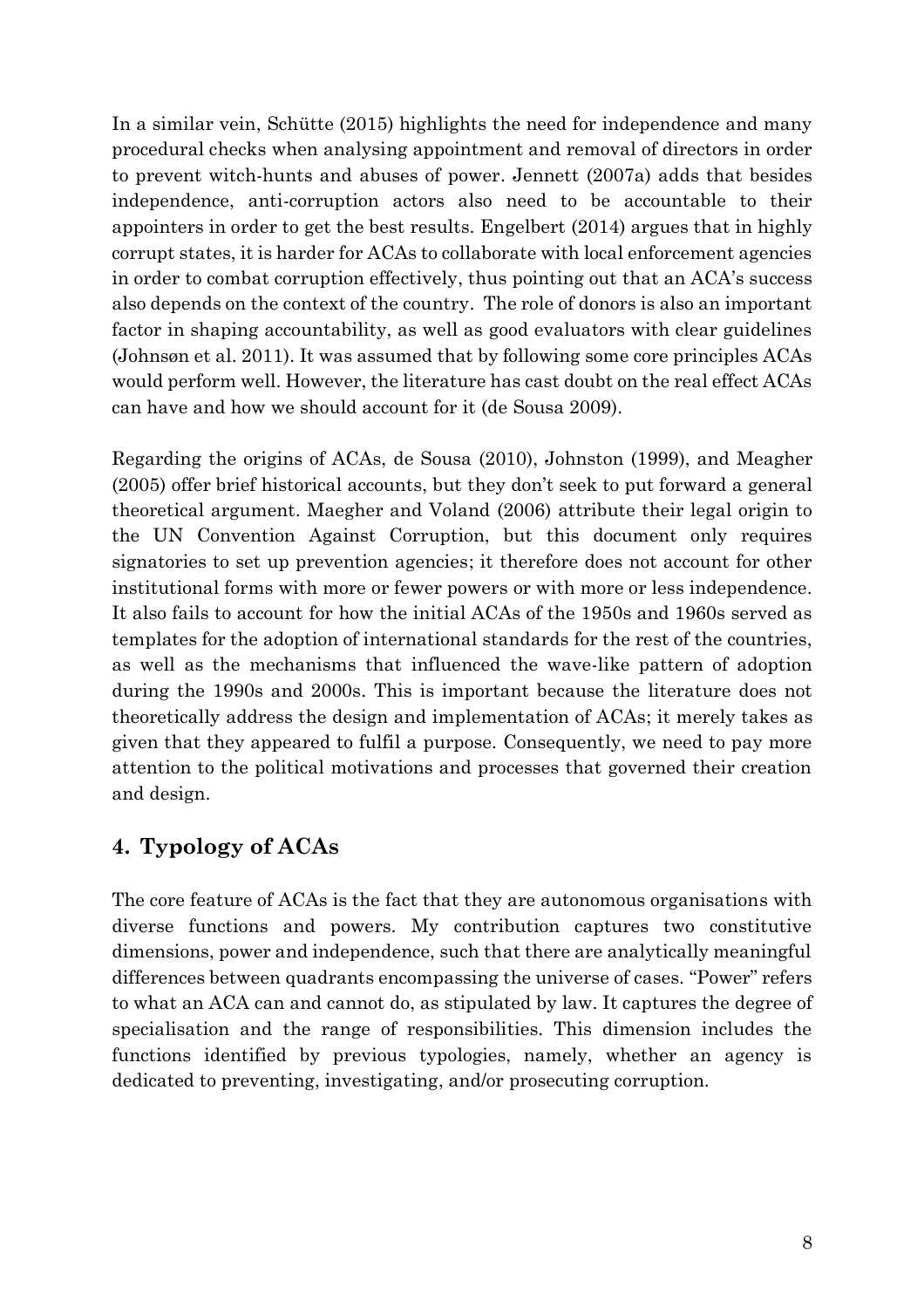In a similar vein, Schütte (2015) highlights the need for independence and many procedural checks when analysing appointment and removal of directors in order to prevent witch-hunts and abuses of power. Jennett (2007a) adds that besides independence, anti-corruption actors also need to be accountable to their appointers in order to get the best results. Engelbert (2014) argues that in highly corrupt states, it is harder for ACAs to collaborate with local enforcement agencies in order to combat corruption effectively, thus pointing out that an ACA's success also depends on the context of the country. The role of donors is also an important factor in shaping accountability, as well as good evaluators with clear guidelines (Johnsøn et al. 2011). It was assumed that by following some core principles ACAs would perform well. However, the literature has cast doubt on the real effect ACAs can have and how we should account for it (de Sousa 2009).

Regarding the origins of ACAs, de Sousa (2010), Johnston (1999), and Meagher (2005) offer brief historical accounts, but they don't seek to put forward a general theoretical argument. Maegher and Voland (2006) attribute their legal origin to the UN Convention Against Corruption, but this document only requires signatories to set up prevention agencies; it therefore does not account for other institutional forms with more or fewer powers or with more or less independence. It also fails to account for how the initial ACAs of the 1950s and 1960s served as templates for the adoption of international standards for the rest of the countries, as well as the mechanisms that influenced the wave-like pattern of adoption during the 1990s and 2000s. This is important because the literature does not theoretically address the design and implementation of ACAs; it merely takes as given that they appeared to fulfil a purpose. Consequently, we need to pay more attention to the political motivations and processes that governed their creation and design.

### **4. Typology of ACAs**

The core feature of ACAs is the fact that they are autonomous organisations with diverse functions and powers. My contribution captures two constitutive dimensions, power and independence, such that there are analytically meaningful differences between quadrants encompassing the universe of cases. "Power" refers to what an ACA can and cannot do, as stipulated by law. It captures the degree of specialisation and the range of responsibilities. This dimension includes the functions identified by previous typologies, namely, whether an agency is dedicated to preventing, investigating, and/or prosecuting corruption.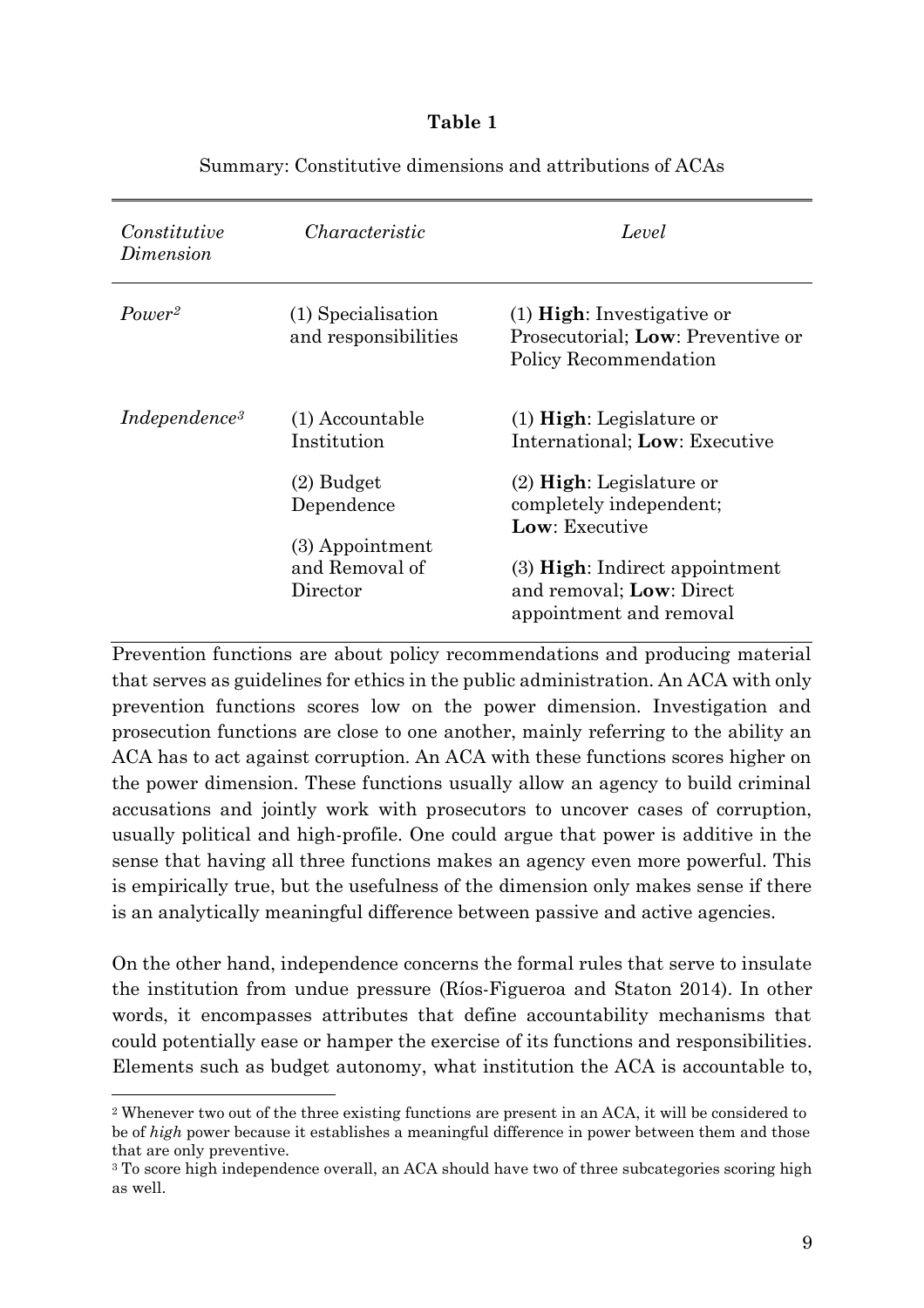#### **Table 1**

| Constitutive<br>Dimension       | Characteristic                                  | Level                                                                                              |
|---------------------------------|-------------------------------------------------|----------------------------------------------------------------------------------------------------|
| Power <sup>2</sup>              | (1) Specialisation<br>and responsibilities      | $(1)$ <b>High</b> : Investigative or<br>Prosecutorial; Low: Preventive or<br>Policy Recommendation |
| <i>Independence<sup>3</sup></i> | (1) Accountable<br>Institution                  | $(1)$ High: Legislature or<br>International; Low: Executive                                        |
|                                 | $(2)$ Budget<br>Dependence<br>$(3)$ Appointment | $(2)$ High: Legislature or<br>completely independent;<br>Low: Executive                            |
|                                 | and Removal of<br>Director                      | $(3)$ High: Indirect appointment<br>and removal; Low: Direct<br>appointment and removal            |

#### Summary: Constitutive dimensions and attributions of ACAs

Prevention functions are about policy recommendations and producing material that serves as guidelines for ethics in the public administration. An ACA with only prevention functions scores low on the power dimension. Investigation and prosecution functions are close to one another, mainly referring to the ability an ACA has to act against corruption. An ACA with these functions scores higher on the power dimension. These functions usually allow an agency to build criminal accusations and jointly work with prosecutors to uncover cases of corruption, usually political and high-profile. One could argue that power is additive in the sense that having all three functions makes an agency even more powerful. This is empirically true, but the usefulness of the dimension only makes sense if there is an analytically meaningful difference between passive and active agencies.

On the other hand, independence concerns the formal rules that serve to insulate the institution from undue pressure (Ríos-Figueroa and Staton 2014). In other words, it encompasses attributes that define accountability mechanisms that could potentially ease or hamper the exercise of its functions and responsibilities. Elements such as budget autonomy, what institution the ACA is accountable to,

<sup>2</sup> Whenever two out of the three existing functions are present in an ACA, it will be considered to be of *high* power because it establishes a meaningful difference in power between them and those that are only preventive.

<sup>&</sup>lt;sup>3</sup> To score high independence overall, an ACA should have two of three subcategories scoring high as well.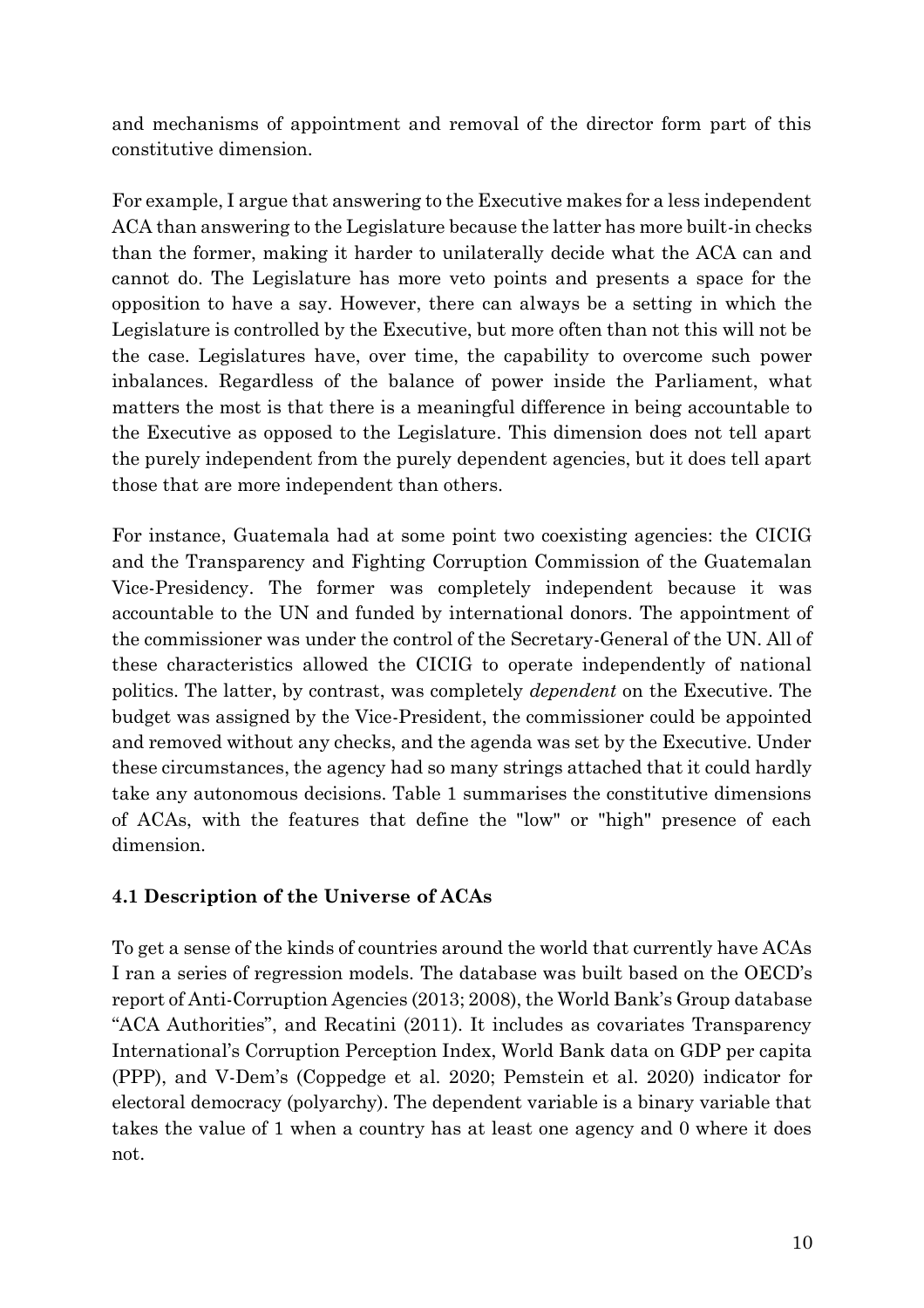and mechanisms of appointment and removal of the director form part of this constitutive dimension.

For example, I argue that answering to the Executive makes for a less independent ACA than answering to the Legislature because the latter has more built-in checks than the former, making it harder to unilaterally decide what the ACA can and cannot do. The Legislature has more veto points and presents a space for the opposition to have a say. However, there can always be a setting in which the Legislature is controlled by the Executive, but more often than not this will not be the case. Legislatures have, over time, the capability to overcome such power inbalances. Regardless of the balance of power inside the Parliament, what matters the most is that there is a meaningful difference in being accountable to the Executive as opposed to the Legislature. This dimension does not tell apart the purely independent from the purely dependent agencies, but it does tell apart those that are more independent than others.

For instance, Guatemala had at some point two coexisting agencies: the CICIG and the Transparency and Fighting Corruption Commission of the Guatemalan Vice-Presidency. The former was completely independent because it was accountable to the UN and funded by international donors. The appointment of the commissioner was under the control of the Secretary-General of the UN. All of these characteristics allowed the CICIG to operate independently of national politics. The latter, by contrast, was completely *dependent* on the Executive. The budget was assigned by the Vice-President, the commissioner could be appointed and removed without any checks, and the agenda was set by the Executive. Under these circumstances, the agency had so many strings attached that it could hardly take any autonomous decisions. Table 1 summarises the constitutive dimensions of ACAs, with the features that define the "low" or "high" presence of each dimension.

### **4.1 Description of the Universe of ACAs**

To get a sense of the kinds of countries around the world that currently have ACAs I ran a series of regression models. The database was built based on the OECD's report of Anti-Corruption Agencies (2013; 2008), the World Bank's Group database "ACA Authorities", and Recatini (2011). It includes as covariates Transparency International's Corruption Perception Index, World Bank data on GDP per capita (PPP), and V-Dem's (Coppedge et al. 2020; Pemstein et al. 2020) indicator for electoral democracy (polyarchy). The dependent variable is a binary variable that takes the value of 1 when a country has at least one agency and 0 where it does not.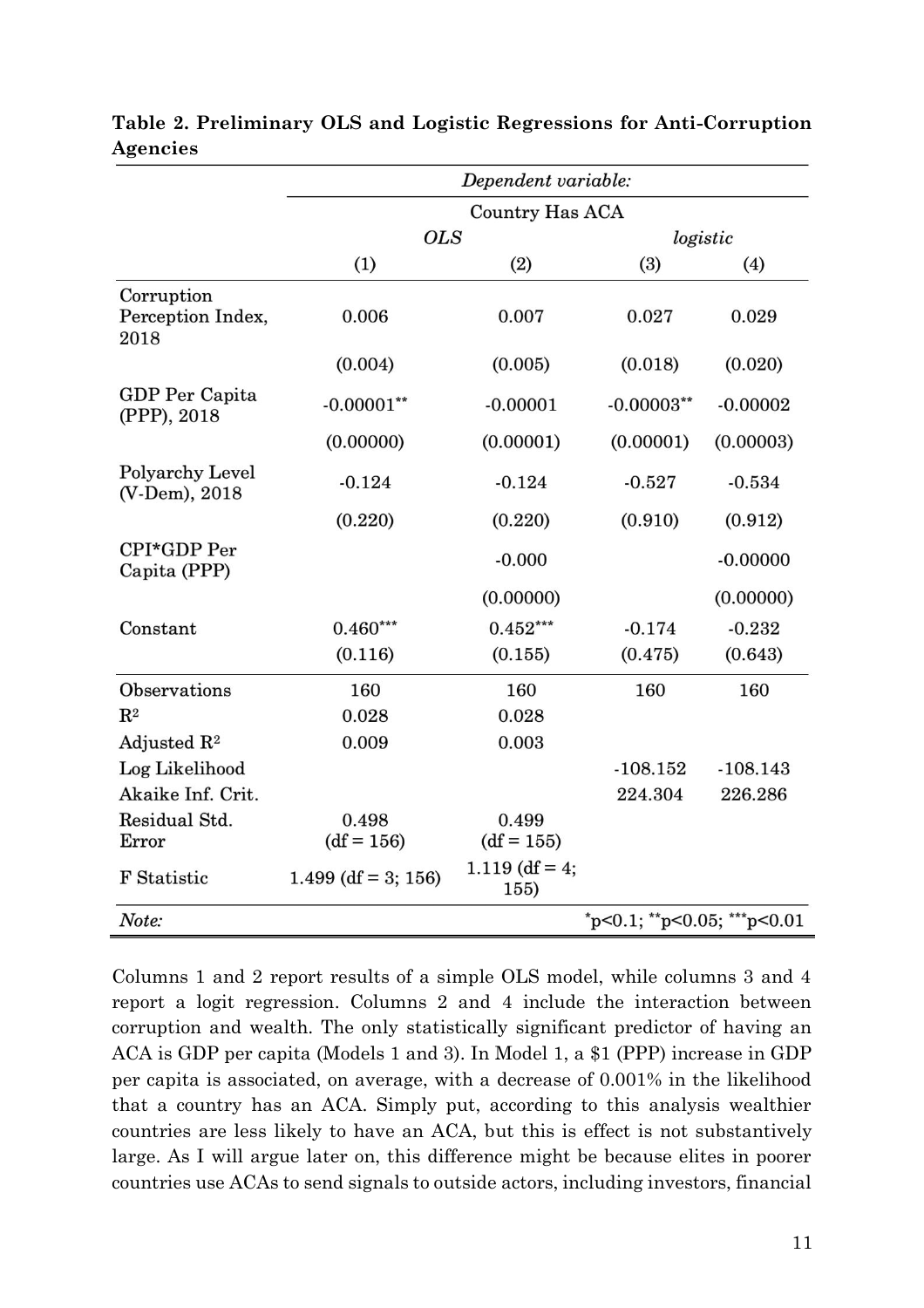|                                         |                        | Dependent variable:    |                               |            |  |
|-----------------------------------------|------------------------|------------------------|-------------------------------|------------|--|
|                                         | <b>Country Has ACA</b> |                        |                               |            |  |
|                                         | <b>OLS</b>             |                        | logistic                      |            |  |
|                                         | (1)                    | (2)                    | (3)                           | (4)        |  |
| Corruption<br>Perception Index,<br>2018 | 0.006                  | 0.007                  | 0.027                         | 0.029      |  |
|                                         | (0.004)                | (0.005)                | (0.018)                       | (0.020)    |  |
| GDP Per Capita<br>(PPP), 2018           | $-0.00001**$           | $-0.00001$             | $-0.00003**$                  | $-0.00002$ |  |
|                                         | (0.00000)              | (0.00001)              | (0.00001)                     | (0.00003)  |  |
| Polyarchy Level<br>(V-Dem), 2018        | $-0.124$               | $-0.124$               | $-0.527$                      | $-0.534$   |  |
|                                         | (0.220)                | (0.220)                | (0.910)                       | (0.912)    |  |
| CPI*GDP Per<br>Capita (PPP)             |                        | $-0.000$               |                               | $-0.00000$ |  |
|                                         |                        | (0.00000)              |                               | (0.00000)  |  |
| Constant                                | $0.460***$             | $0.452***$             | $-0.174$                      | $-0.232$   |  |
|                                         | (0.116)                | (0.155)                | (0.475)                       | (0.643)    |  |
| Observations                            | 160                    | 160                    | 160                           | 160        |  |
| $\mathbf{R}^2$                          | 0.028                  | 0.028                  |                               |            |  |
| Adjusted $\mathbb{R}^2$                 | 0.009                  | 0.003                  |                               |            |  |
| Log Likelihood                          |                        |                        | $-108.152$                    | $-108.143$ |  |
| Akaike Inf. Crit.                       |                        |                        | 224.304                       | 226.286    |  |
| Residual Std.<br>Error                  | 0.498<br>$(df = 156)$  | 0.499<br>$(df = 155)$  |                               |            |  |
| F Statistic                             | $1.499$ (df = 3; 156)  | 1.119 (df = 4;<br>155) |                               |            |  |
| Note:                                   |                        |                        | $p<0.1$ ; **p<0.05; ***p<0.01 |            |  |

**Table 2. Preliminary OLS and Logistic Regressions for Anti-Corruption Agencies**

Columns 1 and 2 report results of a simple OLS model, while columns 3 and 4 report a logit regression. Columns 2 and 4 include the interaction between corruption and wealth. The only statistically significant predictor of having an ACA is GDP per capita (Models 1 and 3). In Model 1, a \$1 (PPP) increase in GDP per capita is associated, on average, with a decrease of 0.001% in the likelihood that a country has an ACA. Simply put, according to this analysis wealthier countries are less likely to have an ACA, but this is effect is not substantively large. As I will argue later on, this difference might be because elites in poorer countries use ACAs to send signals to outside actors, including investors, financial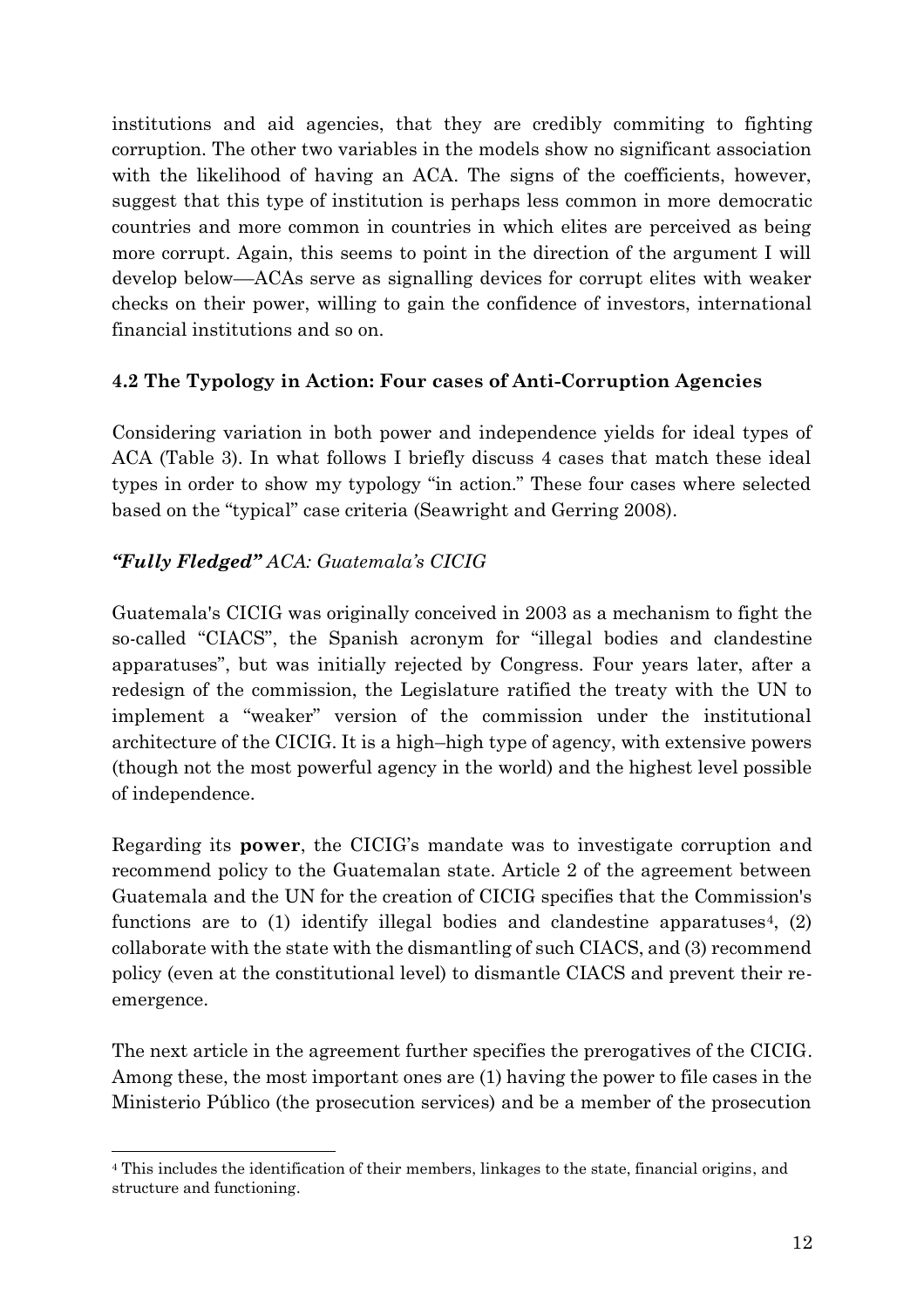institutions and aid agencies, that they are credibly commiting to fighting corruption. The other two variables in the models show no significant association with the likelihood of having an ACA. The signs of the coefficients, however, suggest that this type of institution is perhaps less common in more democratic countries and more common in countries in which elites are perceived as being more corrupt. Again, this seems to point in the direction of the argument I will develop below––ACAs serve as signalling devices for corrupt elites with weaker checks on their power, willing to gain the confidence of investors, international financial institutions and so on.

### **4.2 The Typology in Action: Four cases of Anti-Corruption Agencies**

Considering variation in both power and independence yields for ideal types of ACA (Table 3). In what follows I briefly discuss 4 cases that match these ideal types in order to show my typology "in action." These four cases where selected based on the "typical" case criteria (Seawright and Gerring 2008).

### *"Fully Fledged" ACA: Guatemala's CICIG*

Guatemala's CICIG was originally conceived in 2003 as a mechanism to fight the so-called "CIACS", the Spanish acronym for "illegal bodies and clandestine apparatuses", but was initially rejected by Congress. Four years later, after a redesign of the commission, the Legislature ratified the treaty with the UN to implement a "weaker" version of the commission under the institutional architecture of the CICIG. It is a high–high type of agency, with extensive powers (though not the most powerful agency in the world) and the highest level possible of independence.

Regarding its **power**, the CICIG's mandate was to investigate corruption and recommend policy to the Guatemalan state. Article 2 of the agreement between Guatemala and the UN for the creation of CICIG specifies that the Commission's functions are to (1) identify illegal bodies and clandestine apparatuses<sup>4</sup>, (2) collaborate with the state with the dismantling of such CIACS, and (3) recommend policy (even at the constitutional level) to dismantle CIACS and prevent their reemergence.

The next article in the agreement further specifies the prerogatives of the CICIG. Among these, the most important ones are (1) having the power to file cases in the Ministerio Público (the prosecution services) and be a member of the prosecution

<sup>4</sup> This includes the identification of their members, linkages to the state, financial origins, and structure and functioning.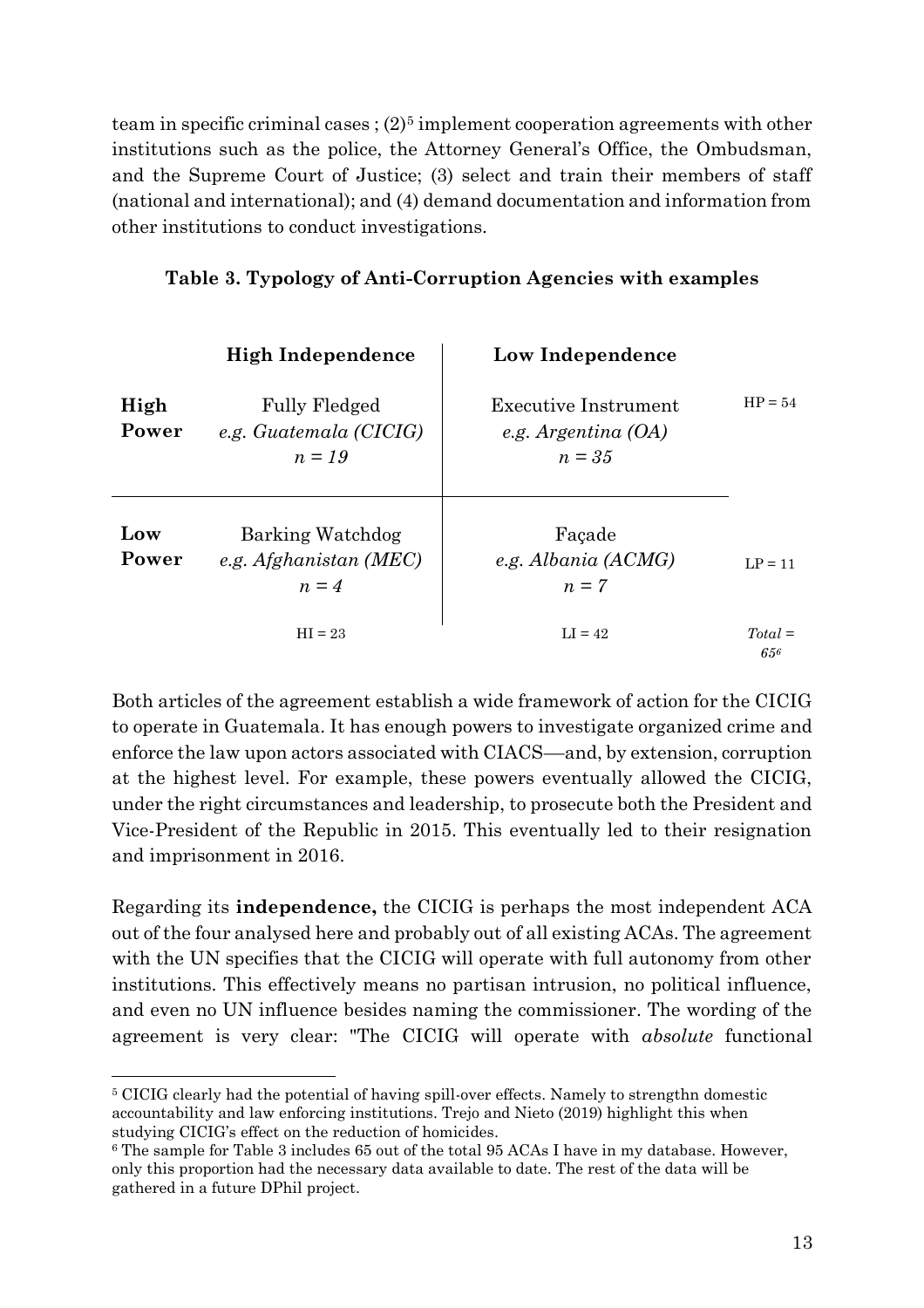team in specific criminal cases;  $(2)^5$  implement cooperation agreements with other institutions such as the police, the Attorney General's Office, the Ombudsman, and the Supreme Court of Justice; (3) select and train their members of staff (national and international); and (4) demand documentation and information from other institutions to conduct investigations.

|               | <b>High Independence</b>                                    | Low Independence                                                 |                  |
|---------------|-------------------------------------------------------------|------------------------------------------------------------------|------------------|
| High<br>Power | <b>Fully Fledged</b><br>e.g. Guatemala (CICIG)<br>$n = 1.9$ | <b>Executive Instrument</b><br>e.g. Argentina $(OA)$<br>$n = 35$ | $HP = 54$        |
| Low<br>Power  | Barking Watchdog<br>e.g. $A f g h anistan (MEC)$<br>$n = 4$ | Façade<br>e.g. Albania (ACMG)<br>$n=7$                           | $LP = 11$        |
|               | $HI = 23$                                                   | $LI = 42$                                                        | $Total =$<br>656 |

#### **Table 3. Typology of Anti-Corruption Agencies with examples**

Both articles of the agreement establish a wide framework of action for the CICIG to operate in Guatemala. It has enough powers to investigate organized crime and enforce the law upon actors associated with CIACS––and, by extension, corruption at the highest level. For example, these powers eventually allowed the CICIG, under the right circumstances and leadership, to prosecute both the President and Vice-President of the Republic in 2015. This eventually led to their resignation and imprisonment in 2016.

Regarding its **independence,** the CICIG is perhaps the most independent ACA out of the four analysed here and probably out of all existing ACAs. The agreement with the UN specifies that the CICIG will operate with full autonomy from other institutions. This effectively means no partisan intrusion, no political influence, and even no UN influence besides naming the commissioner. The wording of the agreement is very clear: "The CICIG will operate with *absolute* functional

<sup>5</sup> CICIG clearly had the potential of having spill-over effects. Namely to strengthn domestic accountability and law enforcing institutions. Trejo and Nieto (2019) highlight this when studying CICIG's effect on the reduction of homicides.

<sup>6</sup> The sample for Table 3 includes 65 out of the total 95 ACAs I have in my database. However, only this proportion had the necessary data available to date. The rest of the data will be gathered in a future DPhil project.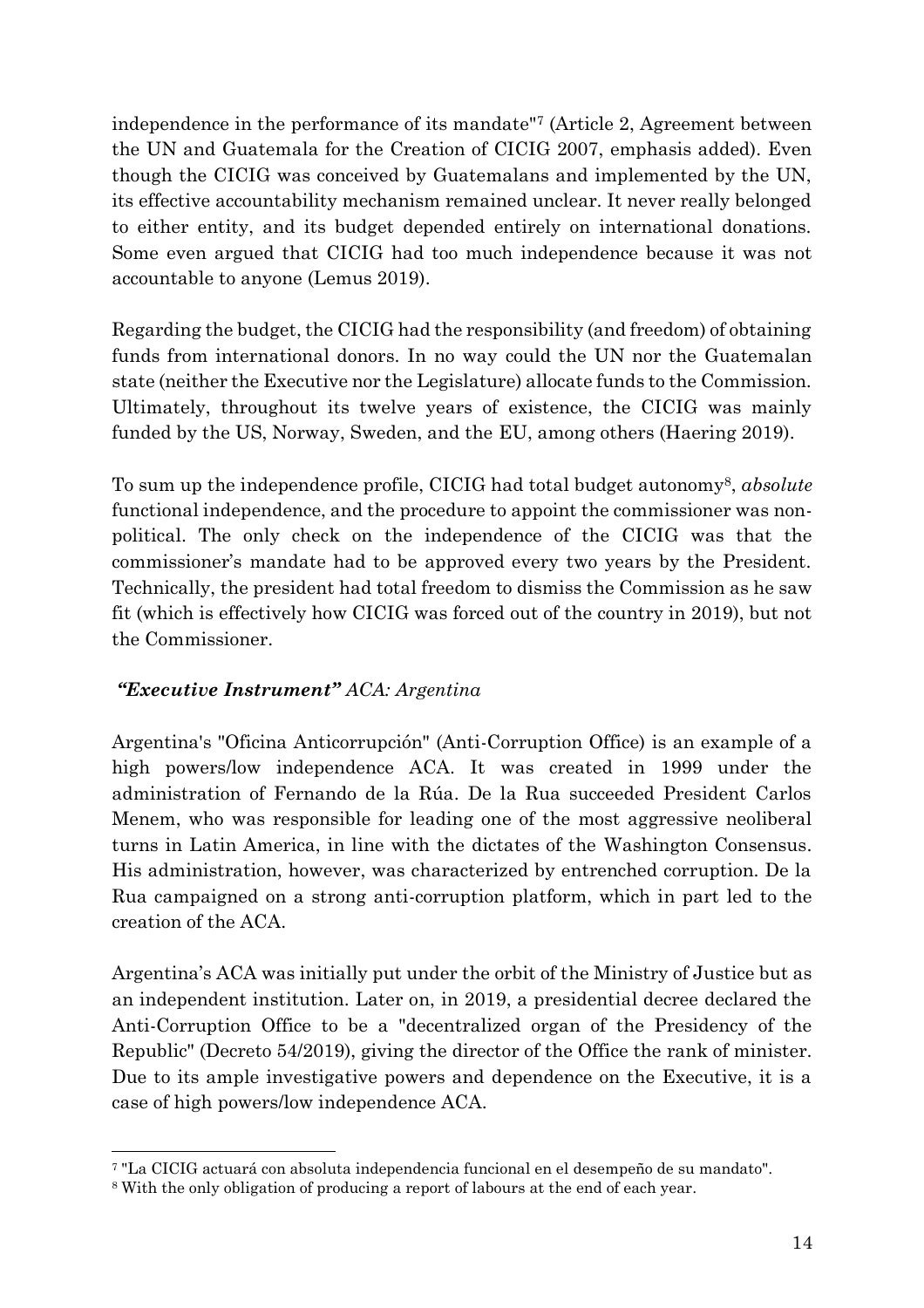independence in the performance of its mandate"<sup>7</sup> (Article 2, Agreement between the UN and Guatemala for the Creation of CICIG 2007, emphasis added). Even though the CICIG was conceived by Guatemalans and implemented by the UN, its effective accountability mechanism remained unclear. It never really belonged to either entity, and its budget depended entirely on international donations. Some even argued that CICIG had too much independence because it was not accountable to anyone (Lemus 2019).

Regarding the budget, the CICIG had the responsibility (and freedom) of obtaining funds from international donors. In no way could the UN nor the Guatemalan state (neither the Executive nor the Legislature) allocate funds to the Commission. Ultimately, throughout its twelve years of existence, the CICIG was mainly funded by the US, Norway, Sweden, and the EU, among others (Haering 2019).

To sum up the independence profile, CICIG had total budget autonomy8, *absolute*  functional independence, and the procedure to appoint the commissioner was nonpolitical. The only check on the independence of the CICIG was that the commissioner's mandate had to be approved every two years by the President. Technically, the president had total freedom to dismiss the Commission as he saw fit (which is effectively how CICIG was forced out of the country in 2019), but not the Commissioner.

### *"Executive Instrument" ACA: Argentina*

Argentina's "Oficina Anticorrupción" (Anti-Corruption Office) is an example of a high powers/low independence ACA. It was created in 1999 under the administration of Fernando de la Rúa. De la Rua succeeded President Carlos Menem, who was responsible for leading one of the most aggressive neoliberal turns in Latin America, in line with the dictates of the Washington Consensus. His administration, however, was characterized by entrenched corruption. De la Rua campaigned on a strong anti-corruption platform, which in part led to the creation of the ACA.

Argentina's ACA was initially put under the orbit of the Ministry of Justice but as an independent institution. Later on, in 2019, a presidential decree declared the Anti-Corruption Office to be a "decentralized organ of the Presidency of the Republic" (Decreto 54/2019), giving the director of the Office the rank of minister. Due to its ample investigative powers and dependence on the Executive, it is a case of high powers/low independence ACA.

<sup>7</sup> "La CICIG actuará con absoluta independencia funcional en el desempeño de su mandato".

<sup>8</sup> With the only obligation of producing a report of labours at the end of each year.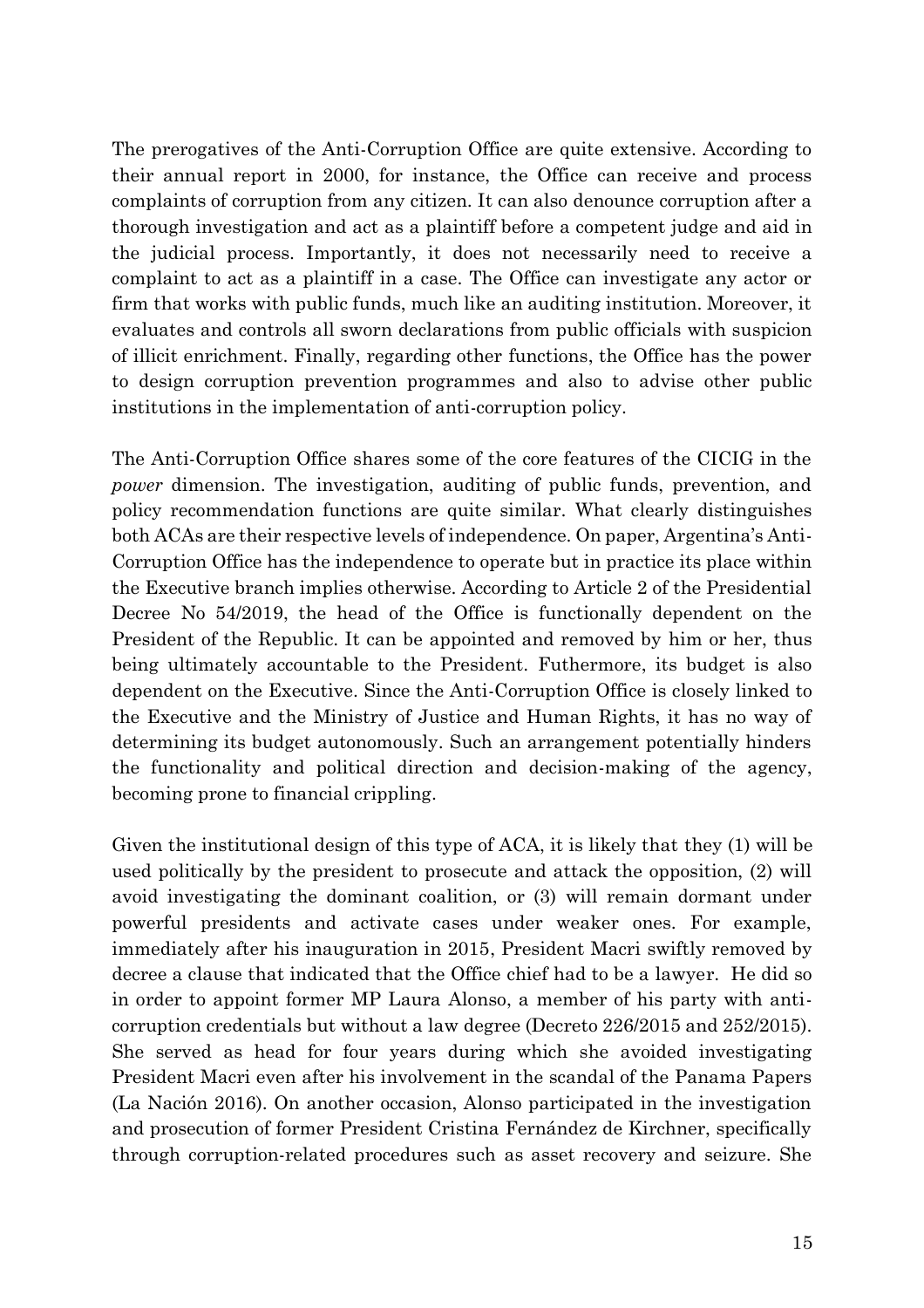The prerogatives of the Anti-Corruption Office are quite extensive. According to their annual report in 2000, for instance, the Office can receive and process complaints of corruption from any citizen. It can also denounce corruption after a thorough investigation and act as a plaintiff before a competent judge and aid in the judicial process. Importantly, it does not necessarily need to receive a complaint to act as a plaintiff in a case. The Office can investigate any actor or firm that works with public funds, much like an auditing institution. Moreover, it evaluates and controls all sworn declarations from public officials with suspicion of illicit enrichment. Finally, regarding other functions, the Office has the power to design corruption prevention programmes and also to advise other public institutions in the implementation of anti-corruption policy.

The Anti-Corruption Office shares some of the core features of the CICIG in the *power* dimension. The investigation, auditing of public funds, prevention, and policy recommendation functions are quite similar. What clearly distinguishes both ACAs are their respective levels of independence. On paper, Argentina's Anti-Corruption Office has the independence to operate but in practice its place within the Executive branch implies otherwise. According to Article 2 of the Presidential Decree No 54/2019, the head of the Office is functionally dependent on the President of the Republic. It can be appointed and removed by him or her, thus being ultimately accountable to the President. Futhermore, its budget is also dependent on the Executive. Since the Anti-Corruption Office is closely linked to the Executive and the Ministry of Justice and Human Rights, it has no way of determining its budget autonomously. Such an arrangement potentially hinders the functionality and political direction and decision-making of the agency, becoming prone to financial crippling.

Given the institutional design of this type of ACA, it is likely that they (1) will be used politically by the president to prosecute and attack the opposition, (2) will avoid investigating the dominant coalition, or (3) will remain dormant under powerful presidents and activate cases under weaker ones. For example, immediately after his inauguration in 2015, President Macri swiftly removed by decree a clause that indicated that the Office chief had to be a lawyer. He did so in order to appoint former MP Laura Alonso, a member of his party with anticorruption credentials but without a law degree (Decreto 226/2015 and 252/2015). She served as head for four years during which she avoided investigating President Macri even after his involvement in the scandal of the Panama Papers (La Nación 2016). On another occasion, Alonso participated in the investigation and prosecution of former President Cristina Fernández de Kirchner, specifically through corruption-related procedures such as asset recovery and seizure. She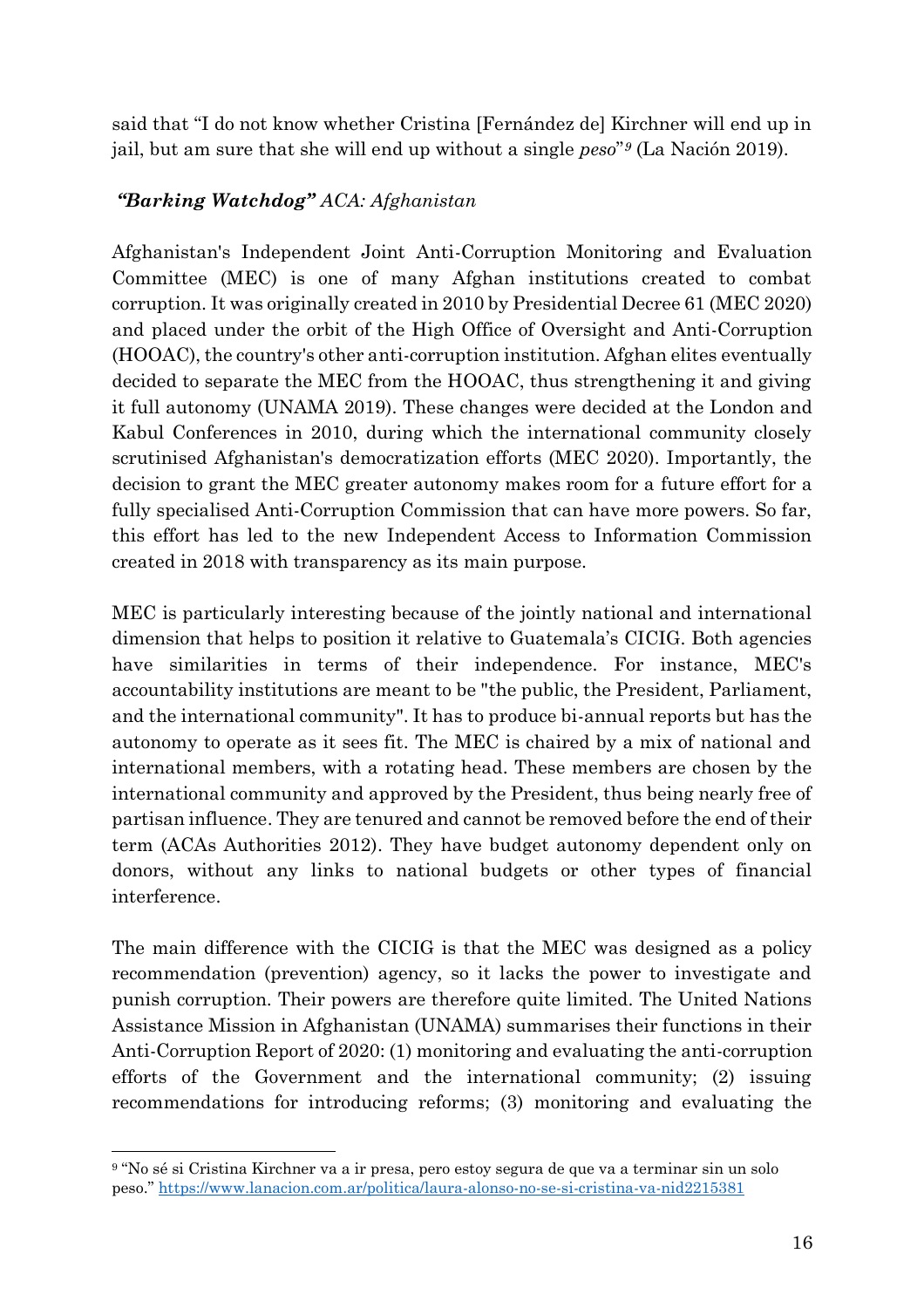said that "I do not know whether Cristina [Fernández de] Kirchner will end up in jail, but am sure that she will end up without a single *peso*" *<sup>9</sup>* (La Nación 2019).

### *"Barking Watchdog" ACA: Afghanistan*

Afghanistan's Independent Joint Anti-Corruption Monitoring and Evaluation Committee (MEC) is one of many Afghan institutions created to combat corruption. It was originally created in 2010 by Presidential Decree 61 (MEC 2020) and placed under the orbit of the High Office of Oversight and Anti-Corruption (HOOAC), the country's other anti-corruption institution. Afghan elites eventually decided to separate the MEC from the HOOAC, thus strengthening it and giving it full autonomy (UNAMA 2019). These changes were decided at the London and Kabul Conferences in 2010, during which the international community closely scrutinised Afghanistan's democratization efforts (MEC 2020). Importantly, the decision to grant the MEC greater autonomy makes room for a future effort for a fully specialised Anti-Corruption Commission that can have more powers. So far, this effort has led to the new Independent Access to Information Commission created in 2018 with transparency as its main purpose.

MEC is particularly interesting because of the jointly national and international dimension that helps to position it relative to Guatemala's CICIG. Both agencies have similarities in terms of their independence. For instance, MEC's accountability institutions are meant to be "the public, the President, Parliament, and the international community". It has to produce bi-annual reports but has the autonomy to operate as it sees fit. The MEC is chaired by a mix of national and international members, with a rotating head. These members are chosen by the international community and approved by the President, thus being nearly free of partisan influence. They are tenured and cannot be removed before the end of their term (ACAs Authorities 2012). They have budget autonomy dependent only on donors, without any links to national budgets or other types of financial interference.

The main difference with the CICIG is that the MEC was designed as a policy recommendation (prevention) agency, so it lacks the power to investigate and punish corruption. Their powers are therefore quite limited. The United Nations Assistance Mission in Afghanistan (UNAMA) summarises their functions in their Anti-Corruption Report of 2020: (1) monitoring and evaluating the anti-corruption efforts of the Government and the international community; (2) issuing recommendations for introducing reforms; (3) monitoring and evaluating the

<sup>9</sup> "No sé si Cristina Kirchner va a ir presa, pero estoy segura de que va a terminar sin un solo peso." <https://www.lanacion.com.ar/politica/laura-alonso-no-se-si-cristina-va-nid2215381>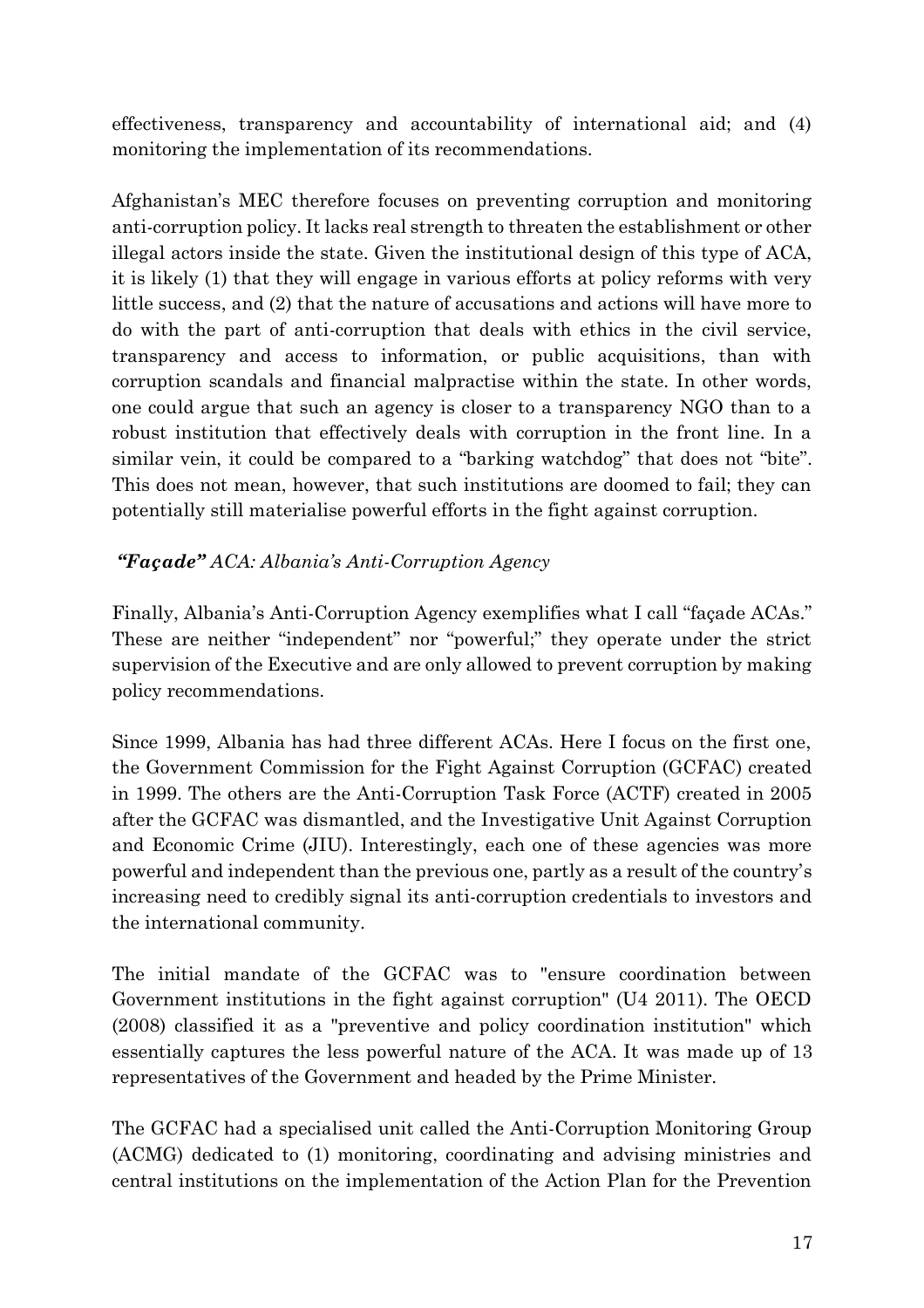effectiveness, transparency and accountability of international aid; and (4) monitoring the implementation of its recommendations.

Afghanistan's MEC therefore focuses on preventing corruption and monitoring anti-corruption policy. It lacks real strength to threaten the establishment or other illegal actors inside the state. Given the institutional design of this type of ACA, it is likely (1) that they will engage in various efforts at policy reforms with very little success, and (2) that the nature of accusations and actions will have more to do with the part of anti-corruption that deals with ethics in the civil service, transparency and access to information, or public acquisitions, than with corruption scandals and financial malpractise within the state. In other words, one could argue that such an agency is closer to a transparency NGO than to a robust institution that effectively deals with corruption in the front line. In a similar vein, it could be compared to a "barking watchdog" that does not "bite". This does not mean, however, that such institutions are doomed to fail; they can potentially still materialise powerful efforts in the fight against corruption.

### *"Façade" ACA: Albania's Anti-Corruption Agency*

Finally, Albania's Anti-Corruption Agency exemplifies what I call "façade ACAs." These are neither "independent" nor "powerful;" they operate under the strict supervision of the Executive and are only allowed to prevent corruption by making policy recommendations.

Since 1999, Albania has had three different ACAs. Here I focus on the first one, the Government Commission for the Fight Against Corruption (GCFAC) created in 1999. The others are the Anti-Corruption Task Force (ACTF) created in 2005 after the GCFAC was dismantled, and the Investigative Unit Against Corruption and Economic Crime (JIU). Interestingly, each one of these agencies was more powerful and independent than the previous one, partly as a result of the country's increasing need to credibly signal its anti-corruption credentials to investors and the international community.

The initial mandate of the GCFAC was to "ensure coordination between Government institutions in the fight against corruption" (U4 2011). The OECD (2008) classified it as a "preventive and policy coordination institution" which essentially captures the less powerful nature of the ACA. It was made up of 13 representatives of the Government and headed by the Prime Minister.

The GCFAC had a specialised unit called the Anti-Corruption Monitoring Group (ACMG) dedicated to (1) monitoring, coordinating and advising ministries and central institutions on the implementation of the Action Plan for the Prevention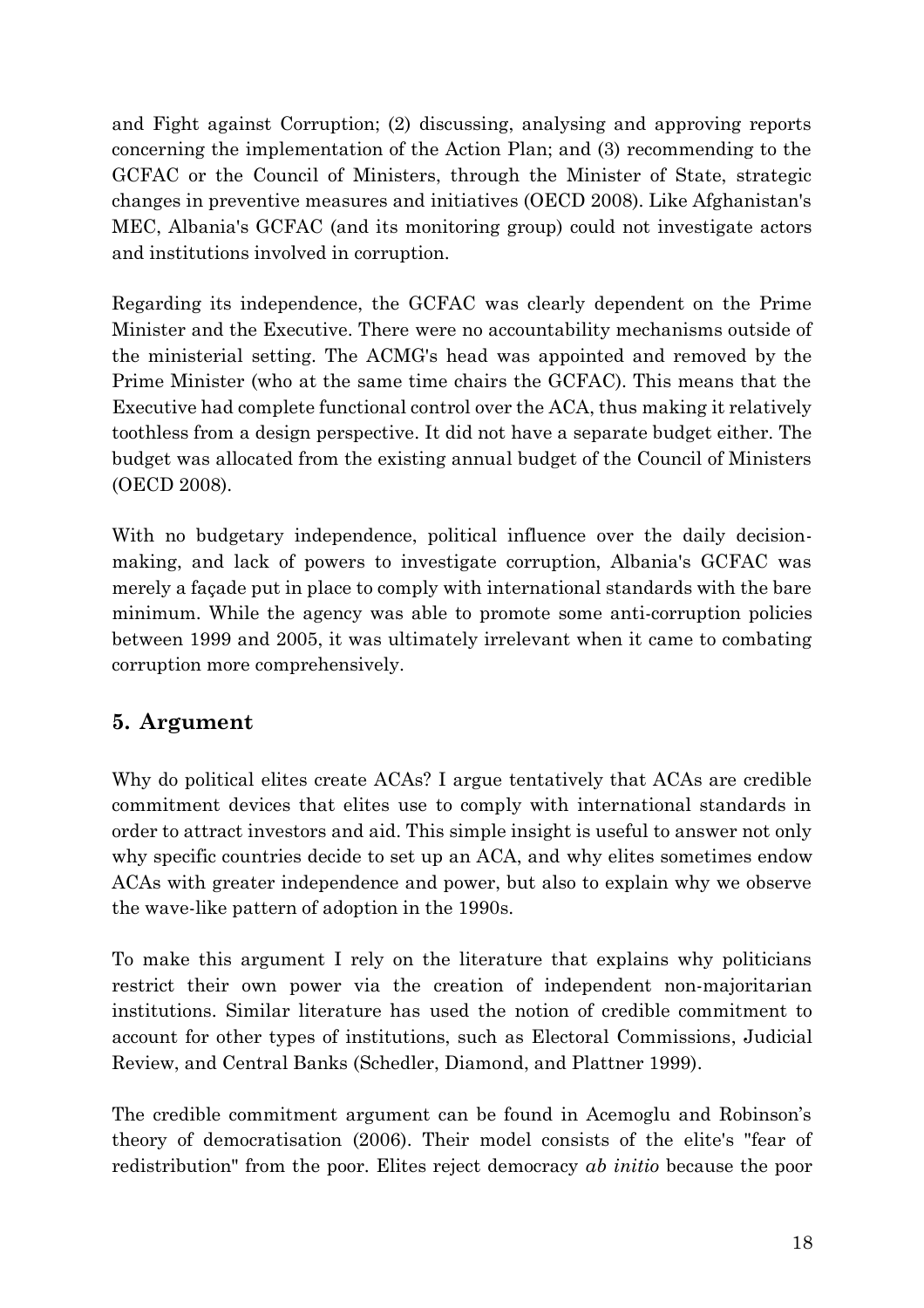and Fight against Corruption; (2) discussing, analysing and approving reports concerning the implementation of the Action Plan; and (3) recommending to the GCFAC or the Council of Ministers, through the Minister of State, strategic changes in preventive measures and initiatives (OECD 2008). Like Afghanistan's MEC, Albania's GCFAC (and its monitoring group) could not investigate actors and institutions involved in corruption.

Regarding its independence, the GCFAC was clearly dependent on the Prime Minister and the Executive. There were no accountability mechanisms outside of the ministerial setting. The ACMG's head was appointed and removed by the Prime Minister (who at the same time chairs the GCFAC). This means that the Executive had complete functional control over the ACA, thus making it relatively toothless from a design perspective. It did not have a separate budget either. The budget was allocated from the existing annual budget of the Council of Ministers (OECD 2008).

With no budgetary independence, political influence over the daily decisionmaking, and lack of powers to investigate corruption, Albania's GCFAC was merely a façade put in place to comply with international standards with the bare minimum. While the agency was able to promote some anti-corruption policies between 1999 and 2005, it was ultimately irrelevant when it came to combating corruption more comprehensively.

# **5. Argument**

Why do political elites create ACAs? I argue tentatively that ACAs are credible commitment devices that elites use to comply with international standards in order to attract investors and aid. This simple insight is useful to answer not only why specific countries decide to set up an ACA, and why elites sometimes endow ACAs with greater independence and power, but also to explain why we observe the wave-like pattern of adoption in the 1990s.

To make this argument I rely on the literature that explains why politicians restrict their own power via the creation of independent non-majoritarian institutions. Similar literature has used the notion of credible commitment to account for other types of institutions, such as Electoral Commissions, Judicial Review, and Central Banks (Schedler, Diamond, and Plattner 1999).

The credible commitment argument can be found in Acemoglu and Robinson's theory of democratisation (2006). Their model consists of the elite's "fear of redistribution" from the poor. Elites reject democracy *ab initio* because the poor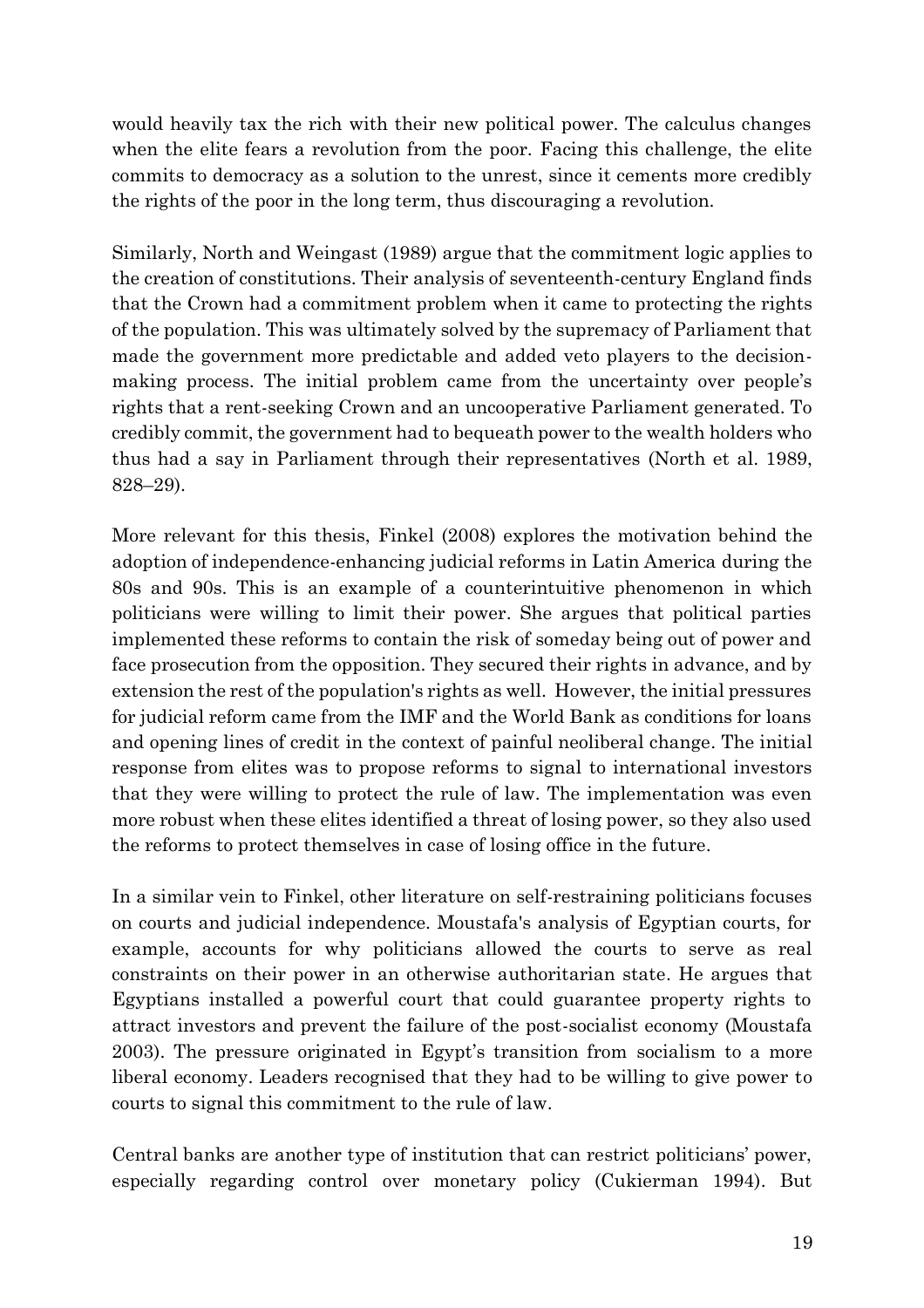would heavily tax the rich with their new political power. The calculus changes when the elite fears a revolution from the poor. Facing this challenge, the elite commits to democracy as a solution to the unrest, since it cements more credibly the rights of the poor in the long term, thus discouraging a revolution.

Similarly, North and Weingast (1989) argue that the commitment logic applies to the creation of constitutions. Their analysis of seventeenth-century England finds that the Crown had a commitment problem when it came to protecting the rights of the population. This was ultimately solved by the supremacy of Parliament that made the government more predictable and added veto players to the decisionmaking process. The initial problem came from the uncertainty over people's rights that a rent-seeking Crown and an uncooperative Parliament generated. To credibly commit, the government had to bequeath power to the wealth holders who thus had a say in Parliament through their representatives (North et al. 1989, 828–29).

More relevant for this thesis, Finkel (2008) explores the motivation behind the adoption of independence-enhancing judicial reforms in Latin America during the 80s and 90s. This is an example of a counterintuitive phenomenon in which politicians were willing to limit their power. She argues that political parties implemented these reforms to contain the risk of someday being out of power and face prosecution from the opposition. They secured their rights in advance, and by extension the rest of the population's rights as well. However, the initial pressures for judicial reform came from the IMF and the World Bank as conditions for loans and opening lines of credit in the context of painful neoliberal change. The initial response from elites was to propose reforms to signal to international investors that they were willing to protect the rule of law. The implementation was even more robust when these elites identified a threat of losing power, so they also used the reforms to protect themselves in case of losing office in the future.

In a similar vein to Finkel, other literature on self-restraining politicians focuses on courts and judicial independence. Moustafa's analysis of Egyptian courts, for example, accounts for why politicians allowed the courts to serve as real constraints on their power in an otherwise authoritarian state. He argues that Egyptians installed a powerful court that could guarantee property rights to attract investors and prevent the failure of the post-socialist economy (Moustafa 2003). The pressure originated in Egypt's transition from socialism to a more liberal economy. Leaders recognised that they had to be willing to give power to courts to signal this commitment to the rule of law.

Central banks are another type of institution that can restrict politicians' power, especially regarding control over monetary policy (Cukierman 1994). But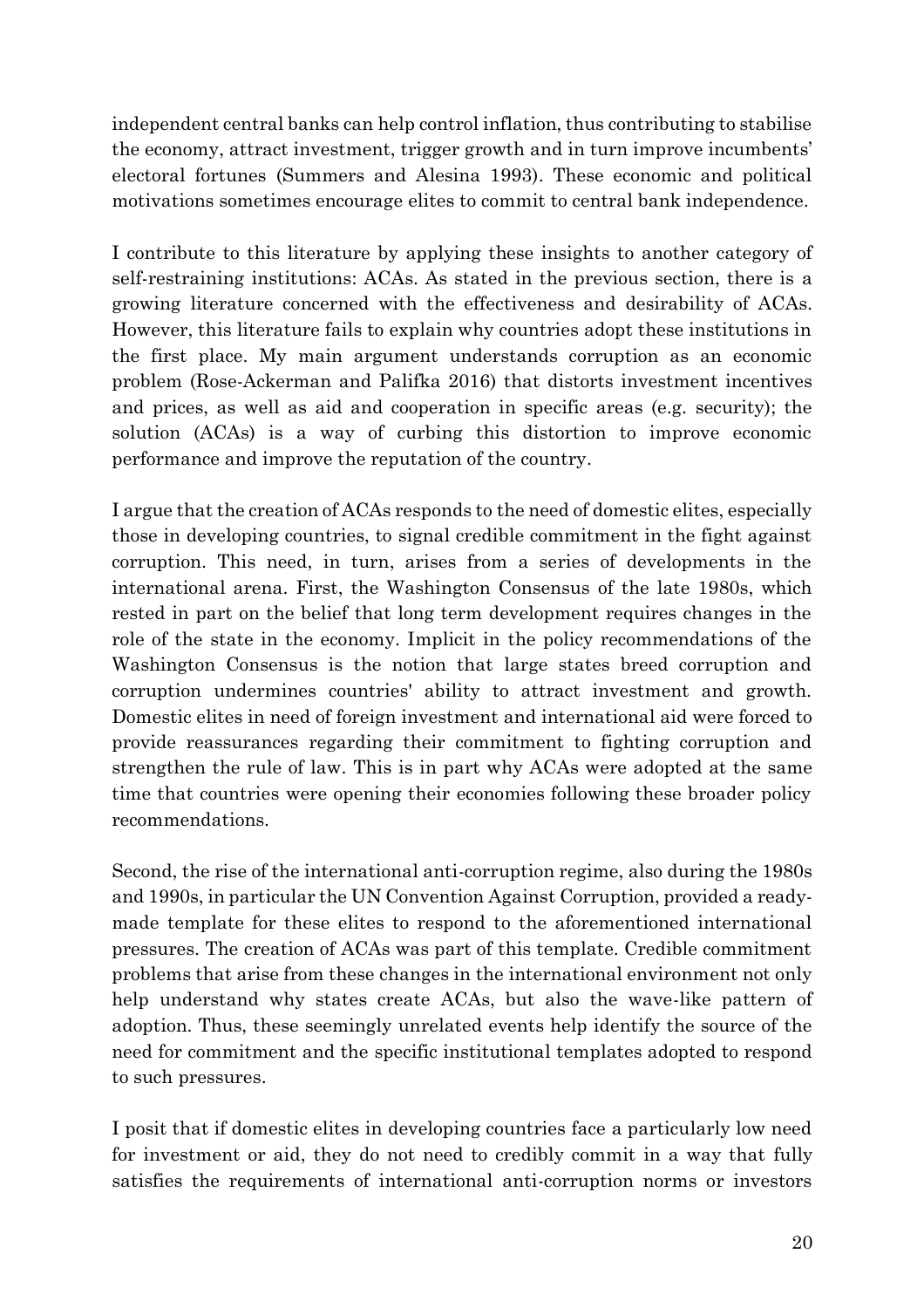independent central banks can help control inflation, thus contributing to stabilise the economy, attract investment, trigger growth and in turn improve incumbents' electoral fortunes (Summers and Alesina 1993). These economic and political motivations sometimes encourage elites to commit to central bank independence.

I contribute to this literature by applying these insights to another category of self-restraining institutions: ACAs. As stated in the previous section, there is a growing literature concerned with the effectiveness and desirability of ACAs. However, this literature fails to explain why countries adopt these institutions in the first place. My main argument understands corruption as an economic problem (Rose-Ackerman and Palifka 2016) that distorts investment incentives and prices, as well as aid and cooperation in specific areas (e.g. security); the solution (ACAs) is a way of curbing this distortion to improve economic performance and improve the reputation of the country.

I argue that the creation of ACAs responds to the need of domestic elites, especially those in developing countries, to signal credible commitment in the fight against corruption. This need, in turn, arises from a series of developments in the international arena. First, the Washington Consensus of the late 1980s, which rested in part on the belief that long term development requires changes in the role of the state in the economy. Implicit in the policy recommendations of the Washington Consensus is the notion that large states breed corruption and corruption undermines countries' ability to attract investment and growth. Domestic elites in need of foreign investment and international aid were forced to provide reassurances regarding their commitment to fighting corruption and strengthen the rule of law. This is in part why ACAs were adopted at the same time that countries were opening their economies following these broader policy recommendations.

Second, the rise of the international anti-corruption regime, also during the 1980s and 1990s, in particular the UN Convention Against Corruption, provided a readymade template for these elites to respond to the aforementioned international pressures. The creation of ACAs was part of this template. Credible commitment problems that arise from these changes in the international environment not only help understand why states create ACAs, but also the wave-like pattern of adoption. Thus, these seemingly unrelated events help identify the source of the need for commitment and the specific institutional templates adopted to respond to such pressures.

I posit that if domestic elites in developing countries face a particularly low need for investment or aid, they do not need to credibly commit in a way that fully satisfies the requirements of international anti-corruption norms or investors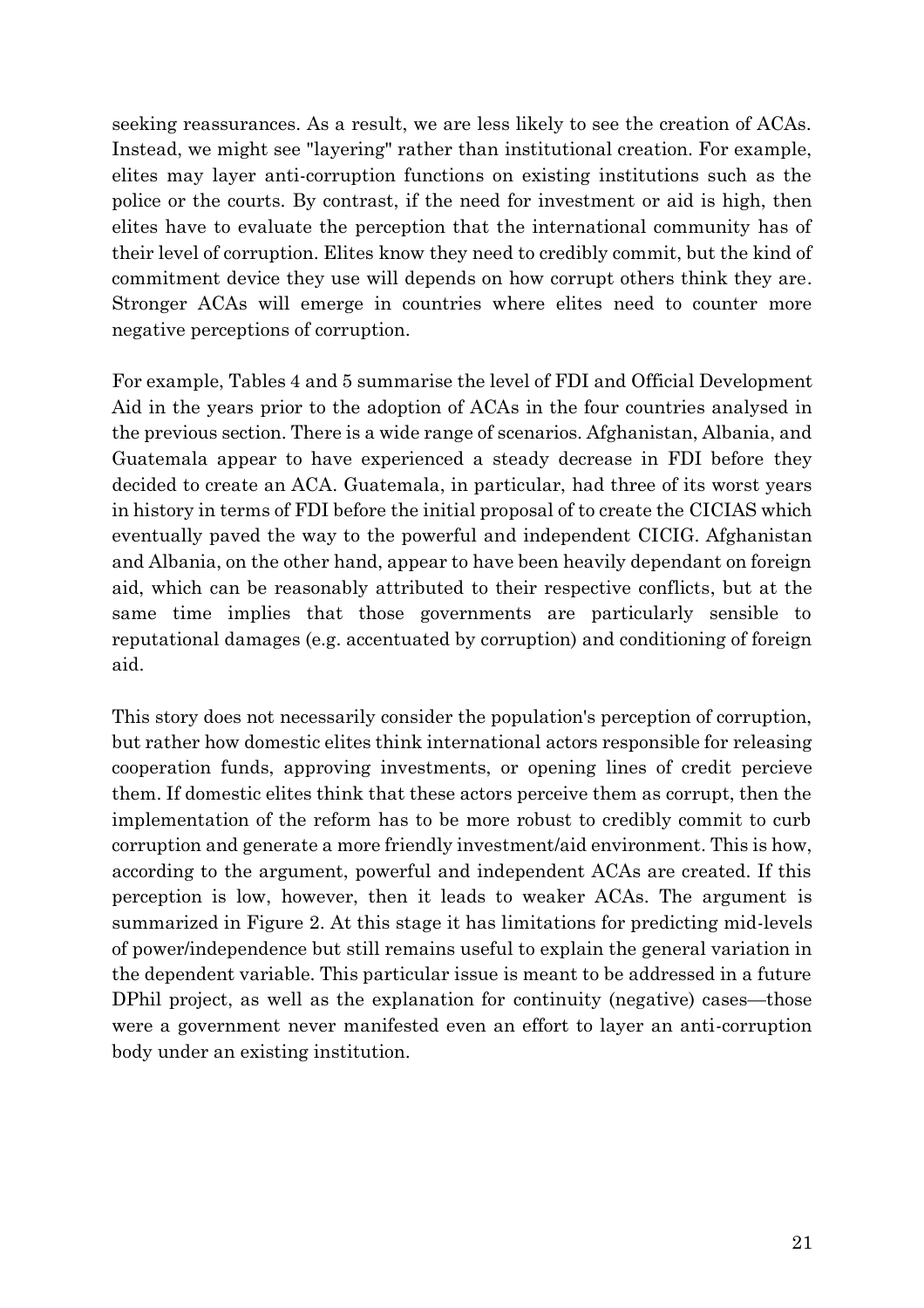seeking reassurances. As a result, we are less likely to see the creation of ACAs. Instead, we might see "layering" rather than institutional creation. For example, elites may layer anti-corruption functions on existing institutions such as the police or the courts. By contrast, if the need for investment or aid is high, then elites have to evaluate the perception that the international community has of their level of corruption. Elites know they need to credibly commit, but the kind of commitment device they use will depends on how corrupt others think they are. Stronger ACAs will emerge in countries where elites need to counter more negative perceptions of corruption.

For example, Tables 4 and 5 summarise the level of FDI and Official Development Aid in the years prior to the adoption of ACAs in the four countries analysed in the previous section. There is a wide range of scenarios. Afghanistan, Albania, and Guatemala appear to have experienced a steady decrease in FDI before they decided to create an ACA. Guatemala, in particular, had three of its worst years in history in terms of FDI before the initial proposal of to create the CICIAS which eventually paved the way to the powerful and independent CICIG. Afghanistan and Albania, on the other hand, appear to have been heavily dependant on foreign aid, which can be reasonably attributed to their respective conflicts, but at the same time implies that those governments are particularly sensible to reputational damages (e.g. accentuated by corruption) and conditioning of foreign aid.

This story does not necessarily consider the population's perception of corruption, but rather how domestic elites think international actors responsible for releasing cooperation funds, approving investments, or opening lines of credit percieve them. If domestic elites think that these actors perceive them as corrupt, then the implementation of the reform has to be more robust to credibly commit to curb corruption and generate a more friendly investment/aid environment. This is how, according to the argument, powerful and independent ACAs are created. If this perception is low, however, then it leads to weaker ACAs. The argument is summarized in Figure 2. At this stage it has limitations for predicting mid-levels of power/independence but still remains useful to explain the general variation in the dependent variable. This particular issue is meant to be addressed in a future DPhil project, as well as the explanation for continuity (negative) cases—those were a government never manifested even an effort to layer an anti-corruption body under an existing institution.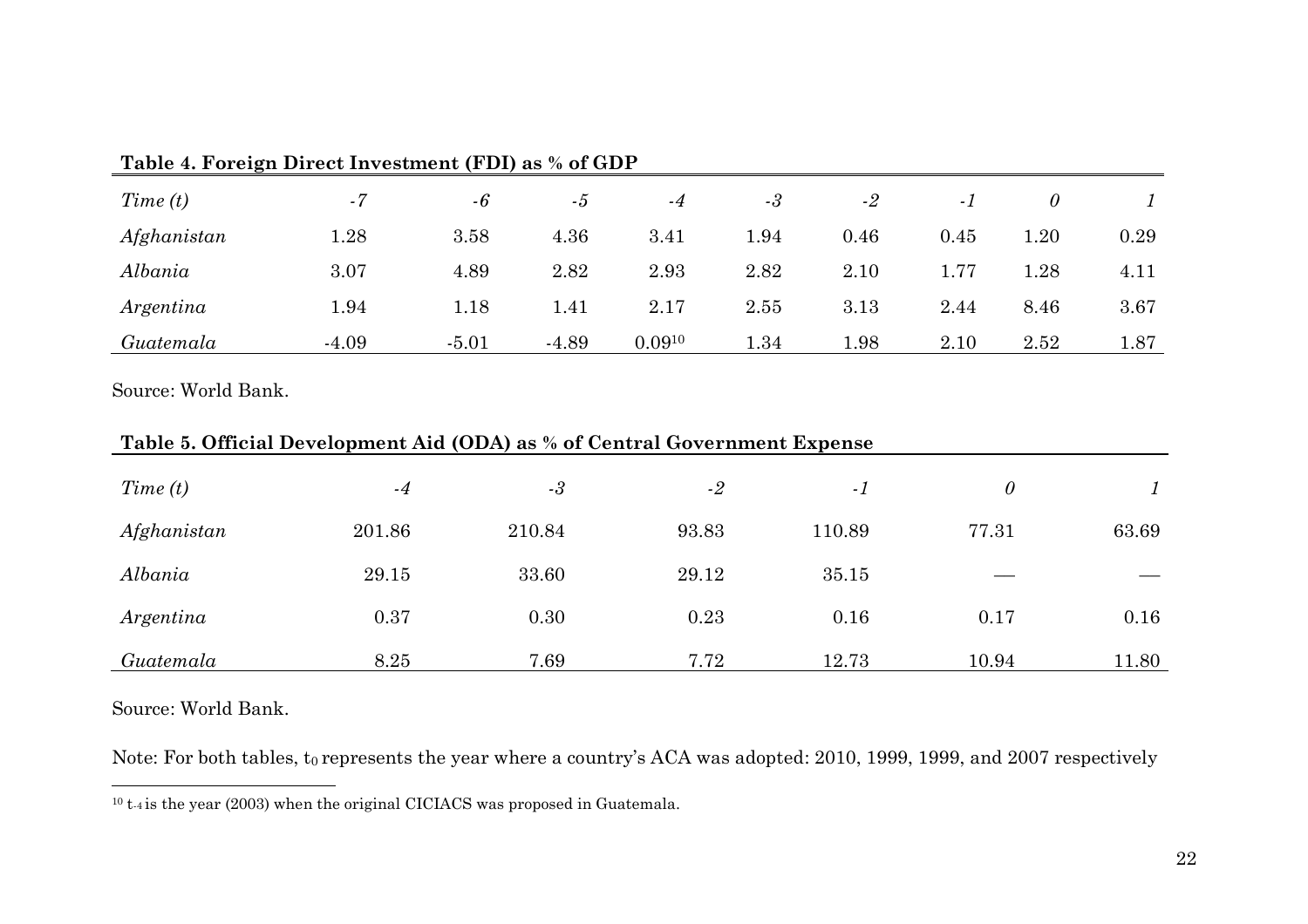| Time(t)     | $-7$    | $-6$    | -5      | $-4$        | $-3$ | $-2$ | - 1  |      |      |
|-------------|---------|---------|---------|-------------|------|------|------|------|------|
| Afghanistan | 1.28    | 3.58    | 4.36    | 3.41        | 1.94 | 0.46 | 0.45 | 1.20 | 0.29 |
| Albania     | 3.07    | 4.89    | 2.82    | 2.93        | 2.82 | 2.10 | 1.77 | 1.28 | 4.11 |
| Argentina   | 1.94    | 1.18    | 1.41    | 2.17        | 2.55 | 3.13 | 2.44 | 8.46 | 3.67 |
| Guatemala   | $-4.09$ | $-5.01$ | $-4.89$ | $0.09^{10}$ | 1.34 | 1.98 | 2.10 | 2.52 | 1.87 |

#### **Table 4. Foreign Direct Investment (FDI) as % of GDP**

Source: World Bank.

| Time(t)     | $-4$   | $-3$   | $-2$  | $-1$   | $\theta$ |       |
|-------------|--------|--------|-------|--------|----------|-------|
| Afghanistan | 201.86 | 210.84 | 93.83 | 110.89 | 77.31    | 63.69 |
| Albania     | 29.15  | 33.60  | 29.12 | 35.15  |          |       |
| Argentina   | 0.37   | 0.30   | 0.23  | 0.16   | 0.17     | 0.16  |
| Guatemala   | 8.25   | 7.69   | 7.72  | 12.73  | 10.94    | 11.80 |

### **Table 5. Official Development Aid (ODA) as % of Central Government Expense**

Source: World Bank.

Note: For both tables, t<sub>0</sub> represents the year where a country's ACA was adopted: 2010, 1999, 1999, and 2007 respectively

<sup>10</sup> t-4 is the year (2003) when the original CICIACS was proposed in Guatemala.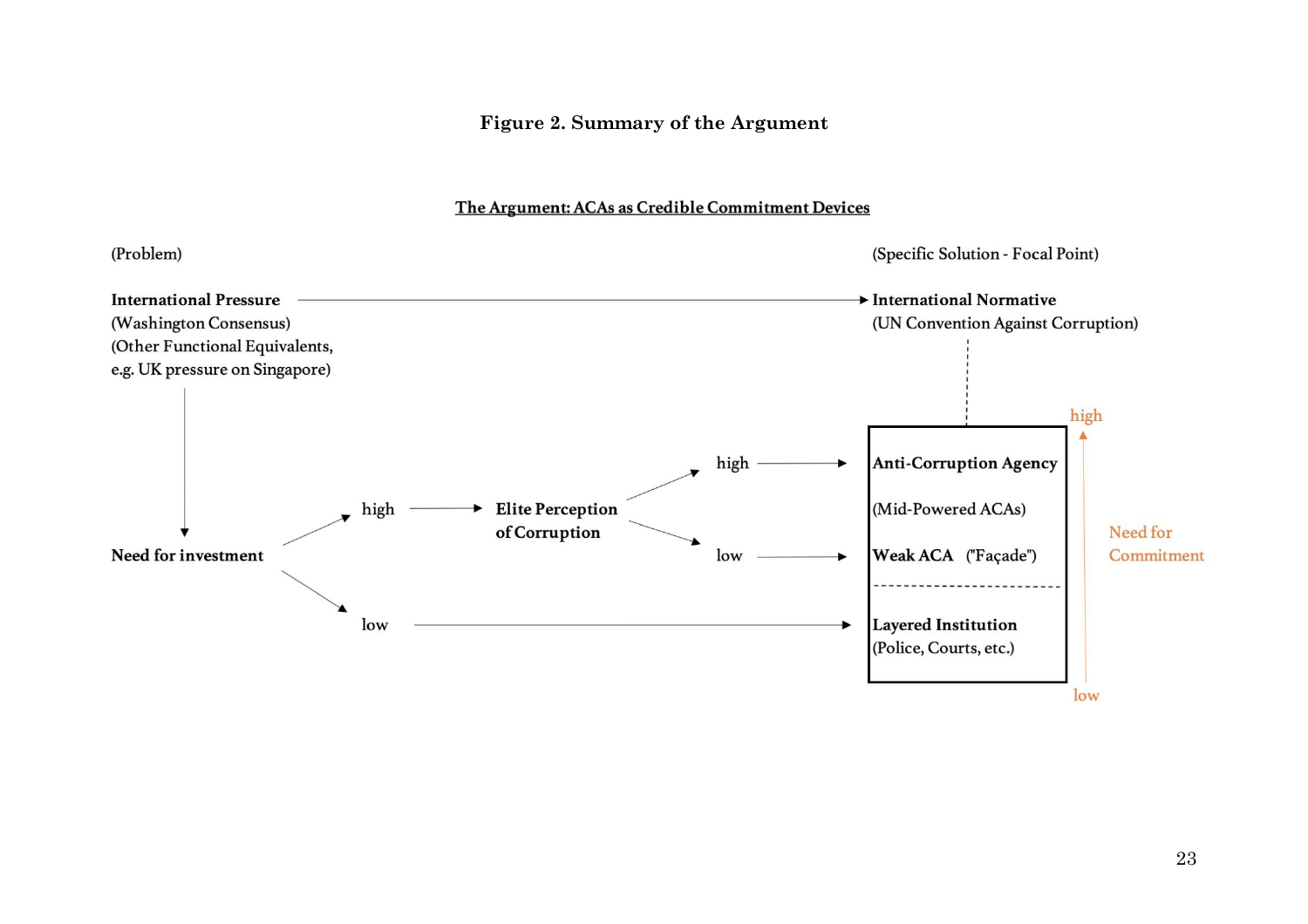#### **Figure 2. Summary of the Argument**

#### The Argument: ACAs as Credible Commitment Devices

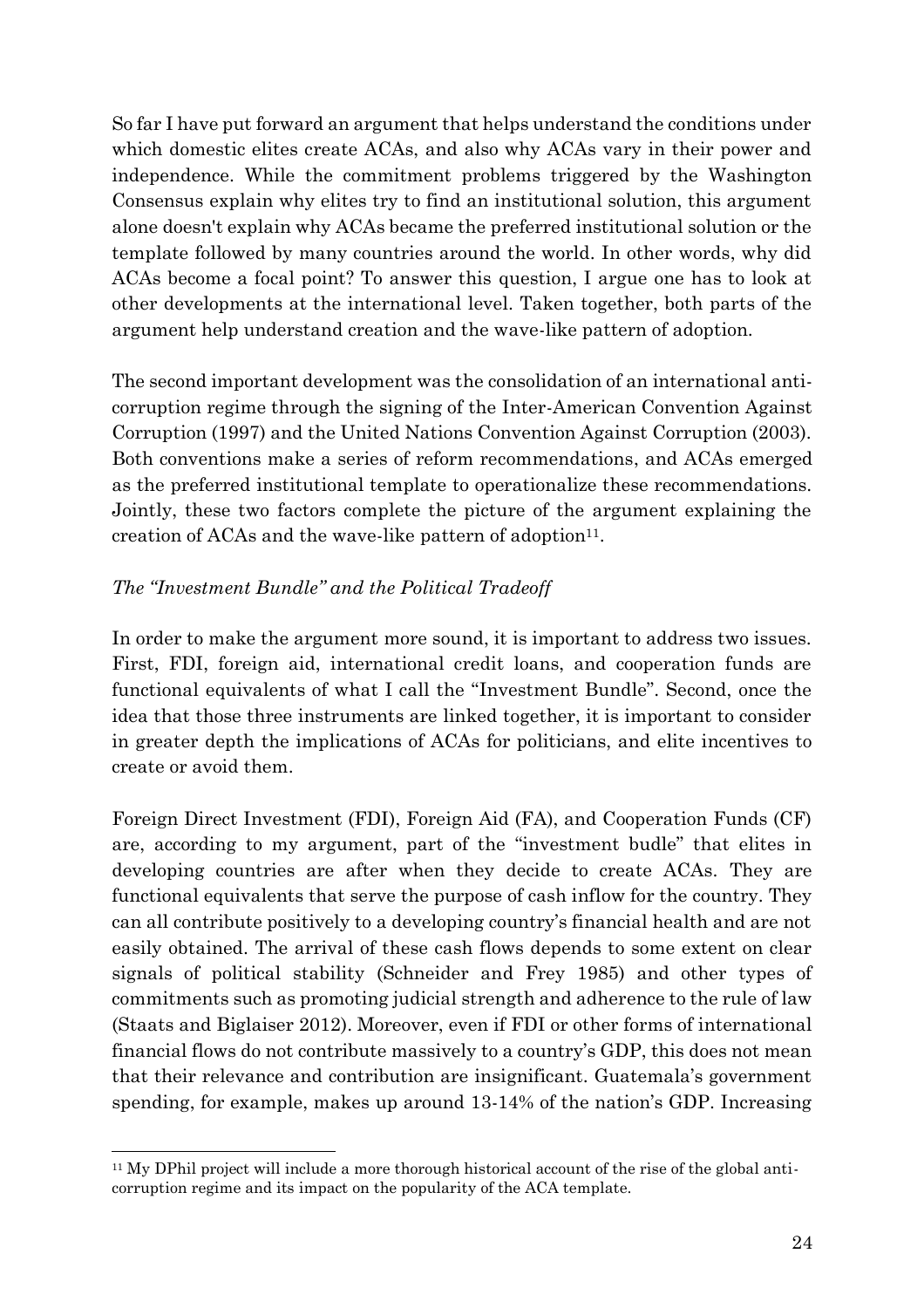So far I have put forward an argument that helps understand the conditions under which domestic elites create ACAs, and also why ACAs vary in their power and independence. While the commitment problems triggered by the Washington Consensus explain why elites try to find an institutional solution, this argument alone doesn't explain why ACAs became the preferred institutional solution or the template followed by many countries around the world. In other words, why did ACAs become a focal point? To answer this question, I argue one has to look at other developments at the international level. Taken together, both parts of the argument help understand creation and the wave-like pattern of adoption.

The second important development was the consolidation of an international anticorruption regime through the signing of the Inter-American Convention Against Corruption (1997) and the United Nations Convention Against Corruption (2003). Both conventions make a series of reform recommendations, and ACAs emerged as the preferred institutional template to operationalize these recommendations. Jointly, these two factors complete the picture of the argument explaining the creation of ACAs and the wave-like pattern of adoption $11$ .

#### *The "Investment Bundle" and the Political Tradeoff*

In order to make the argument more sound, it is important to address two issues. First, FDI, foreign aid, international credit loans, and cooperation funds are functional equivalents of what I call the "Investment Bundle". Second, once the idea that those three instruments are linked together, it is important to consider in greater depth the implications of ACAs for politicians, and elite incentives to create or avoid them.

Foreign Direct Investment (FDI), Foreign Aid (FA), and Cooperation Funds (CF) are, according to my argument, part of the "investment budle" that elites in developing countries are after when they decide to create ACAs. They are functional equivalents that serve the purpose of cash inflow for the country. They can all contribute positively to a developing country's financial health and are not easily obtained. The arrival of these cash flows depends to some extent on clear signals of political stability (Schneider and Frey 1985) and other types of commitments such as promoting judicial strength and adherence to the rule of law (Staats and Biglaiser 2012). Moreover, even if FDI or other forms of international financial flows do not contribute massively to a country's GDP, this does not mean that their relevance and contribution are insignificant. Guatemala's government spending, for example, makes up around 13-14% of the nation's GDP. Increasing

<sup>11</sup> My DPhil project will include a more thorough historical account of the rise of the global anticorruption regime and its impact on the popularity of the ACA template.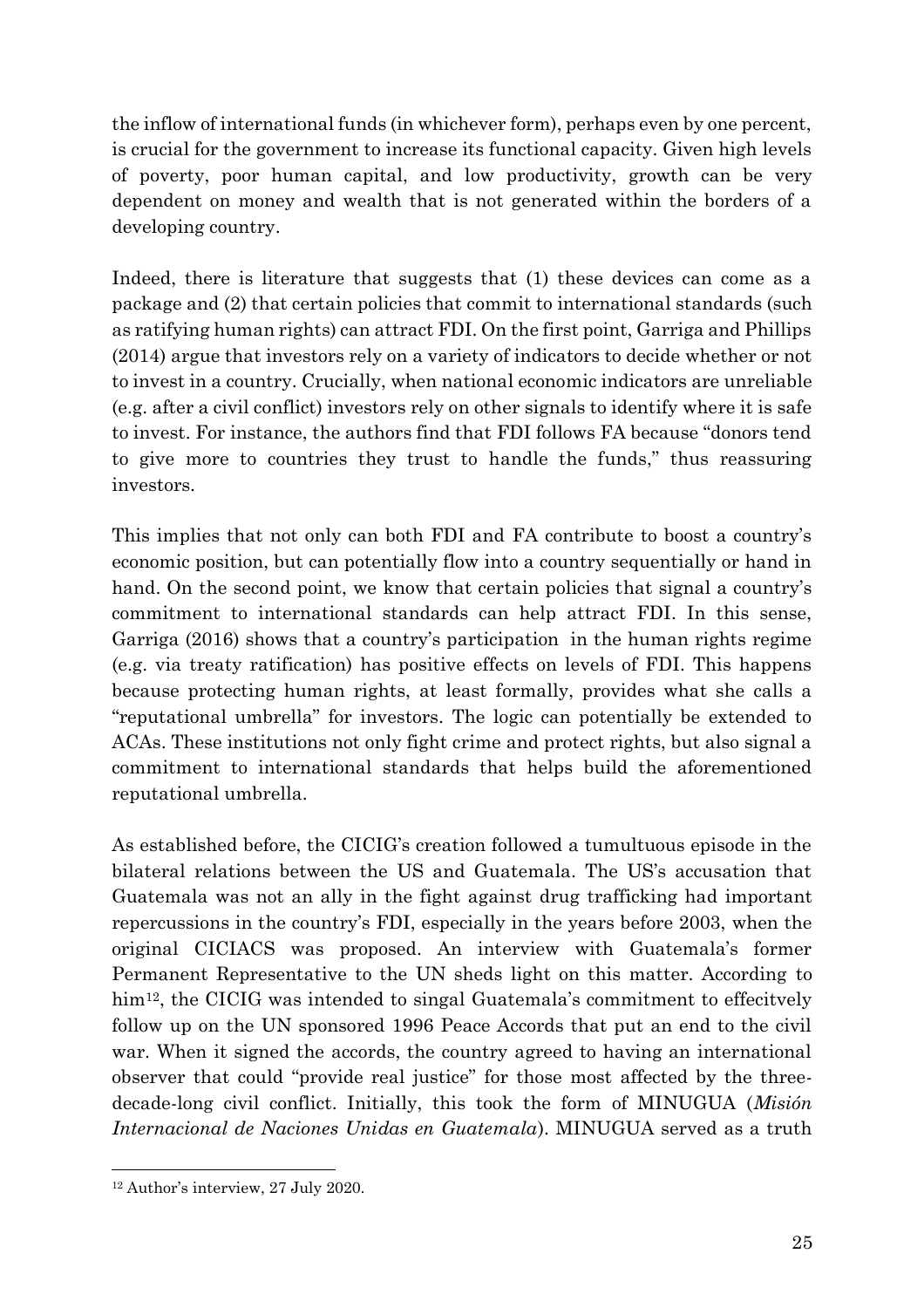the inflow of international funds (in whichever form), perhaps even by one percent, is crucial for the government to increase its functional capacity. Given high levels of poverty, poor human capital, and low productivity, growth can be very dependent on money and wealth that is not generated within the borders of a developing country.

Indeed, there is literature that suggests that (1) these devices can come as a package and (2) that certain policies that commit to international standards (such as ratifying human rights) can attract FDI. On the first point, Garriga and Phillips (2014) argue that investors rely on a variety of indicators to decide whether or not to invest in a country. Crucially, when national economic indicators are unreliable (e.g. after a civil conflict) investors rely on other signals to identify where it is safe to invest. For instance, the authors find that FDI follows FA because "donors tend to give more to countries they trust to handle the funds," thus reassuring investors.

This implies that not only can both FDI and FA contribute to boost a country's economic position, but can potentially flow into a country sequentially or hand in hand. On the second point, we know that certain policies that signal a country's commitment to international standards can help attract FDI. In this sense, Garriga (2016) shows that a country's participation in the human rights regime (e.g. via treaty ratification) has positive effects on levels of FDI. This happens because protecting human rights, at least formally, provides what she calls a "reputational umbrella" for investors. The logic can potentially be extended to ACAs. These institutions not only fight crime and protect rights, but also signal a commitment to international standards that helps build the aforementioned reputational umbrella.

As established before, the CICIG's creation followed a tumultuous episode in the bilateral relations between the US and Guatemala. The US's accusation that Guatemala was not an ally in the fight against drug trafficking had important repercussions in the country's FDI, especially in the years before 2003, when the original CICIACS was proposed. An interview with Guatemala's former Permanent Representative to the UN sheds light on this matter. According to him<sup>12</sup>, the CICIG was intended to singal Guatemala's commitment to effecitvely follow up on the UN sponsored 1996 Peace Accords that put an end to the civil war. When it signed the accords, the country agreed to having an international observer that could "provide real justice" for those most affected by the threedecade-long civil conflict. Initially, this took the form of MINUGUA (*Misión Internacional de Naciones Unidas en Guatemala*). MINUGUA served as a truth

<sup>12</sup> Author's interview, 27 July 2020.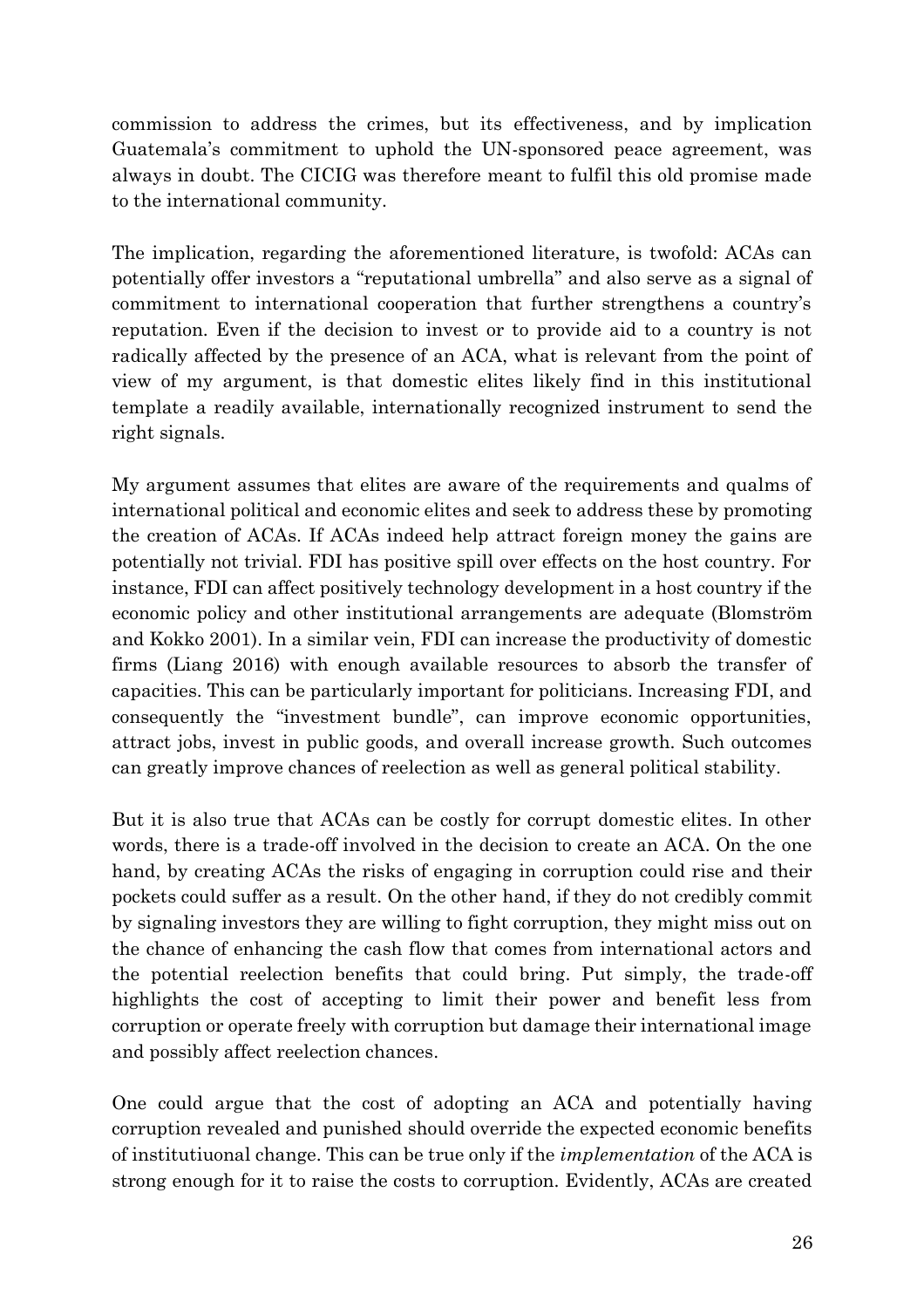commission to address the crimes, but its effectiveness, and by implication Guatemala's commitment to uphold the UN-sponsored peace agreement, was always in doubt. The CICIG was therefore meant to fulfil this old promise made to the international community.

The implication, regarding the aforementioned literature, is twofold: ACAs can potentially offer investors a "reputational umbrella" and also serve as a signal of commitment to international cooperation that further strengthens a country's reputation. Even if the decision to invest or to provide aid to a country is not radically affected by the presence of an ACA, what is relevant from the point of view of my argument, is that domestic elites likely find in this institutional template a readily available, internationally recognized instrument to send the right signals.

My argument assumes that elites are aware of the requirements and qualms of international political and economic elites and seek to address these by promoting the creation of ACAs. If ACAs indeed help attract foreign money the gains are potentially not trivial. FDI has positive spill over effects on the host country. For instance, FDI can affect positively technology development in a host country if the economic policy and other institutional arrangements are adequate (Blomström and Kokko 2001). In a similar vein, FDI can increase the productivity of domestic firms (Liang 2016) with enough available resources to absorb the transfer of capacities. This can be particularly important for politicians. Increasing FDI, and consequently the "investment bundle", can improve economic opportunities, attract jobs, invest in public goods, and overall increase growth. Such outcomes can greatly improve chances of reelection as well as general political stability.

But it is also true that ACAs can be costly for corrupt domestic elites. In other words, there is a trade-off involved in the decision to create an ACA. On the one hand, by creating ACAs the risks of engaging in corruption could rise and their pockets could suffer as a result. On the other hand, if they do not credibly commit by signaling investors they are willing to fight corruption, they might miss out on the chance of enhancing the cash flow that comes from international actors and the potential reelection benefits that could bring. Put simply, the trade-off highlights the cost of accepting to limit their power and benefit less from corruption or operate freely with corruption but damage their international image and possibly affect reelection chances.

One could argue that the cost of adopting an ACA and potentially having corruption revealed and punished should override the expected economic benefits of institutiuonal change. This can be true only if the *implementation* of the ACA is strong enough for it to raise the costs to corruption. Evidently, ACAs are created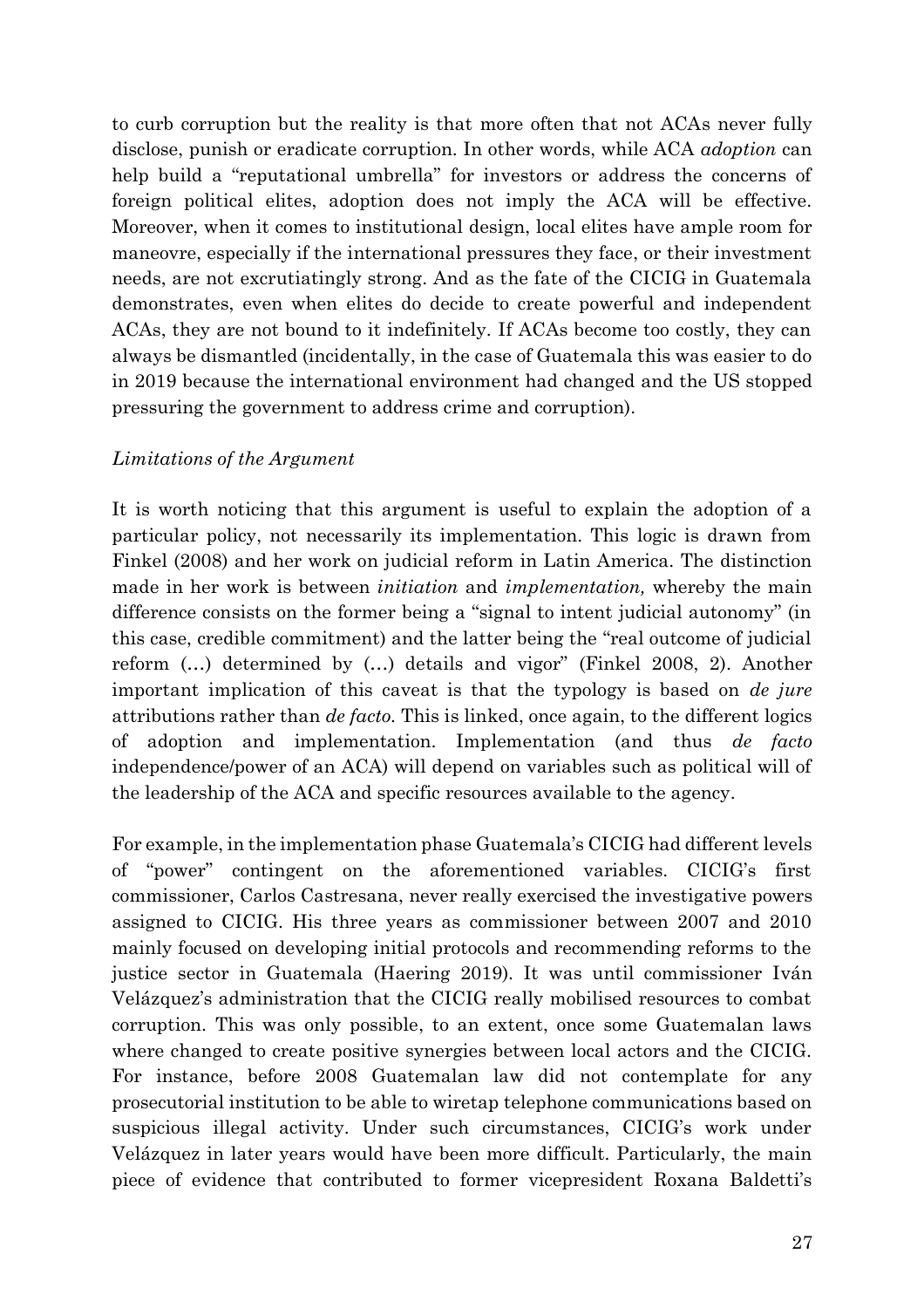to curb corruption but the reality is that more often that not ACAs never fully disclose, punish or eradicate corruption. In other words, while ACA *adoption* can help build a "reputational umbrella" for investors or address the concerns of foreign political elites, adoption does not imply the ACA will be effective. Moreover, when it comes to institutional design, local elites have ample room for maneovre, especially if the international pressures they face, or their investment needs, are not excrutiatingly strong. And as the fate of the CICIG in Guatemala demonstrates, even when elites do decide to create powerful and independent ACAs, they are not bound to it indefinitely. If ACAs become too costly, they can always be dismantled (incidentally, in the case of Guatemala this was easier to do in 2019 because the international environment had changed and the US stopped pressuring the government to address crime and corruption).

#### *Limitations of the Argument*

It is worth noticing that this argument is useful to explain the adoption of a particular policy, not necessarily its implementation. This logic is drawn from Finkel (2008) and her work on judicial reform in Latin America. The distinction made in her work is between *initiation* and *implementation,* whereby the main difference consists on the former being a "signal to intent judicial autonomy" (in this case, credible commitment) and the latter being the "real outcome of judicial reform (…) determined by (…) details and vigor" (Finkel 2008, 2). Another important implication of this caveat is that the typology is based on *de jure*  attributions rather than *de facto.* This is linked, once again, to the different logics of adoption and implementation. Implementation (and thus *de facto*  independence/power of an ACA) will depend on variables such as political will of the leadership of the ACA and specific resources available to the agency.

For example, in the implementation phase Guatemala's CICIG had different levels of "power" contingent on the aforementioned variables. CICIG's first commissioner, Carlos Castresana, never really exercised the investigative powers assigned to CICIG. His three years as commissioner between 2007 and 2010 mainly focused on developing initial protocols and recommending reforms to the justice sector in Guatemala (Haering 2019). It was until commissioner Iván Velázquez's administration that the CICIG really mobilised resources to combat corruption. This was only possible, to an extent, once some Guatemalan laws where changed to create positive synergies between local actors and the CICIG. For instance, before 2008 Guatemalan law did not contemplate for any prosecutorial institution to be able to wiretap telephone communications based on suspicious illegal activity. Under such circumstances, CICIG's work under Velázquez in later years would have been more difficult. Particularly, the main piece of evidence that contributed to former vicepresident Roxana Baldetti's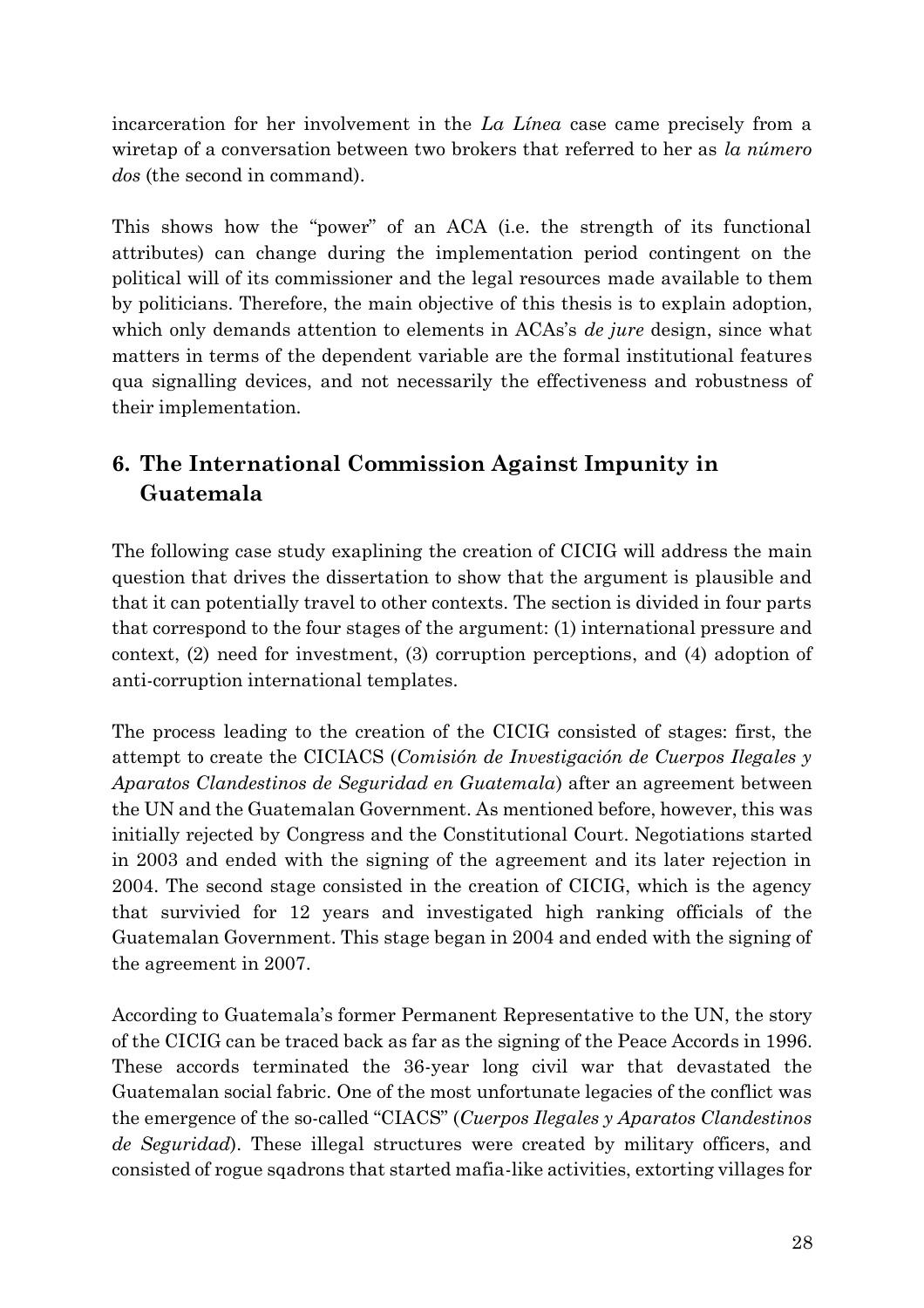incarceration for her involvement in the *La Línea* case came precisely from a wiretap of a conversation between two brokers that referred to her as *la número dos* (the second in command).

This shows how the "power" of an ACA (i.e. the strength of its functional attributes) can change during the implementation period contingent on the political will of its commissioner and the legal resources made available to them by politicians. Therefore, the main objective of this thesis is to explain adoption, which only demands attention to elements in ACAs's *de jure* design, since what matters in terms of the dependent variable are the formal institutional features qua signalling devices, and not necessarily the effectiveness and robustness of their implementation.

# **6. The International Commission Against Impunity in Guatemala**

The following case study exaplining the creation of CICIG will address the main question that drives the dissertation to show that the argument is plausible and that it can potentially travel to other contexts. The section is divided in four parts that correspond to the four stages of the argument: (1) international pressure and context, (2) need for investment, (3) corruption perceptions, and (4) adoption of anti-corruption international templates.

The process leading to the creation of the CICIG consisted of stages: first, the attempt to create the CICIACS (*Comisión de Investigación de Cuerpos Ilegales y Aparatos Clandestinos de Seguridad en Guatemala*) after an agreement between the UN and the Guatemalan Government. As mentioned before, however, this was initially rejected by Congress and the Constitutional Court. Negotiations started in 2003 and ended with the signing of the agreement and its later rejection in 2004. The second stage consisted in the creation of CICIG, which is the agency that survivied for 12 years and investigated high ranking officials of the Guatemalan Government. This stage began in 2004 and ended with the signing of the agreement in 2007.

According to Guatemala's former Permanent Representative to the UN, the story of the CICIG can be traced back as far as the signing of the Peace Accords in 1996. These accords terminated the 36-year long civil war that devastated the Guatemalan social fabric. One of the most unfortunate legacies of the conflict was the emergence of the so-called "CIACS" (*Cuerpos Ilegales y Aparatos Clandestinos de Seguridad*). These illegal structures were created by military officers, and consisted of rogue sqadrons that started mafia-like activities, extorting villages for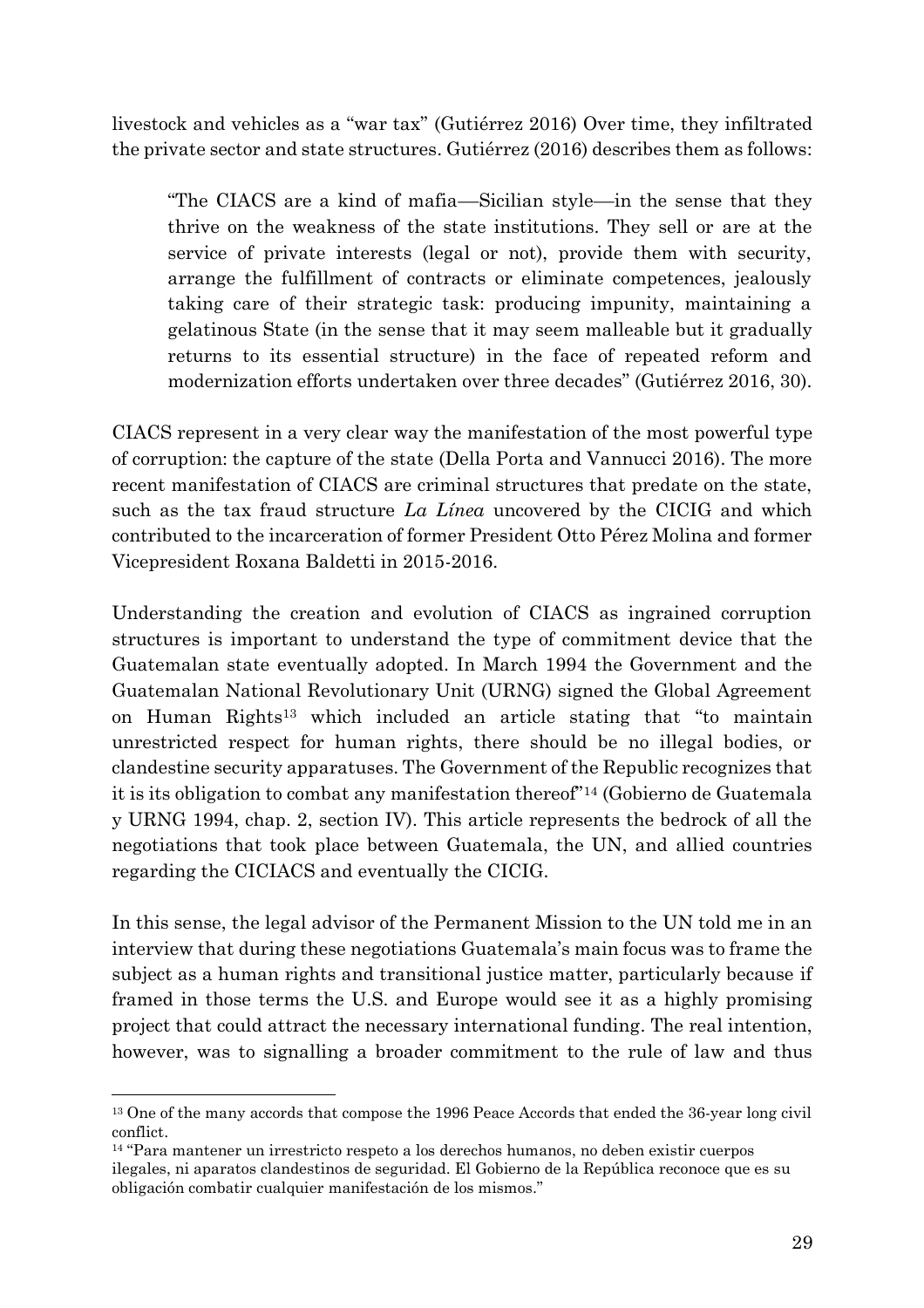livestock and vehicles as a "war tax" (Gutiérrez 2016) Over time, they infiltrated the private sector and state structures. Gutiérrez (2016) describes them as follows:

"The CIACS are a kind of mafia––Sicilian style––in the sense that they thrive on the weakness of the state institutions. They sell or are at the service of private interests (legal or not), provide them with security, arrange the fulfillment of contracts or eliminate competences, jealously taking care of their strategic task: producing impunity, maintaining a gelatinous State (in the sense that it may seem malleable but it gradually returns to its essential structure) in the face of repeated reform and modernization efforts undertaken over three decades" (Gutiérrez 2016, 30).

CIACS represent in a very clear way the manifestation of the most powerful type of corruption: the capture of the state (Della Porta and Vannucci 2016). The more recent manifestation of CIACS are criminal structures that predate on the state, such as the tax fraud structure *La Línea* uncovered by the CICIG and which contributed to the incarceration of former President Otto Pérez Molina and former Vicepresident Roxana Baldetti in 2015-2016.

Understanding the creation and evolution of CIACS as ingrained corruption structures is important to understand the type of commitment device that the Guatemalan state eventually adopted. In March 1994 the Government and the Guatemalan National Revolutionary Unit (URNG) signed the Global Agreement on Human Rights<sup>13</sup> which included an article stating that "to maintain unrestricted respect for human rights, there should be no illegal bodies, or clandestine security apparatuses. The Government of the Republic recognizes that it is its obligation to combat any manifestation thereof" <sup>14</sup> (Gobierno de Guatemala y URNG 1994, chap. 2, section IV). This article represents the bedrock of all the negotiations that took place between Guatemala, the UN, and allied countries regarding the CICIACS and eventually the CICIG.

In this sense, the legal advisor of the Permanent Mission to the UN told me in an interview that during these negotiations Guatemala's main focus was to frame the subject as a human rights and transitional justice matter, particularly because if framed in those terms the U.S. and Europe would see it as a highly promising project that could attract the necessary international funding. The real intention, however, was to signalling a broader commitment to the rule of law and thus

<sup>&</sup>lt;sup>13</sup> One of the many accords that compose the 1996 Peace Accords that ended the 36-year long civil conflict.

<sup>14</sup> "Para mantener un irrestricto respeto a los derechos humanos, no deben existir cuerpos ilegales, ni aparatos clandestinos de seguridad. El Gobierno de la República reconoce que es su obligación combatir cualquier manifestación de los mismos."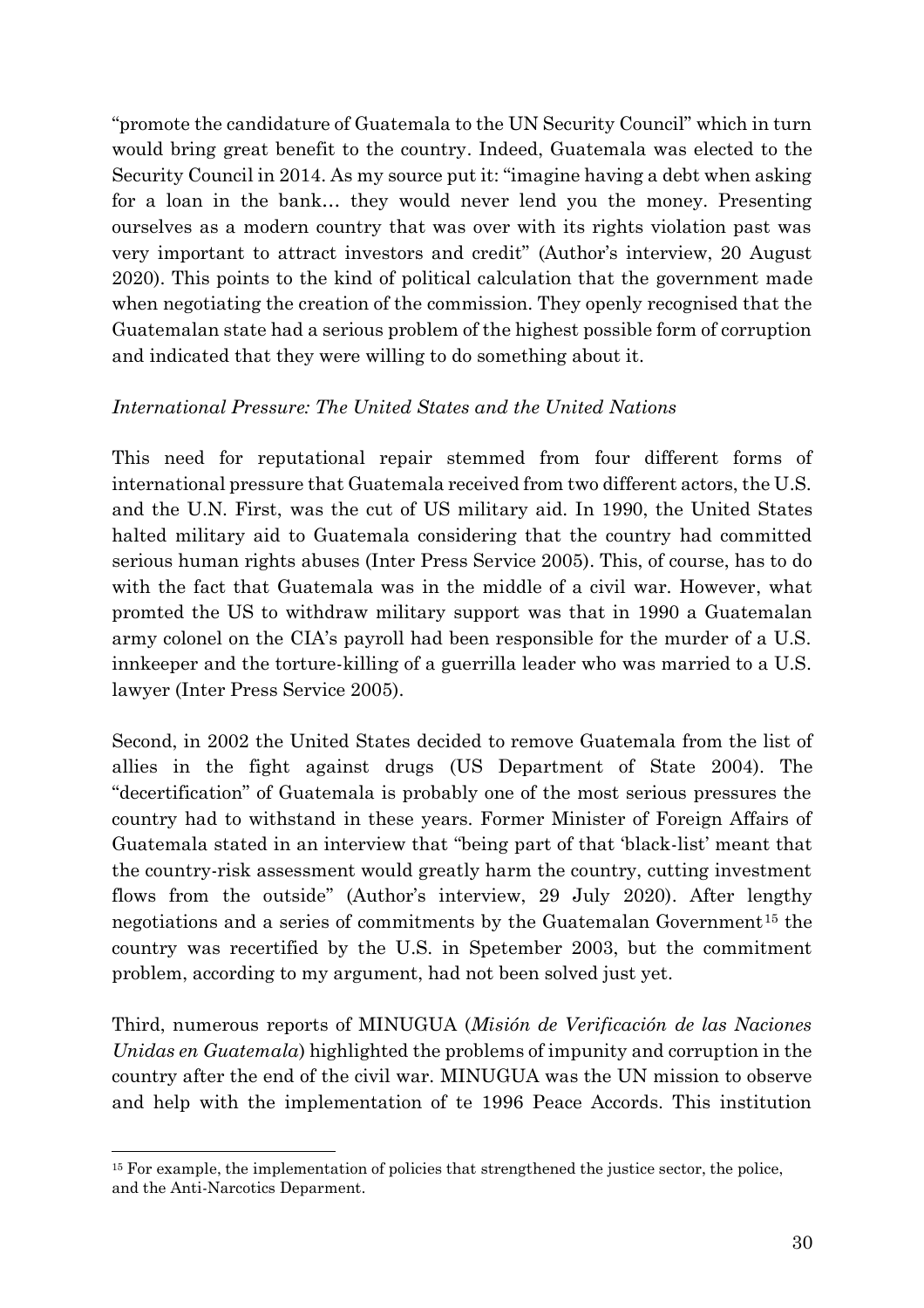"promote the candidature of Guatemala to the UN Security Council" which in turn would bring great benefit to the country. Indeed, Guatemala was elected to the Security Council in 2014. As my source put it: "imagine having a debt when asking for a loan in the bank… they would never lend you the money. Presenting ourselves as a modern country that was over with its rights violation past was very important to attract investors and credit" (Author's interview, 20 August 2020). This points to the kind of political calculation that the government made when negotiating the creation of the commission. They openly recognised that the Guatemalan state had a serious problem of the highest possible form of corruption and indicated that they were willing to do something about it.

### *International Pressure: The United States and the United Nations*

This need for reputational repair stemmed from four different forms of international pressure that Guatemala received from two different actors, the U.S. and the U.N. First, was the cut of US military aid. In 1990, the United States halted military aid to Guatemala considering that the country had committed serious human rights abuses (Inter Press Service 2005). This, of course, has to do with the fact that Guatemala was in the middle of a civil war. However, what promted the US to withdraw military support was that in 1990 a Guatemalan army colonel on the CIA's payroll had been responsible for the murder of a U.S. innkeeper and the torture-killing of a guerrilla leader who was married to a U.S. lawyer (Inter Press Service 2005).

Second, in 2002 the United States decided to remove Guatemala from the list of allies in the fight against drugs (US Department of State 2004). The "decertification" of Guatemala is probably one of the most serious pressures the country had to withstand in these years. Former Minister of Foreign Affairs of Guatemala stated in an interview that "being part of that 'black-list' meant that the country-risk assessment would greatly harm the country, cutting investment flows from the outside" (Author's interview, 29 July 2020). After lengthy negotiations and a series of commitments by the Guatemalan Government<sup>15</sup> the country was recertified by the U.S. in Spetember 2003, but the commitment problem, according to my argument, had not been solved just yet.

Third, numerous reports of MINUGUA (*Misión de Verificación de las Naciones Unidas en Guatemala*) highlighted the problems of impunity and corruption in the country after the end of the civil war. MINUGUA was the UN mission to observe and help with the implementation of te 1996 Peace Accords. This institution

<sup>&</sup>lt;sup>15</sup> For example, the implementation of policies that strengthened the justice sector, the police, and the Anti-Narcotics Deparment.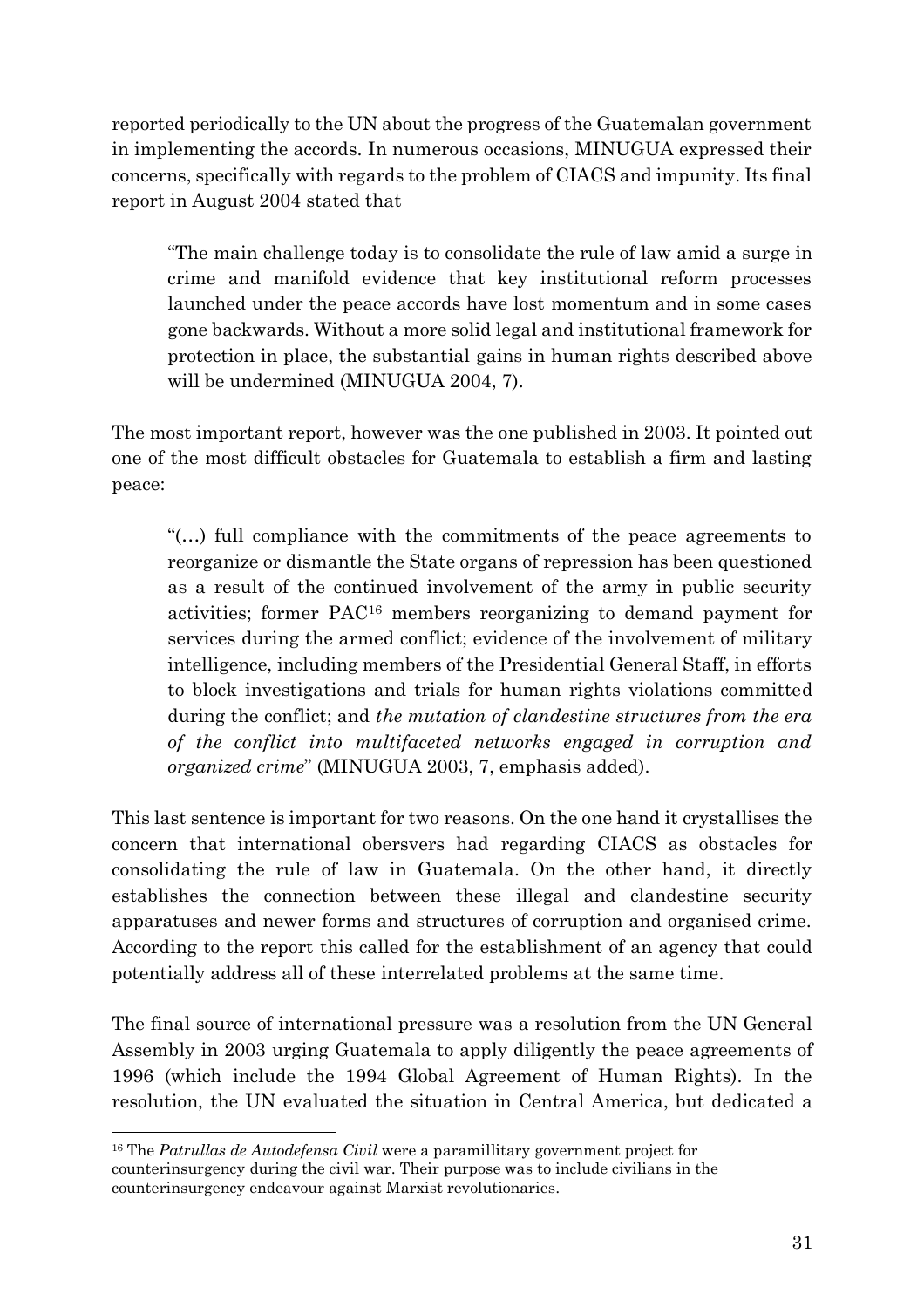reported periodically to the UN about the progress of the Guatemalan government in implementing the accords. In numerous occasions, MINUGUA expressed their concerns, specifically with regards to the problem of CIACS and impunity. Its final report in August 2004 stated that

"The main challenge today is to consolidate the rule of law amid a surge in crime and manifold evidence that key institutional reform processes launched under the peace accords have lost momentum and in some cases gone backwards. Without a more solid legal and institutional framework for protection in place, the substantial gains in human rights described above will be undermined (MINUGUA 2004, 7).

The most important report, however was the one published in 2003. It pointed out one of the most difficult obstacles for Guatemala to establish a firm and lasting peace:

"(…) full compliance with the commitments of the peace agreements to reorganize or dismantle the State organs of repression has been questioned as a result of the continued involvement of the army in public security activities; former PAC<sup>16</sup> members reorganizing to demand payment for services during the armed conflict; evidence of the involvement of military intelligence, including members of the Presidential General Staff, in efforts to block investigations and trials for human rights violations committed during the conflict; and *the mutation of clandestine structures from the era of the conflict into multifaceted networks engaged in corruption and organized crime*" (MINUGUA 2003, 7, emphasis added).

This last sentence is important for two reasons. On the one hand it crystallises the concern that international obersvers had regarding CIACS as obstacles for consolidating the rule of law in Guatemala. On the other hand, it directly establishes the connection between these illegal and clandestine security apparatuses and newer forms and structures of corruption and organised crime. According to the report this called for the establishment of an agency that could potentially address all of these interrelated problems at the same time.

The final source of international pressure was a resolution from the UN General Assembly in 2003 urging Guatemala to apply diligently the peace agreements of 1996 (which include the 1994 Global Agreement of Human Rights). In the resolution, the UN evaluated the situation in Central America, but dedicated a

<sup>16</sup> The *Patrullas de Autodefensa Civil* were a paramillitary government project for counterinsurgency during the civil war. Their purpose was to include civilians in the counterinsurgency endeavour against Marxist revolutionaries.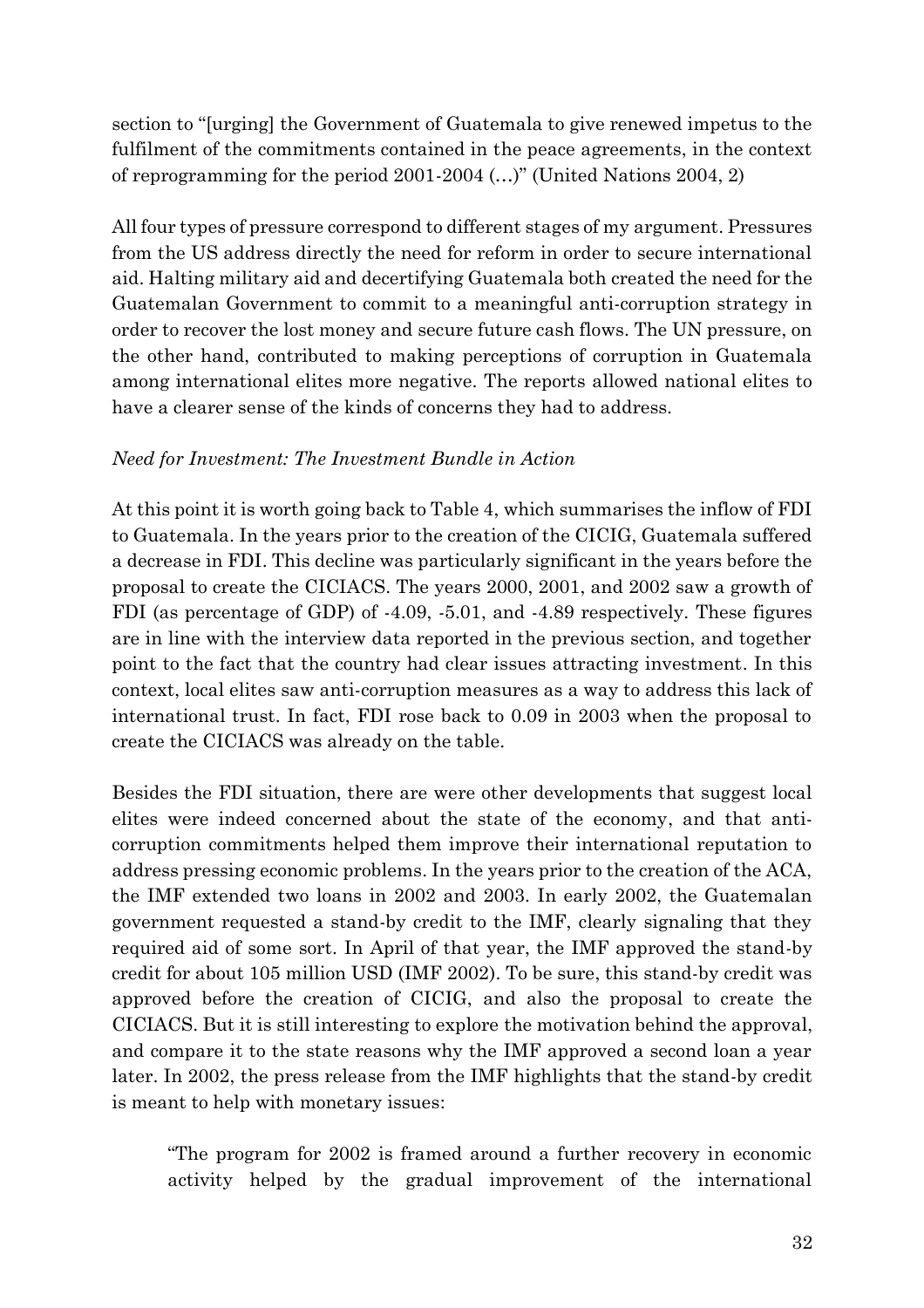section to "[urging] the Government of Guatemala to give renewed impetus to the fulfilment of the commitments contained in the peace agreements, in the context of reprogramming for the period 2001-2004 (…)" (United Nations 2004, 2)

All four types of pressure correspond to different stages of my argument. Pressures from the US address directly the need for reform in order to secure international aid. Halting military aid and decertifying Guatemala both created the need for the Guatemalan Government to commit to a meaningful anti-corruption strategy in order to recover the lost money and secure future cash flows. The UN pressure, on the other hand, contributed to making perceptions of corruption in Guatemala among international elites more negative. The reports allowed national elites to have a clearer sense of the kinds of concerns they had to address.

### *Need for Investment: The Investment Bundle in Action*

At this point it is worth going back to Table 4, which summarises the inflow of FDI to Guatemala. In the years prior to the creation of the CICIG, Guatemala suffered a decrease in FDI. This decline was particularly significant in the years before the proposal to create the CICIACS. The years 2000, 2001, and 2002 saw a growth of FDI (as percentage of GDP) of -4.09, -5.01, and -4.89 respectively. These figures are in line with the interview data reported in the previous section, and together point to the fact that the country had clear issues attracting investment. In this context, local elites saw anti-corruption measures as a way to address this lack of international trust. In fact, FDI rose back to 0.09 in 2003 when the proposal to create the CICIACS was already on the table.

Besides the FDI situation, there are were other developments that suggest local elites were indeed concerned about the state of the economy, and that anticorruption commitments helped them improve their international reputation to address pressing economic problems. In the years prior to the creation of the ACA, the IMF extended two loans in 2002 and 2003. In early 2002, the Guatemalan government requested a stand-by credit to the IMF, clearly signaling that they required aid of some sort. In April of that year, the IMF approved the stand-by credit for about 105 million USD (IMF 2002). To be sure, this stand-by credit was approved before the creation of CICIG, and also the proposal to create the CICIACS. But it is still interesting to explore the motivation behind the approval, and compare it to the state reasons why the IMF approved a second loan a year later. In 2002, the press release from the IMF highlights that the stand-by credit is meant to help with monetary issues:

"The program for 2002 is framed around a further recovery in economic activity helped by the gradual improvement of the international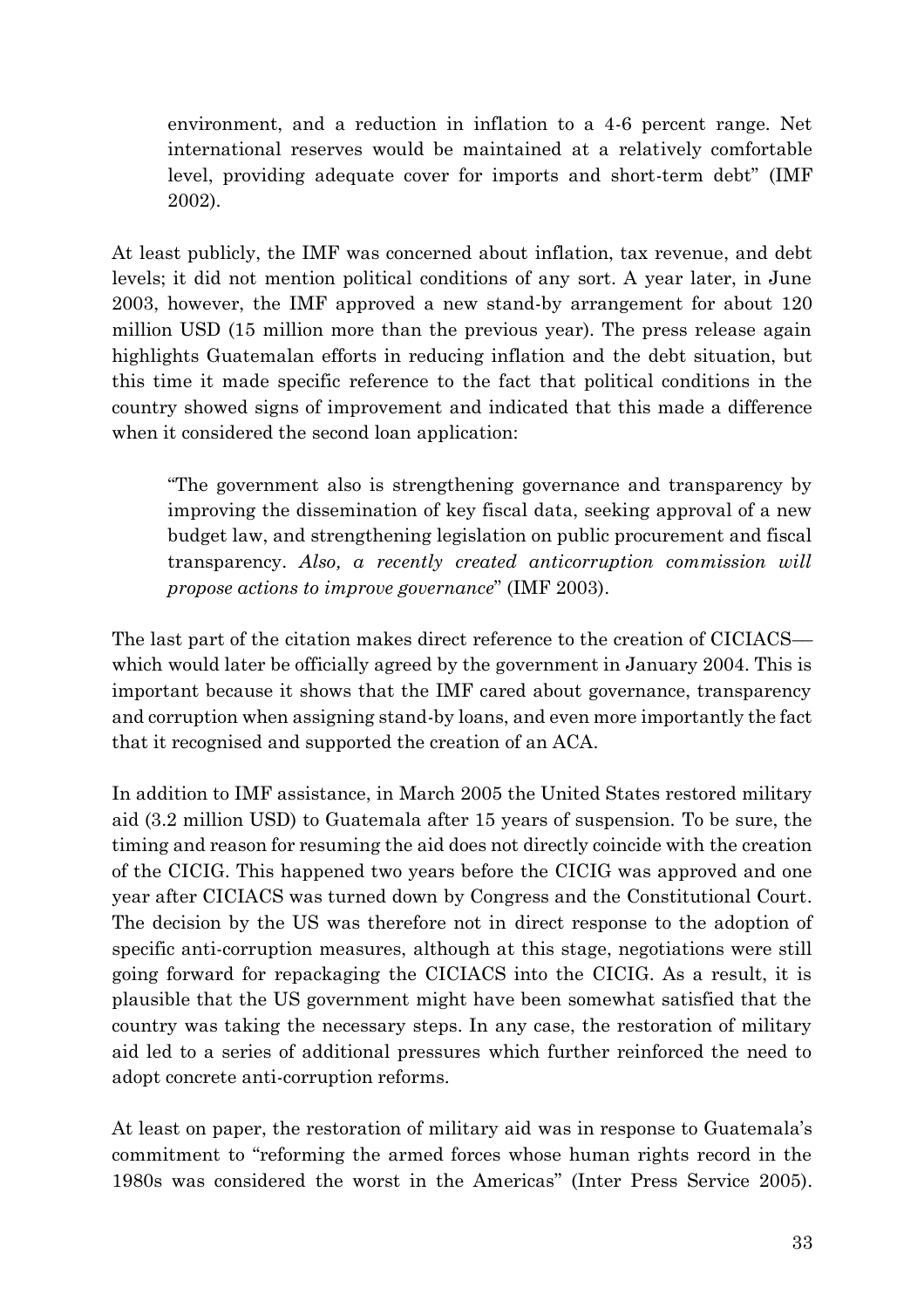environment, and a reduction in inflation to a 4-6 percent range. Net international reserves would be maintained at a relatively comfortable level, providing adequate cover for imports and short-term debt" (IMF 2002).

At least publicly, the IMF was concerned about inflation, tax revenue, and debt levels; it did not mention political conditions of any sort. A year later, in June 2003, however, the IMF approved a new stand-by arrangement for about 120 million USD (15 million more than the previous year). The press release again highlights Guatemalan efforts in reducing inflation and the debt situation, but this time it made specific reference to the fact that political conditions in the country showed signs of improvement and indicated that this made a difference when it considered the second loan application:

"The government also is strengthening governance and transparency by improving the dissemination of key fiscal data, seeking approval of a new budget law, and strengthening legislation on public procurement and fiscal transparency. *Also, a recently created anticorruption commission will propose actions to improve governance*" (IMF 2003).

The last part of the citation makes direct reference to the creation of CICIACS which would later be officially agreed by the government in January 2004. This is important because it shows that the IMF cared about governance, transparency and corruption when assigning stand-by loans, and even more importantly the fact that it recognised and supported the creation of an ACA.

In addition to IMF assistance, in March 2005 the United States restored military aid (3.2 million USD) to Guatemala after 15 years of suspension. To be sure, the timing and reason for resuming the aid does not directly coincide with the creation of the CICIG. This happened two years before the CICIG was approved and one year after CICIACS was turned down by Congress and the Constitutional Court. The decision by the US was therefore not in direct response to the adoption of specific anti-corruption measures, although at this stage, negotiations were still going forward for repackaging the CICIACS into the CICIG. As a result, it is plausible that the US government might have been somewhat satisfied that the country was taking the necessary steps. In any case, the restoration of military aid led to a series of additional pressures which further reinforced the need to adopt concrete anti-corruption reforms.

At least on paper, the restoration of military aid was in response to Guatemala's commitment to "reforming the armed forces whose human rights record in the 1980s was considered the worst in the Americas" (Inter Press Service 2005).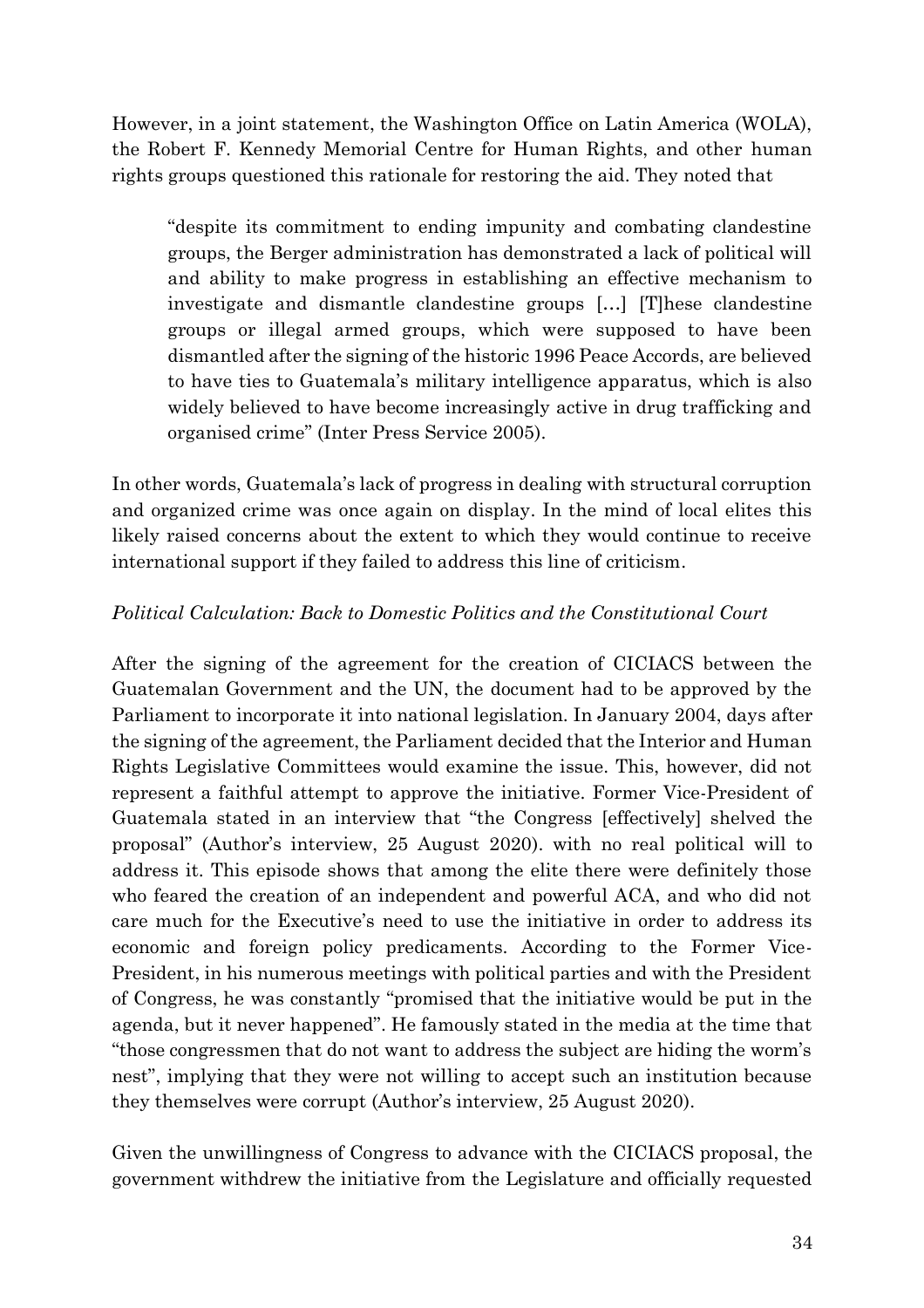However, in a joint statement, the Washington Office on Latin America (WOLA), the Robert F. Kennedy Memorial Centre for Human Rights, and other human rights groups questioned this rationale for restoring the aid. They noted that

"despite its commitment to ending impunity and combating clandestine groups, the Berger administration has demonstrated a lack of political will and ability to make progress in establishing an effective mechanism to investigate and dismantle clandestine groups […] [T]hese clandestine groups or illegal armed groups, which were supposed to have been dismantled after the signing of the historic 1996 Peace Accords, are believed to have ties to Guatemala's military intelligence apparatus, which is also widely believed to have become increasingly active in drug trafficking and organised crime" (Inter Press Service 2005).

In other words, Guatemala's lack of progress in dealing with structural corruption and organized crime was once again on display. In the mind of local elites this likely raised concerns about the extent to which they would continue to receive international support if they failed to address this line of criticism.

### *Political Calculation: Back to Domestic Politics and the Constitutional Court*

After the signing of the agreement for the creation of CICIACS between the Guatemalan Government and the UN, the document had to be approved by the Parliament to incorporate it into national legislation. In January 2004, days after the signing of the agreement, the Parliament decided that the Interior and Human Rights Legislative Committees would examine the issue. This, however, did not represent a faithful attempt to approve the initiative. Former Vice-President of Guatemala stated in an interview that "the Congress [effectively] shelved the proposal" (Author's interview, 25 August 2020). with no real political will to address it. This episode shows that among the elite there were definitely those who feared the creation of an independent and powerful ACA, and who did not care much for the Executive's need to use the initiative in order to address its economic and foreign policy predicaments. According to the Former Vice-President, in his numerous meetings with political parties and with the President of Congress, he was constantly "promised that the initiative would be put in the agenda, but it never happened". He famously stated in the media at the time that "those congressmen that do not want to address the subject are hiding the worm's nest", implying that they were not willing to accept such an institution because they themselves were corrupt (Author's interview, 25 August 2020).

Given the unwillingness of Congress to advance with the CICIACS proposal, the government withdrew the initiative from the Legislature and officially requested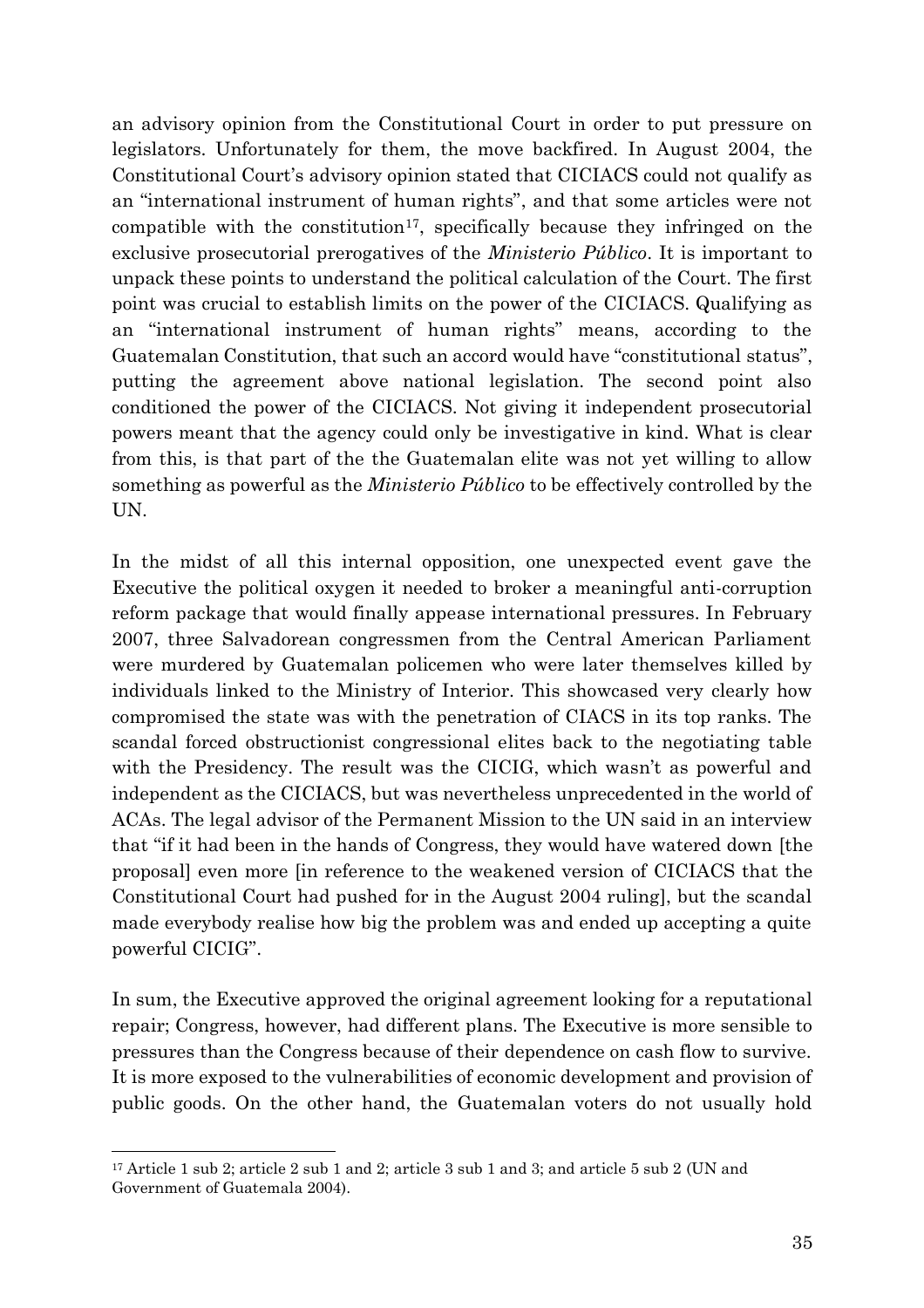an advisory opinion from the Constitutional Court in order to put pressure on legislators. Unfortunately for them, the move backfired. In August 2004, the Constitutional Court's advisory opinion stated that CICIACS could not qualify as an "international instrument of human rights", and that some articles were not compatible with the constitution<sup>17</sup>, specifically because they infringed on the exclusive prosecutorial prerogatives of the *Ministerio Público*. It is important to unpack these points to understand the political calculation of the Court. The first point was crucial to establish limits on the power of the CICIACS. Qualifying as an "international instrument of human rights" means, according to the Guatemalan Constitution, that such an accord would have "constitutional status", putting the agreement above national legislation. The second point also conditioned the power of the CICIACS. Not giving it independent prosecutorial powers meant that the agency could only be investigative in kind. What is clear from this, is that part of the the Guatemalan elite was not yet willing to allow something as powerful as the *Ministerio Público* to be effectively controlled by the UN.

In the midst of all this internal opposition, one unexpected event gave the Executive the political oxygen it needed to broker a meaningful anti-corruption reform package that would finally appease international pressures. In February 2007, three Salvadorean congressmen from the Central American Parliament were murdered by Guatemalan policemen who were later themselves killed by individuals linked to the Ministry of Interior. This showcased very clearly how compromised the state was with the penetration of CIACS in its top ranks. The scandal forced obstructionist congressional elites back to the negotiating table with the Presidency. The result was the CICIG, which wasn't as powerful and independent as the CICIACS, but was nevertheless unprecedented in the world of ACAs. The legal advisor of the Permanent Mission to the UN said in an interview that "if it had been in the hands of Congress, they would have watered down [the proposal] even more [in reference to the weakened version of CICIACS that the Constitutional Court had pushed for in the August 2004 ruling], but the scandal made everybody realise how big the problem was and ended up accepting a quite powerful CICIG".

In sum, the Executive approved the original agreement looking for a reputational repair; Congress, however, had different plans. The Executive is more sensible to pressures than the Congress because of their dependence on cash flow to survive. It is more exposed to the vulnerabilities of economic development and provision of public goods. On the other hand, the Guatemalan voters do not usually hold

<sup>&</sup>lt;sup>17</sup> Article 1 sub 2; article 2 sub 1 and 2; article 3 sub 1 and 3; and article 5 sub 2 (UN and Government of Guatemala 2004).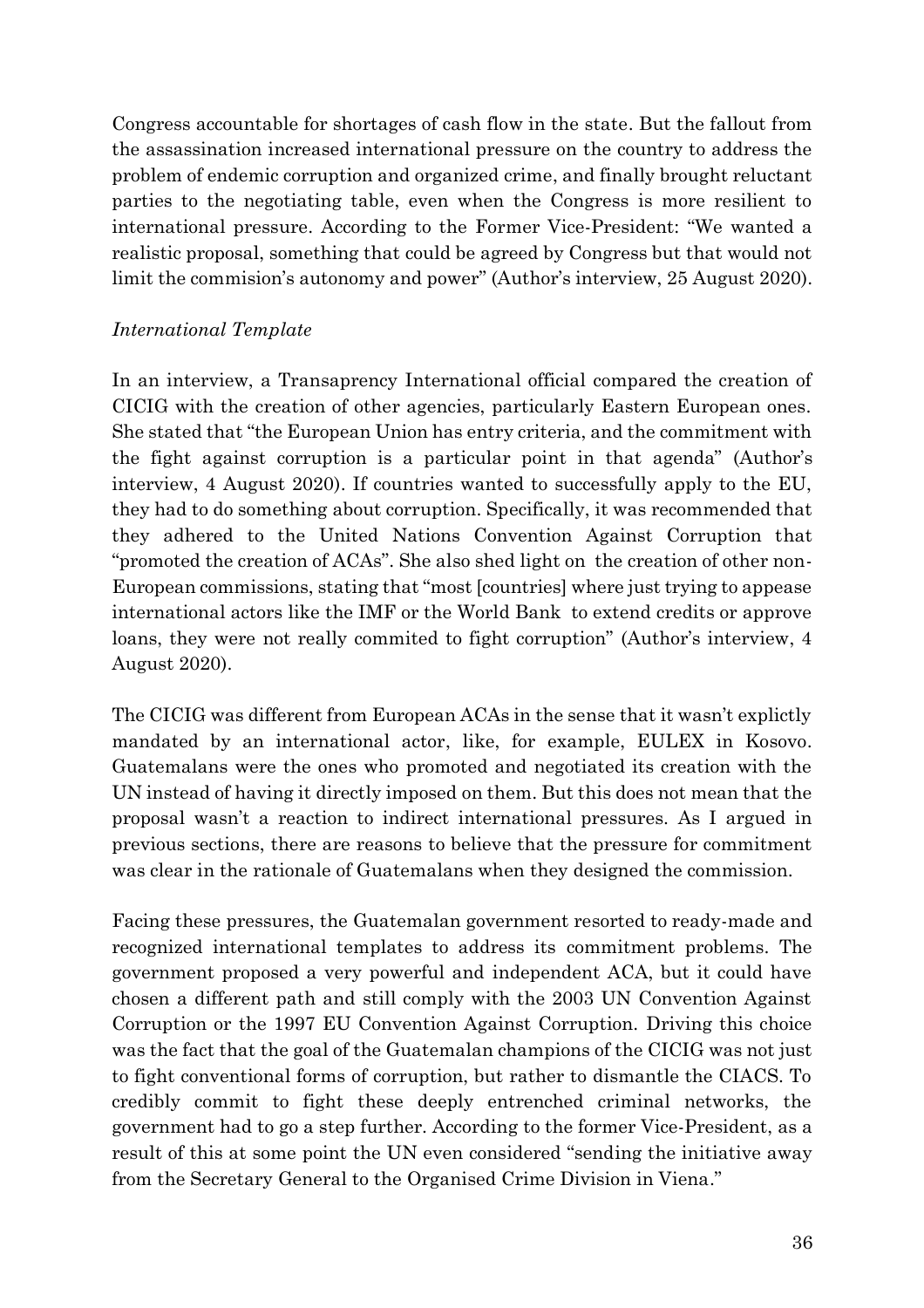Congress accountable for shortages of cash flow in the state. But the fallout from the assassination increased international pressure on the country to address the problem of endemic corruption and organized crime, and finally brought reluctant parties to the negotiating table, even when the Congress is more resilient to international pressure. According to the Former Vice-President: "We wanted a realistic proposal, something that could be agreed by Congress but that would not limit the commision's autonomy and power" (Author's interview, 25 August 2020).

### *International Template*

In an interview, a Transaprency International official compared the creation of CICIG with the creation of other agencies, particularly Eastern European ones. She stated that "the European Union has entry criteria, and the commitment with the fight against corruption is a particular point in that agenda" (Author's interview, 4 August 2020). If countries wanted to successfully apply to the EU, they had to do something about corruption. Specifically, it was recommended that they adhered to the United Nations Convention Against Corruption that "promoted the creation of ACAs". She also shed light on the creation of other non-European commissions, stating that "most [countries] where just trying to appease international actors like the IMF or the World Bank to extend credits or approve loans, they were not really commited to fight corruption" (Author's interview, 4 August 2020).

The CICIG was different from European ACAs in the sense that it wasn't explictly mandated by an international actor, like, for example, EULEX in Kosovo. Guatemalans were the ones who promoted and negotiated its creation with the UN instead of having it directly imposed on them. But this does not mean that the proposal wasn't a reaction to indirect international pressures. As I argued in previous sections, there are reasons to believe that the pressure for commitment was clear in the rationale of Guatemalans when they designed the commission.

Facing these pressures, the Guatemalan government resorted to ready-made and recognized international templates to address its commitment problems. The government proposed a very powerful and independent ACA, but it could have chosen a different path and still comply with the 2003 UN Convention Against Corruption or the 1997 EU Convention Against Corruption. Driving this choice was the fact that the goal of the Guatemalan champions of the CICIG was not just to fight conventional forms of corruption, but rather to dismantle the CIACS. To credibly commit to fight these deeply entrenched criminal networks, the government had to go a step further. According to the former Vice-President, as a result of this at some point the UN even considered "sending the initiative away from the Secretary General to the Organised Crime Division in Viena."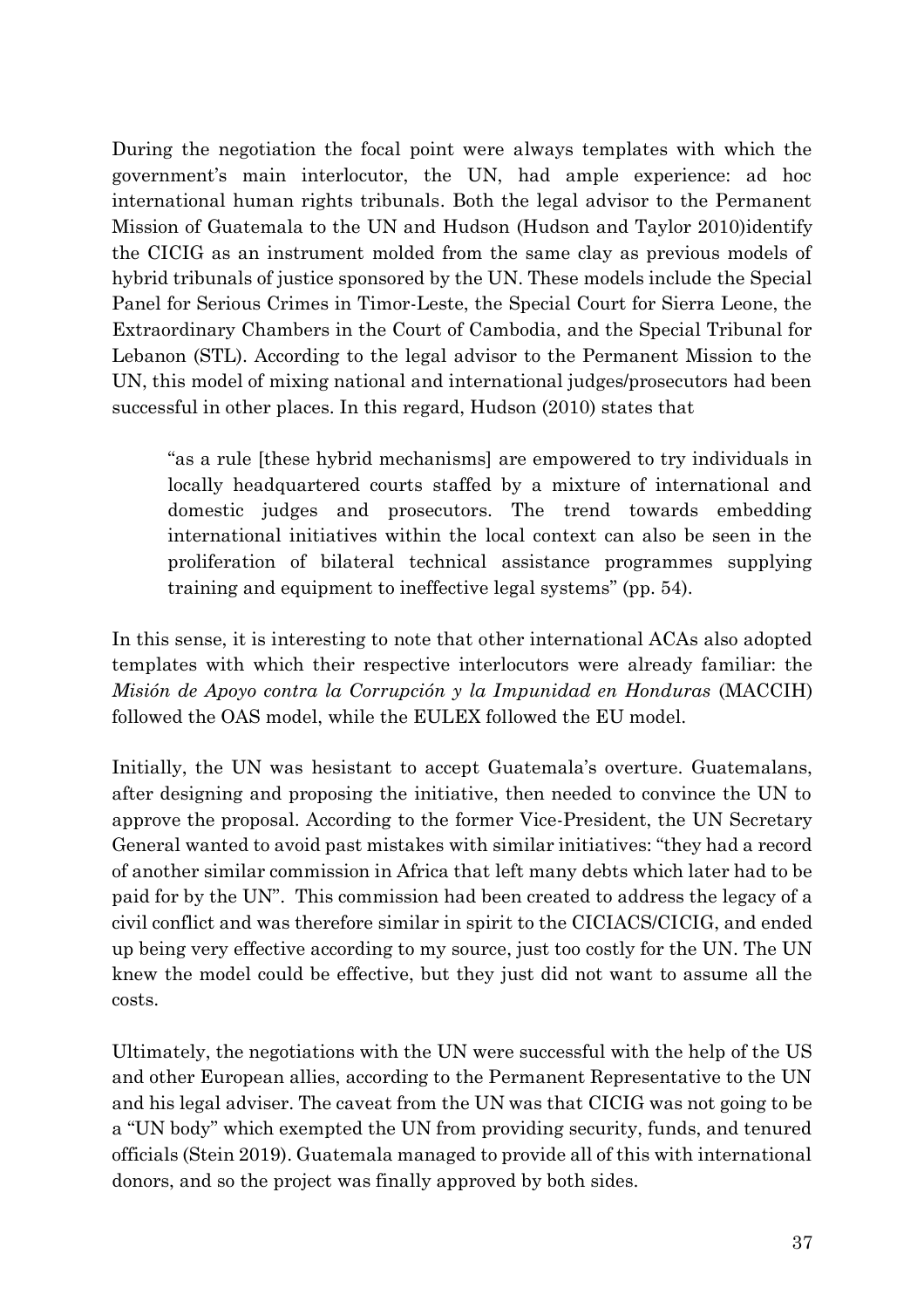During the negotiation the focal point were always templates with which the government's main interlocutor, the UN, had ample experience: ad hoc international human rights tribunals. Both the legal advisor to the Permanent Mission of Guatemala to the UN and Hudson (Hudson and Taylor 2010)identify the CICIG as an instrument molded from the same clay as previous models of hybrid tribunals of justice sponsored by the UN. These models include the Special Panel for Serious Crimes in Timor-Leste, the Special Court for Sierra Leone, the Extraordinary Chambers in the Court of Cambodia, and the Special Tribunal for Lebanon (STL). According to the legal advisor to the Permanent Mission to the UN, this model of mixing national and international judges/prosecutors had been successful in other places. In this regard, Hudson (2010) states that

"as a rule [these hybrid mechanisms] are empowered to try individuals in locally headquartered courts staffed by a mixture of international and domestic judges and prosecutors. The trend towards embedding international initiatives within the local context can also be seen in the proliferation of bilateral technical assistance programmes supplying training and equipment to ineffective legal systems" (pp. 54).

In this sense, it is interesting to note that other international ACAs also adopted templates with which their respective interlocutors were already familiar: the *Misión de Apoyo contra la Corrupción y la Impunidad en Honduras* (MACCIH) followed the OAS model, while the EULEX followed the EU model.

Initially, the UN was hesistant to accept Guatemala's overture. Guatemalans, after designing and proposing the initiative, then needed to convince the UN to approve the proposal. According to the former Vice-President, the UN Secretary General wanted to avoid past mistakes with similar initiatives: "they had a record of another similar commission in Africa that left many debts which later had to be paid for by the UN". This commission had been created to address the legacy of a civil conflict and was therefore similar in spirit to the CICIACS/CICIG, and ended up being very effective according to my source, just too costly for the UN. The UN knew the model could be effective, but they just did not want to assume all the costs.

Ultimately, the negotiations with the UN were successful with the help of the US and other European allies, according to the Permanent Representative to the UN and his legal adviser. The caveat from the UN was that CICIG was not going to be a "UN body" which exempted the UN from providing security, funds, and tenured officials (Stein 2019). Guatemala managed to provide all of this with international donors, and so the project was finally approved by both sides.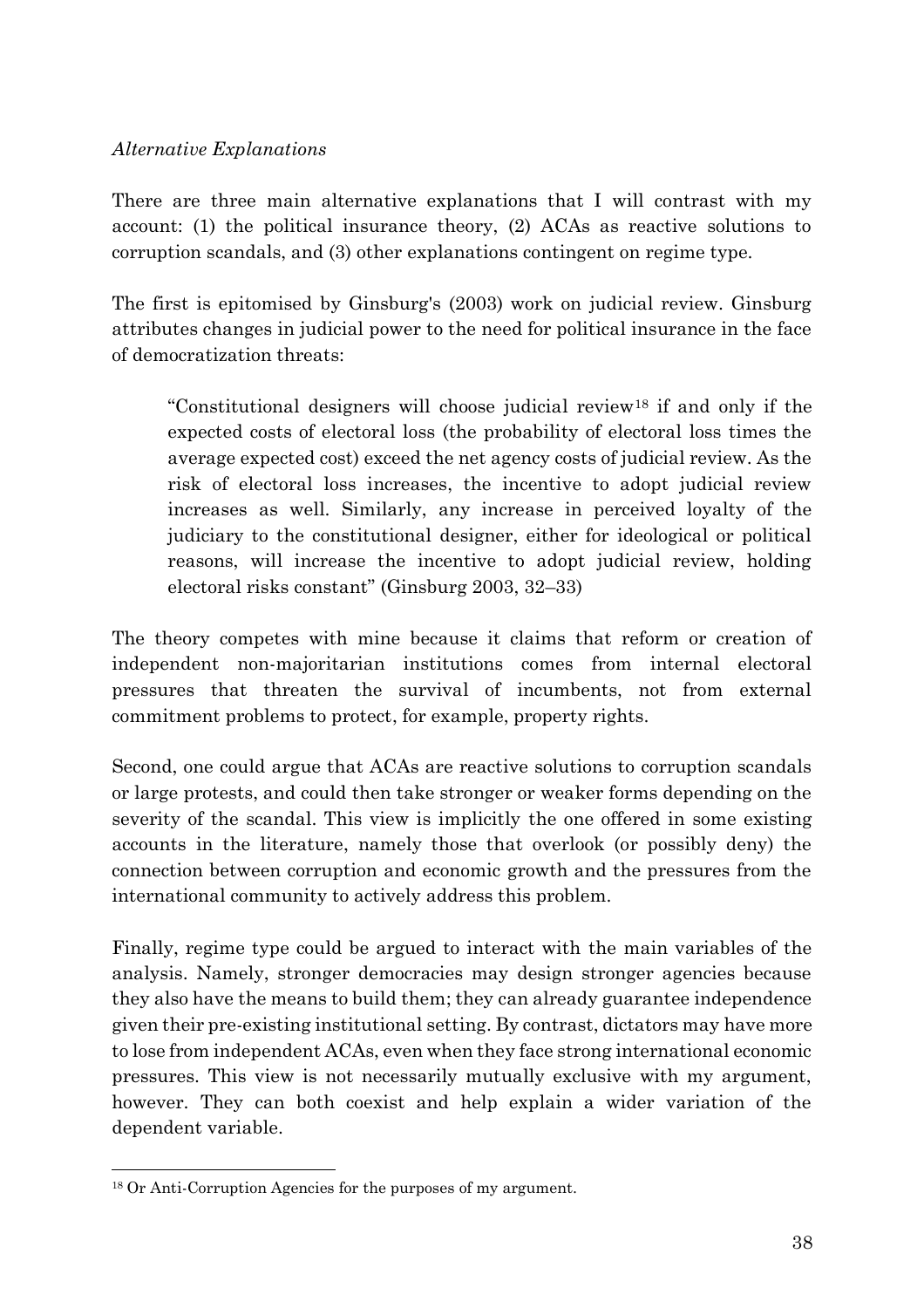### *Alternative Explanations*

There are three main alternative explanations that I will contrast with my account: (1) the political insurance theory, (2) ACAs as reactive solutions to corruption scandals, and (3) other explanations contingent on regime type.

The first is epitomised by Ginsburg's (2003) work on judicial review. Ginsburg attributes changes in judicial power to the need for political insurance in the face of democratization threats:

"Constitutional designers will choose judicial review<sup>18</sup> if and only if the expected costs of electoral loss (the probability of electoral loss times the average expected cost) exceed the net agency costs of judicial review. As the risk of electoral loss increases, the incentive to adopt judicial review increases as well. Similarly, any increase in perceived loyalty of the judiciary to the constitutional designer, either for ideological or political reasons, will increase the incentive to adopt judicial review, holding electoral risks constant" (Ginsburg 2003, 32–33)

The theory competes with mine because it claims that reform or creation of independent non-majoritarian institutions comes from internal electoral pressures that threaten the survival of incumbents, not from external commitment problems to protect, for example, property rights.

Second, one could argue that ACAs are reactive solutions to corruption scandals or large protests, and could then take stronger or weaker forms depending on the severity of the scandal. This view is implicitly the one offered in some existing accounts in the literature, namely those that overlook (or possibly deny) the connection between corruption and economic growth and the pressures from the international community to actively address this problem.

Finally, regime type could be argued to interact with the main variables of the analysis. Namely, stronger democracies may design stronger agencies because they also have the means to build them; they can already guarantee independence given their pre-existing institutional setting. By contrast, dictators may have more to lose from independent ACAs, even when they face strong international economic pressures. This view is not necessarily mutually exclusive with my argument, however. They can both coexist and help explain a wider variation of the dependent variable.

<sup>18</sup> Or Anti-Corruption Agencies for the purposes of my argument.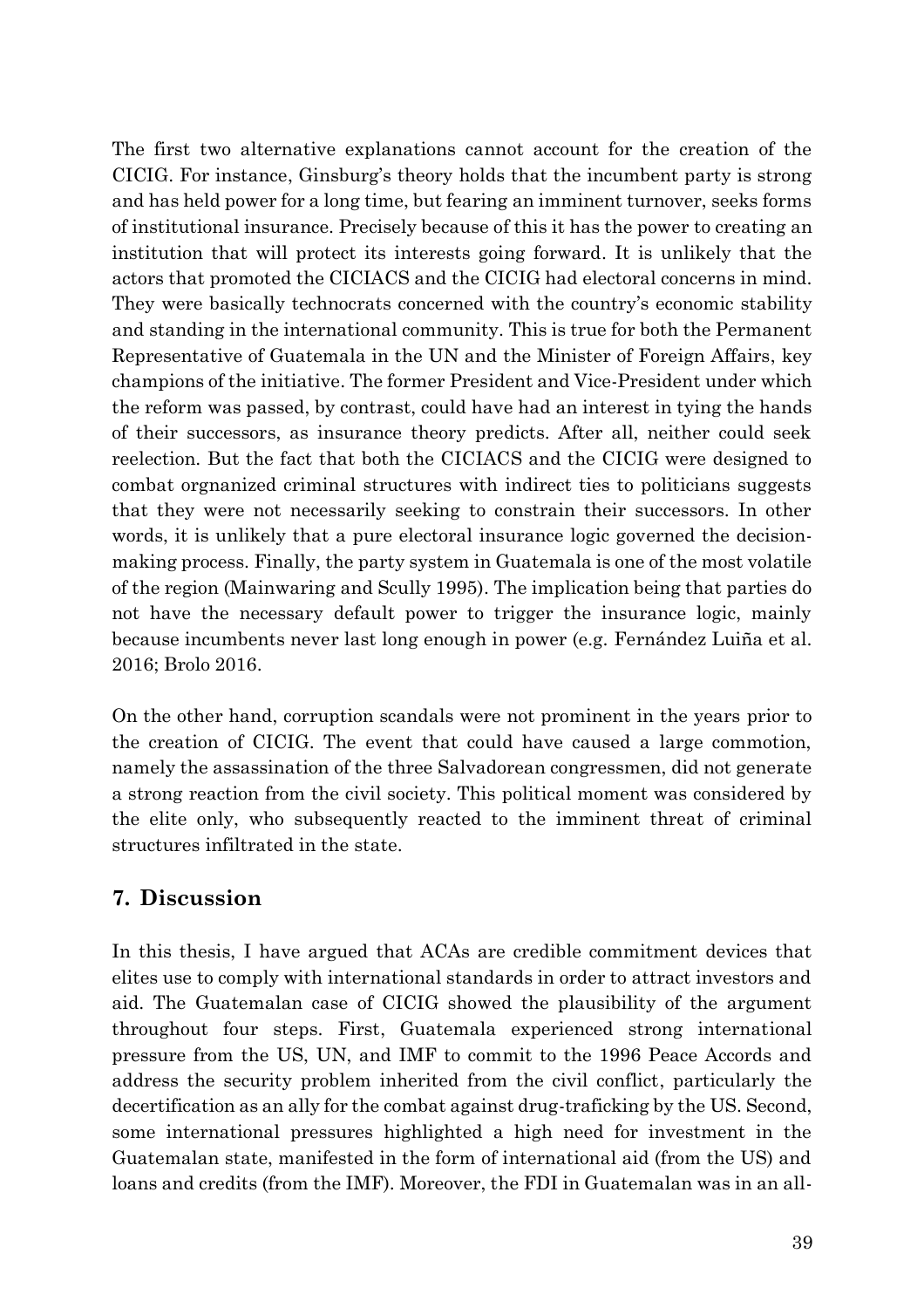The first two alternative explanations cannot account for the creation of the CICIG. For instance, Ginsburg's theory holds that the incumbent party is strong and has held power for a long time, but fearing an imminent turnover, seeks forms of institutional insurance. Precisely because of this it has the power to creating an institution that will protect its interests going forward. It is unlikely that the actors that promoted the CICIACS and the CICIG had electoral concerns in mind. They were basically technocrats concerned with the country's economic stability and standing in the international community. This is true for both the Permanent Representative of Guatemala in the UN and the Minister of Foreign Affairs, key champions of the initiative. The former President and Vice-President under which the reform was passed, by contrast, could have had an interest in tying the hands of their successors, as insurance theory predicts. After all, neither could seek reelection. But the fact that both the CICIACS and the CICIG were designed to combat orgnanized criminal structures with indirect ties to politicians suggests that they were not necessarily seeking to constrain their successors. In other words, it is unlikely that a pure electoral insurance logic governed the decisionmaking process. Finally, the party system in Guatemala is one of the most volatile of the region (Mainwaring and Scully 1995). The implication being that parties do not have the necessary default power to trigger the insurance logic, mainly because incumbents never last long enough in power (e.g. Fernández Luiña et al. 2016; Brolo 2016.

On the other hand, corruption scandals were not prominent in the years prior to the creation of CICIG. The event that could have caused a large commotion, namely the assassination of the three Salvadorean congressmen, did not generate a strong reaction from the civil society. This political moment was considered by the elite only, who subsequently reacted to the imminent threat of criminal structures infiltrated in the state.

# **7. Discussion**

In this thesis, I have argued that ACAs are credible commitment devices that elites use to comply with international standards in order to attract investors and aid. The Guatemalan case of CICIG showed the plausibility of the argument throughout four steps. First, Guatemala experienced strong international pressure from the US, UN, and IMF to commit to the 1996 Peace Accords and address the security problem inherited from the civil conflict, particularly the decertification as an ally for the combat against drug-traficking by the US. Second, some international pressures highlighted a high need for investment in the Guatemalan state, manifested in the form of international aid (from the US) and loans and credits (from the IMF). Moreover, the FDI in Guatemalan was in an all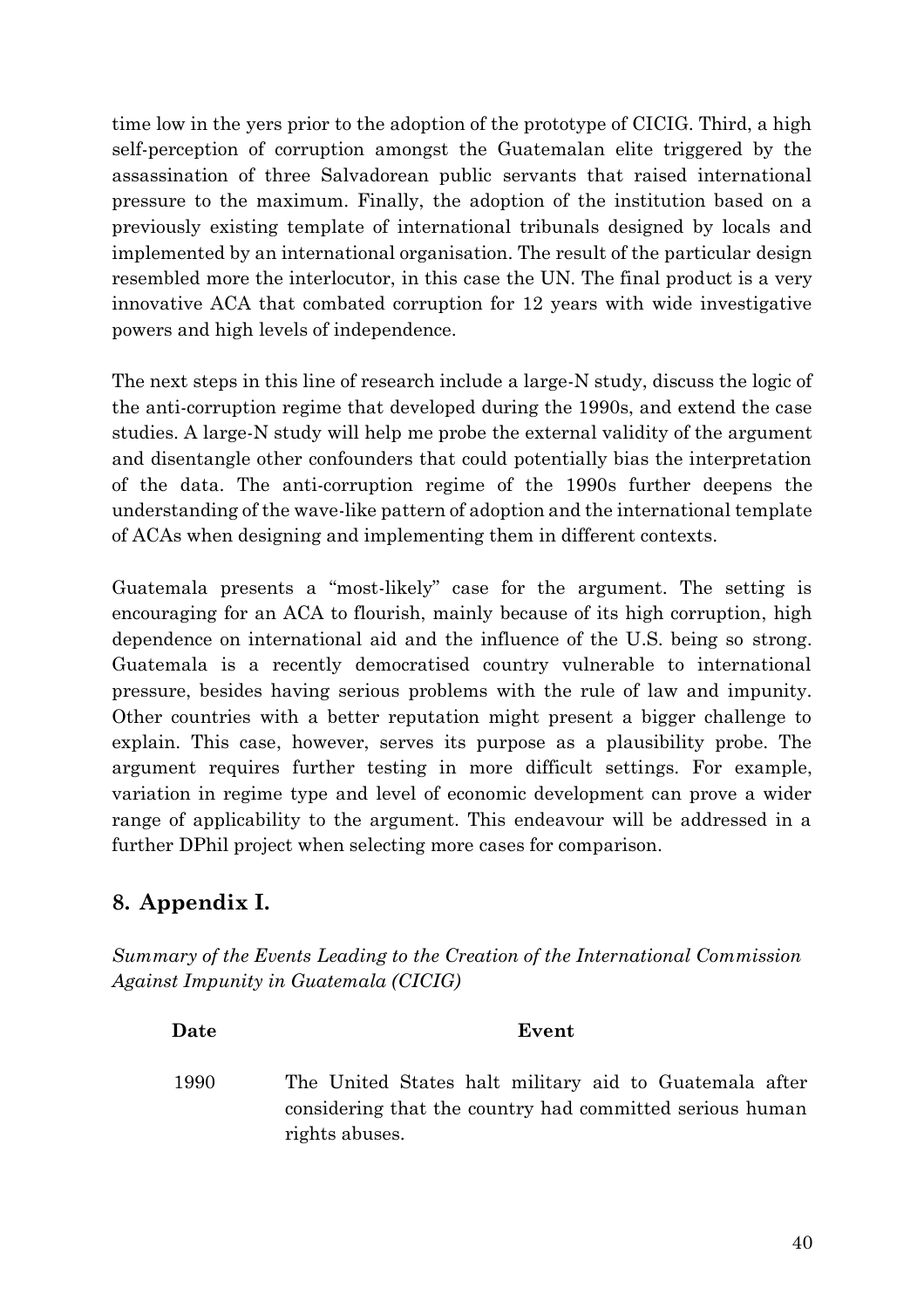time low in the yers prior to the adoption of the prototype of CICIG. Third, a high self-perception of corruption amongst the Guatemalan elite triggered by the assassination of three Salvadorean public servants that raised international pressure to the maximum. Finally, the adoption of the institution based on a previously existing template of international tribunals designed by locals and implemented by an international organisation. The result of the particular design resembled more the interlocutor, in this case the UN. The final product is a very innovative ACA that combated corruption for 12 years with wide investigative powers and high levels of independence.

The next steps in this line of research include a large-N study, discuss the logic of the anti-corruption regime that developed during the 1990s, and extend the case studies. A large-N study will help me probe the external validity of the argument and disentangle other confounders that could potentially bias the interpretation of the data. The anti-corruption regime of the 1990s further deepens the understanding of the wave-like pattern of adoption and the international template of ACAs when designing and implementing them in different contexts.

Guatemala presents a "most-likely" case for the argument. The setting is encouraging for an ACA to flourish, mainly because of its high corruption, high dependence on international aid and the influence of the U.S. being so strong. Guatemala is a recently democratised country vulnerable to international pressure, besides having serious problems with the rule of law and impunity. Other countries with a better reputation might present a bigger challenge to explain. This case, however, serves its purpose as a plausibility probe. The argument requires further testing in more difficult settings. For example, variation in regime type and level of economic development can prove a wider range of applicability to the argument. This endeavour will be addressed in a further DPhil project when selecting more cases for comparison.

# **8. Appendix I.**

*Summary of the Events Leading to the Creation of the International Commission Against Impunity in Guatemala (CICIG)*

| Event<br>Date                                                                                                                                |  |
|----------------------------------------------------------------------------------------------------------------------------------------------|--|
| The United States halt military aid to Guatemala after<br>1990<br>considering that the country had committed serious human<br>rights abuses. |  |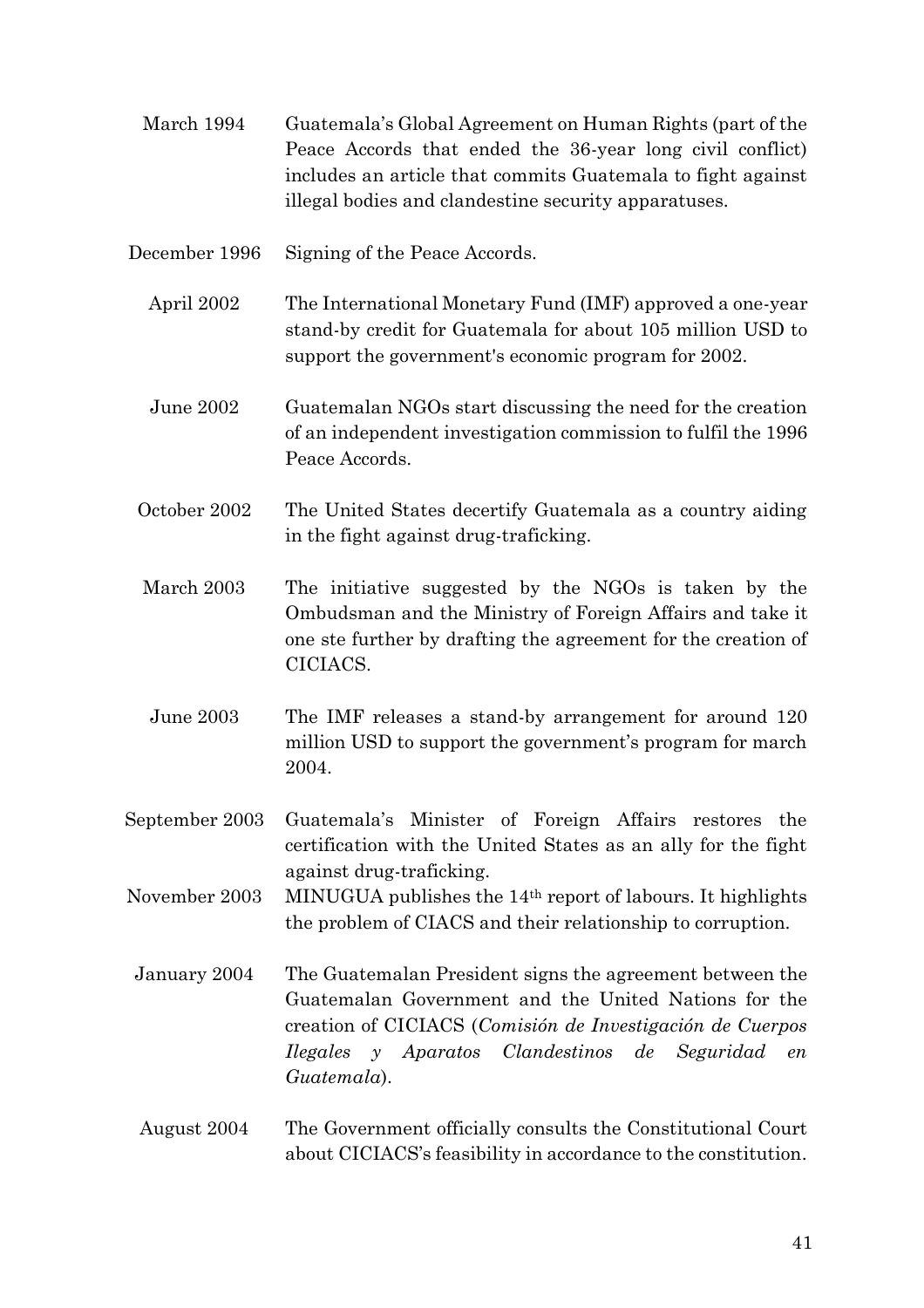- March 1994 Guatemala's Global Agreement on Human Rights (part of the Peace Accords that ended the 36-year long civil conflict) includes an article that commits Guatemala to fight against illegal bodies and clandestine security apparatuses.
- December 1996 Signing of the Peace Accords.
	- April 2002 The International Monetary Fund (IMF) approved a one-year stand-by credit for Guatemala for about 105 million USD to support the government's economic program for 2002.
	- June 2002 Guatemalan NGOs start discussing the need for the creation of an independent investigation commission to fulfil the 1996 Peace Accords.
	- October 2002 The United States decertify Guatemala as a country aiding in the fight against drug-traficking.
	- March 2003 The initiative suggested by the NGOs is taken by the Ombudsman and the Ministry of Foreign Affairs and take it one ste further by drafting the agreement for the creation of CICIACS.
	- June 2003 The IMF releases a stand-by arrangement for around 120 million USD to support the government's program for march 2004.
- September 2003 Guatemala's Minister of Foreign Affairs restores the certification with the United States as an ally for the fight against drug-traficking.
- November 2003 MINUGUA publishes the 14th report of labours. It highlights the problem of CIACS and their relationship to corruption.
- January 2004 The Guatemalan President signs the agreement between the Guatemalan Government and the United Nations for the creation of CICIACS (*Comisión de Investigación de Cuerpos Ilegales y Aparatos Clandestinos de Seguridad en Guatemala*).
- August 2004 The Government officially consults the Constitutional Court about CICIACS's feasibility in accordance to the constitution.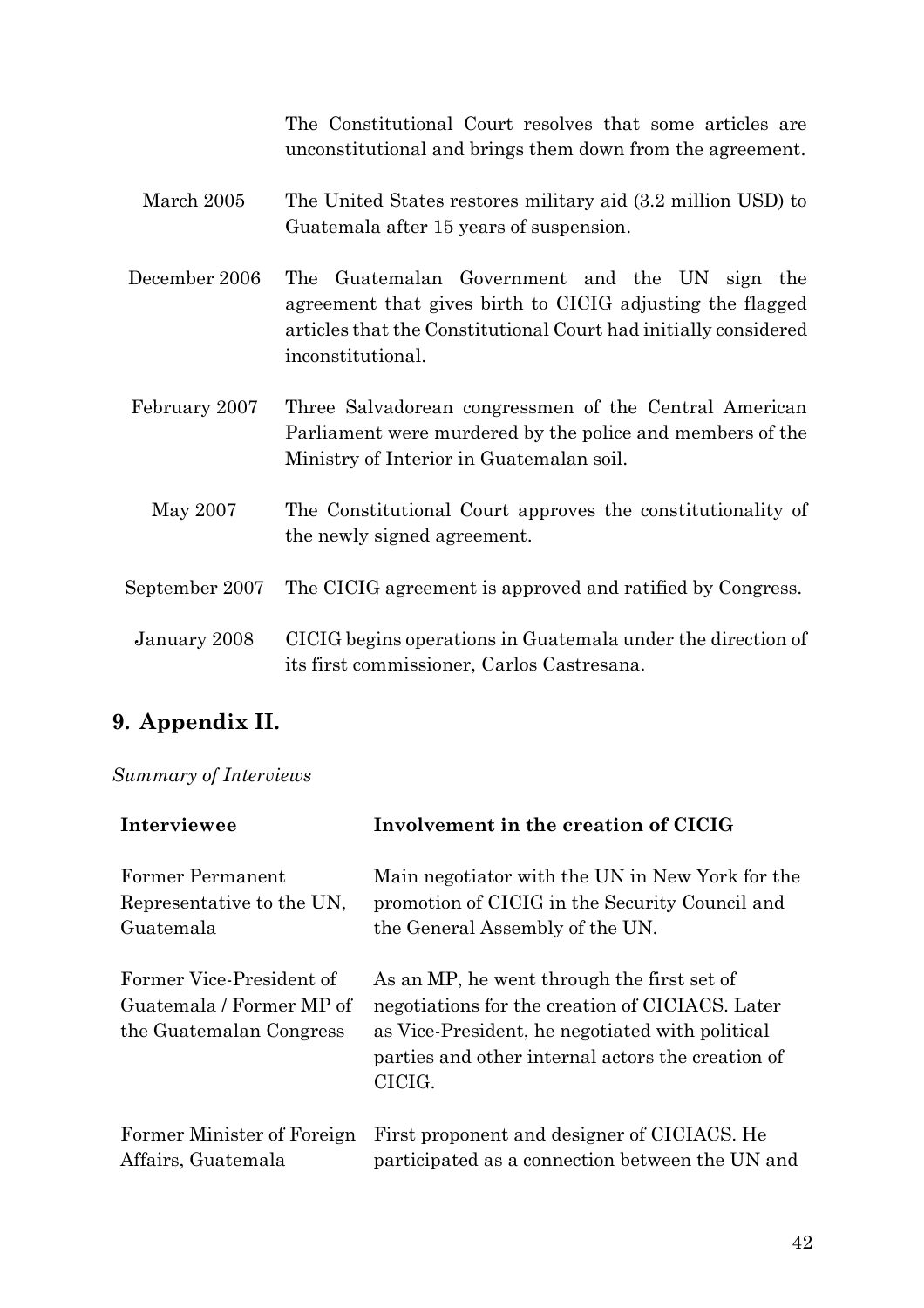The Constitutional Court resolves that some articles are unconstitutional and brings them down from the agreement.

- March 2005 The United States restores military aid (3.2 million USD) to Guatemala after 15 years of suspension.
- December 2006 The Guatemalan Government and the UN sign the agreement that gives birth to CICIG adjusting the flagged articles that the Constitutional Court had initially considered inconstitutional.
- February 2007 Three Salvadorean congressmen of the Central American Parliament were murdered by the police and members of the Ministry of Interior in Guatemalan soil.
- May 2007 The Constitutional Court approves the constitutionality of the newly signed agreement.
- September 2007 The CICIG agreement is approved and ratified by Congress.
- January 2008 CICIG begins operations in Guatemala under the direction of its first commissioner, Carlos Castresana.

# **9. Appendix II.**

### *Summary of Interviews*

| Interviewee                                                                     | Involvement in the creation of CICIG                                                                                                                                                                            |
|---------------------------------------------------------------------------------|-----------------------------------------------------------------------------------------------------------------------------------------------------------------------------------------------------------------|
| Former Permanent                                                                | Main negotiator with the UN in New York for the                                                                                                                                                                 |
| Representative to the UN,                                                       | promotion of CICIG in the Security Council and                                                                                                                                                                  |
| Guatemala                                                                       | the General Assembly of the UN.                                                                                                                                                                                 |
| Former Vice-President of<br>Guatemala / Former MP of<br>the Guatemalan Congress | As an MP, he went through the first set of<br>negotiations for the creation of CICIACS. Later<br>as Vice-President, he negotiated with political<br>parties and other internal actors the creation of<br>CICIG. |
| Former Minister of Foreign                                                      | First proponent and designer of CICIACS. He                                                                                                                                                                     |
| Affairs, Guatemala                                                              | participated as a connection between the UN and                                                                                                                                                                 |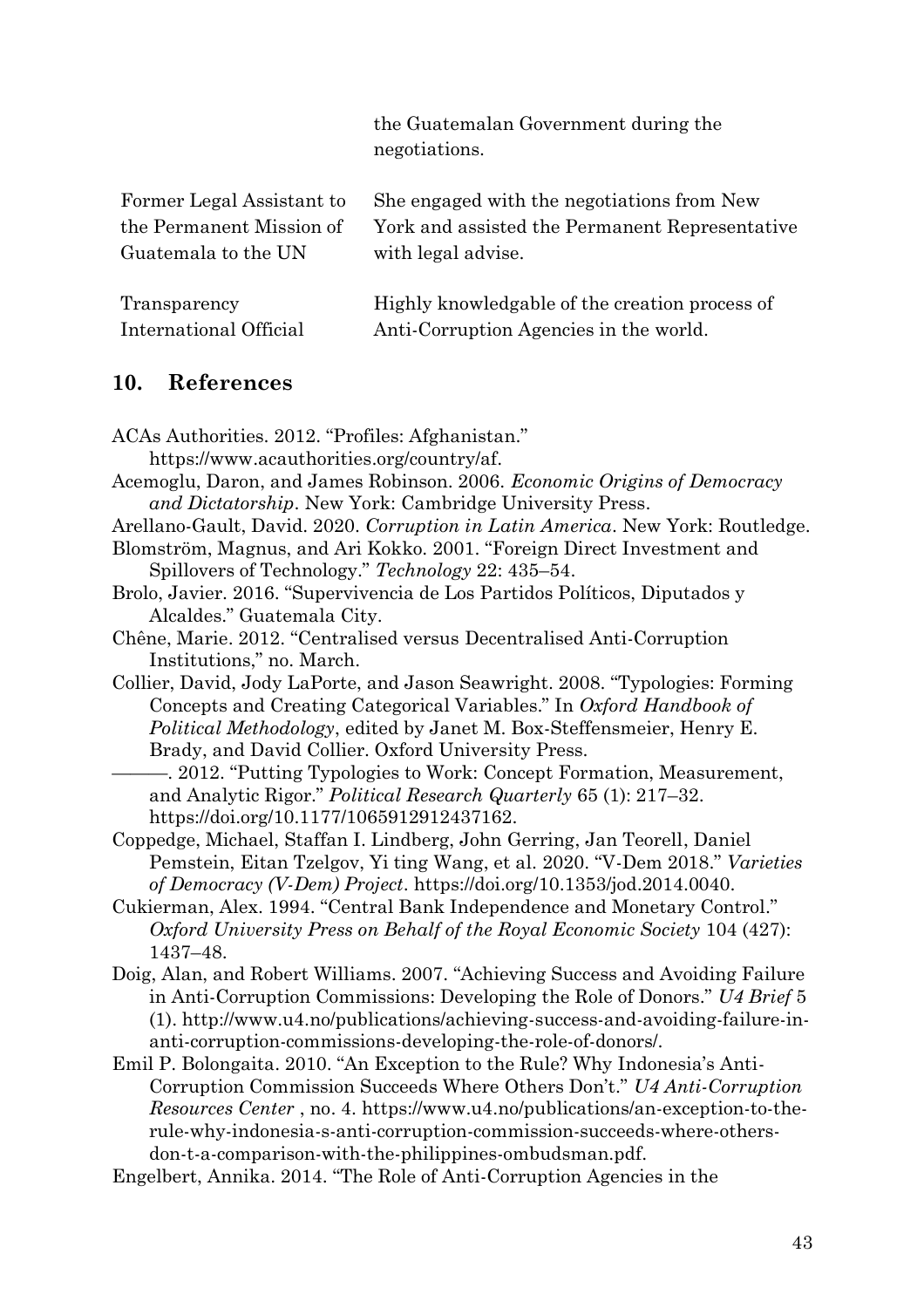the Guatemalan Government during the negotiations.

| Former Legal Assistant to | She engaged with the negotiations from New     |
|---------------------------|------------------------------------------------|
| the Permanent Mission of  | York and assisted the Permanent Representative |
| Guatemala to the UN       | with legal advise.                             |
|                           |                                                |
| $T_{12}$                  | $\mathbf{u}_{\text{in}}$                       |

| Transparency           | Highly knowledgable of the creation process of |
|------------------------|------------------------------------------------|
| International Official | Anti-Corruption Agencies in the world.         |

# **10. References**

| ACAs Authorities. 2012. "Profiles: Afghanistan."                               |
|--------------------------------------------------------------------------------|
| https://www.acauthorities.org/country/af.                                      |
| Acemoglu, Daron, and James Robinson. 2006. Economic Origins of Democracy       |
| and Dictatorship. New York: Cambridge University Press.                        |
| Arellano-Gault, David. 2020. Corruption in Latin America. New York: Routledge. |
| Blomström, Magnus, and Ari Kokko. 2001. "Foreign Direct Investment and         |
| Spillovers of Technology." Technology 22: 435–54.                              |
| Brolo, Javier. 2016. "Supervivencia de Los Partidos Políticos, Diputados y     |
| Alcaldes." Guatemala City.                                                     |
| Chêne, Marie. 2012. "Centralised versus Decentralised Anti-Corruption          |
| Institutions," no. March.                                                      |
| Collier, David, Jody LaPorte, and Jason Seawright. 2008. "Typologies: Forming  |
| Concepts and Creating Categorical Variables." In Oxford Handbook of            |
| Political Methodology, edited by Janet M. Box-Steffensmeier, Henry E.          |
| Brady, and David Collier. Oxford University Press.                             |
| -. 2012. "Putting Typologies to Work: Concept Formation, Measurement,          |
| and Analytic Rigor." Political Research Quarterly 65 (1): 217-32.              |
| https://doi.org/10.1177/1065912912437162.                                      |
| Coppedge, Michael, Staffan I. Lindberg, John Gerring, Jan Teorell, Daniel      |
| Pemstein, Eitan Tzelgov, Yi ting Wang, et al. 2020. "V-Dem 2018." Varieties    |
| of Democracy (V-Dem) Project. https://doi.org/10.1353/jod.2014.0040.           |
| Cukierman, Alex. 1994. "Central Bank Independence and Monetary Control."       |
| Oxford University Press on Behalf of the Royal Economic Society 104 (427):     |
| 1437-48.                                                                       |
| Doig, Alan, and Robert Williams. 2007. "Achieving Success and Avoiding Failure |
| in Anti-Corruption Commissions: Developing the Role of Donors." U4 Brief 5     |
| (1). http://www.u4.no/publications/achieving-success-and-avoiding-failure-in-  |
| anti-corruption-commissions-developing-the-role-of-donors/.                    |
| Emil P. Bolongaita. 2010. "An Exception to the Rule? Why Indonesia's Anti-     |
| Corruption Commission Succeeds Where Others Don't." U4 Anti-Corruption         |
| Resources Center, no. 4. https://www.u4.no/publications/an-exception-to-the-   |
| rule-why-indonesia-s-anti-corruption-commission-succeeds-where-others-         |
| don-t-a-comparison-with-the-philippines-ombudsman.pdf.                         |
| Engelbert, Annika. 2014. "The Role of Anti-Corruption Agencies in the          |
|                                                                                |
|                                                                                |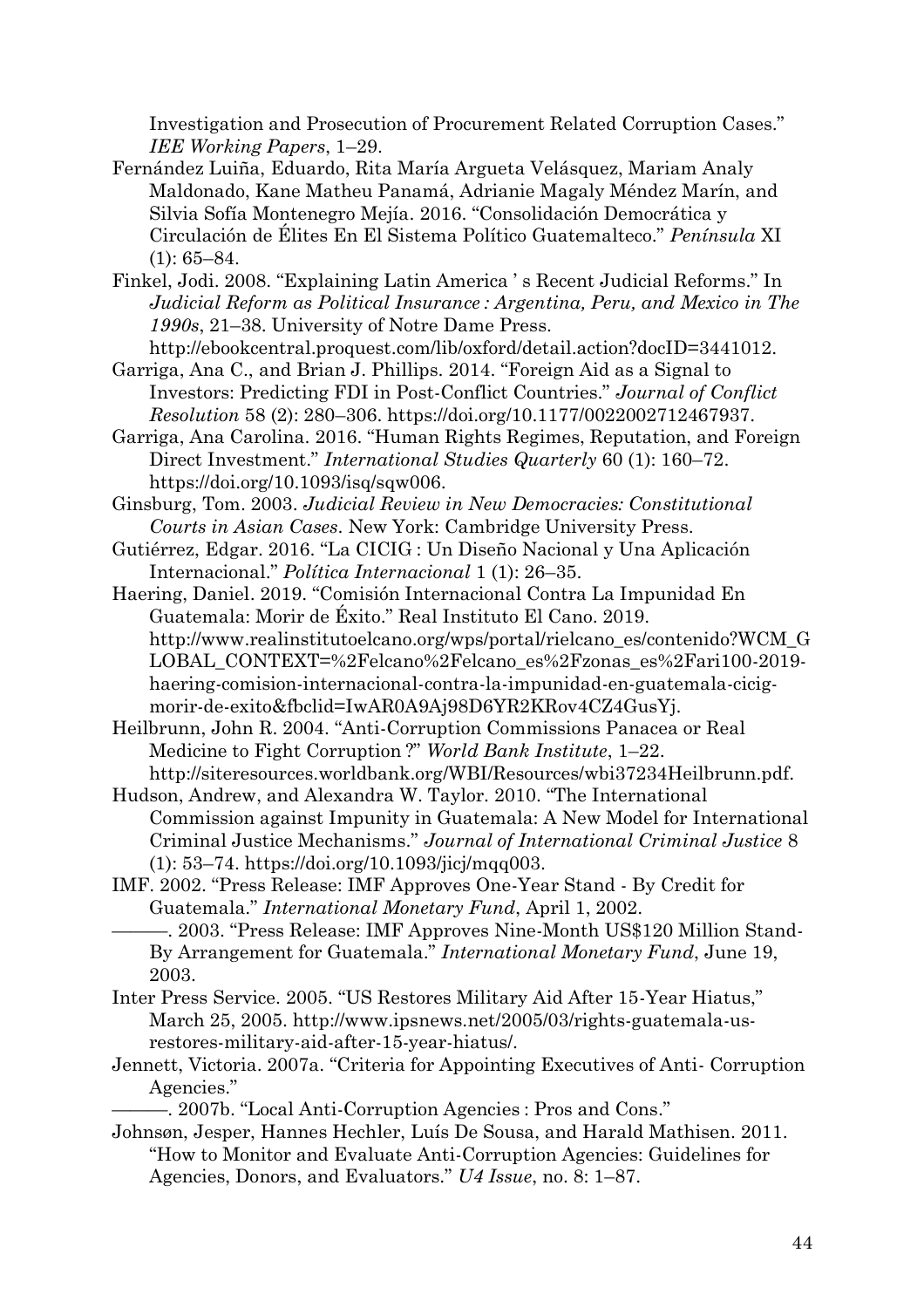Investigation and Prosecution of Procurement Related Corruption Cases." *IEE Working Papers*, 1–29.

- Fernández Luiña, Eduardo, Rita María Argueta Velásquez, Mariam Analy Maldonado, Kane Matheu Panamá, Adrianie Magaly Méndez Marín, and Silvia Sofía Montenegro Mejía. 2016. "Consolidación Democrática y Circulación de Élites En El Sistema Político Guatemalteco." *Península* XI  $(1): 65 - 84.$
- Finkel, Jodi. 2008. "Explaining Latin America ' s Recent Judicial Reforms." In *Judicial Reform as Political Insurance : Argentina, Peru, and Mexico in The 1990s*, 21–38. University of Notre Dame Press.

http://ebookcentral.proquest.com/lib/oxford/detail.action?docID=3441012.

- Garriga, Ana C., and Brian J. Phillips. 2014. "Foreign Aid as a Signal to Investors: Predicting FDI in Post-Conflict Countries." *Journal of Conflict Resolution* 58 (2): 280–306. https://doi.org/10.1177/0022002712467937.
- Garriga, Ana Carolina. 2016. "Human Rights Regimes, Reputation, and Foreign Direct Investment." *International Studies Quarterly* 60 (1): 160–72. https://doi.org/10.1093/isq/sqw006.
- Ginsburg, Tom. 2003. *Judicial Review in New Democracies: Constitutional Courts in Asian Cases*. New York: Cambridge University Press.
- Gutiérrez, Edgar. 2016. "La CICIG : Un Diseño Nacional y Una Aplicación Internacional." *Política Internacional* 1 (1): 26–35.
- Haering, Daniel. 2019. "Comisión Internacional Contra La Impunidad En Guatemala: Morir de Éxito." Real Instituto El Cano. 2019. http://www.realinstitutoelcano.org/wps/portal/rielcano\_es/contenido?WCM\_G LOBAL\_CONTEXT=%2Felcano%2Felcano\_es%2Fzonas\_es%2Fari100-2019haering-comision-internacional-contra-la-impunidad-en-guatemala-cicigmorir-de-exito&fbclid=IwAR0A9Aj98D6YR2KRov4CZ4GusYj.
- Heilbrunn, John R. 2004. "Anti-Corruption Commissions Panacea or Real Medicine to Fight Corruption ?" *World Bank Institute*, 1–22. http://siteresources.worldbank.org/WBI/Resources/wbi37234Heilbrunn.pdf.
- Hudson, Andrew, and Alexandra W. Taylor. 2010. "The International Commission against Impunity in Guatemala: A New Model for International Criminal Justice Mechanisms." *Journal of International Criminal Justice* 8 (1): 53–74. https://doi.org/10.1093/jicj/mqq003.
- IMF. 2002. "Press Release: IMF Approves One-Year Stand By Credit for Guatemala." *International Monetary Fund*, April 1, 2002.
- ———. 2003. "Press Release: IMF Approves Nine-Month US\$120 Million Stand-By Arrangement for Guatemala." *International Monetary Fund*, June 19, 2003.
- Inter Press Service. 2005. "US Restores Military Aid After 15-Year Hiatus," March 25, 2005. http://www.ipsnews.net/2005/03/rights-guatemala-usrestores-military-aid-after-15-year-hiatus/.
- Jennett, Victoria. 2007a. "Criteria for Appointing Executives of Anti- Corruption Agencies."

———. 2007b. "Local Anti-Corruption Agencies : Pros and Cons."

Johnsøn, Jesper, Hannes Hechler, Luís De Sousa, and Harald Mathisen. 2011. "How to Monitor and Evaluate Anti-Corruption Agencies: Guidelines for Agencies, Donors, and Evaluators." *U4 Issue*, no. 8: 1–87.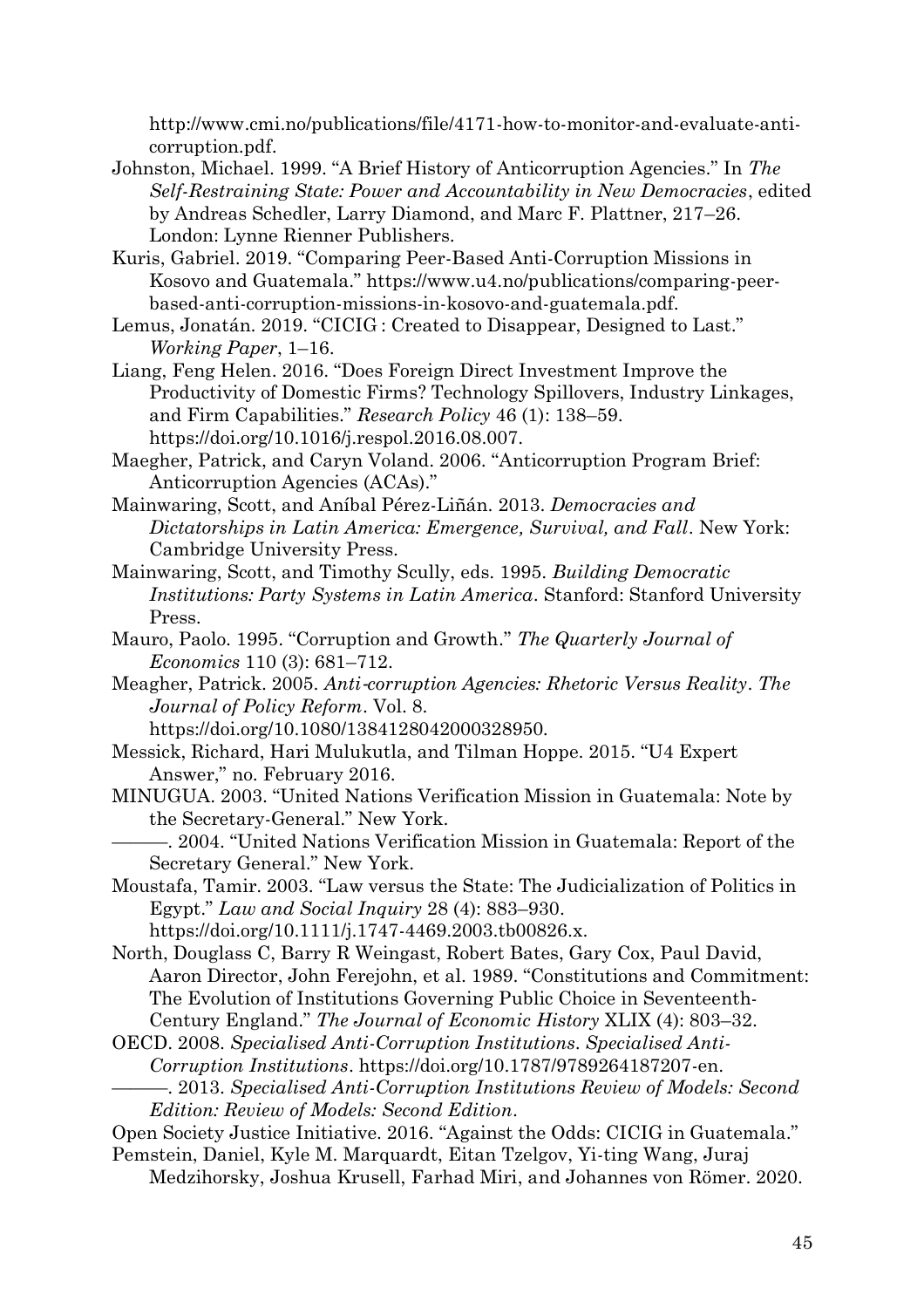http://www.cmi.no/publications/file/4171-how-to-monitor-and-evaluate-anticorruption.pdf.

- Johnston, Michael. 1999. "A Brief History of Anticorruption Agencies." In *The Self-Restraining State: Power and Accountability in New Democracies*, edited by Andreas Schedler, Larry Diamond, and Marc F. Plattner, 217–26. London: Lynne Rienner Publishers.
- Kuris, Gabriel. 2019. "Comparing Peer-Based Anti-Corruption Missions in Kosovo and Guatemala." https://www.u4.no/publications/comparing-peerbased-anti-corruption-missions-in-kosovo-and-guatemala.pdf.
- Lemus, Jonatán. 2019. "CICIG : Created to Disappear, Designed to Last." *Working Paper*, 1–16.
- Liang, Feng Helen. 2016. "Does Foreign Direct Investment Improve the Productivity of Domestic Firms? Technology Spillovers, Industry Linkages, and Firm Capabilities." *Research Policy* 46 (1): 138–59. https://doi.org/10.1016/j.respol.2016.08.007.
- Maegher, Patrick, and Caryn Voland. 2006. "Anticorruption Program Brief: Anticorruption Agencies (ACAs)."
- Mainwaring, Scott, and Aníbal Pérez-Liñán. 2013. *Democracies and Dictatorships in Latin America: Emergence, Survival, and Fall*. New York: Cambridge University Press.
- Mainwaring, Scott, and Timothy Scully, eds. 1995. *Building Democratic Institutions: Party Systems in Latin America*. Stanford: Stanford University Press.
- Mauro, Paolo. 1995. "Corruption and Growth." *The Quarterly Journal of Economics* 110 (3): 681–712.
- Meagher, Patrick. 2005. *Anti*‐*corruption Agencies: Rhetoric Versus Reality*. *The Journal of Policy Reform*. Vol. 8.

- Messick, Richard, Hari Mulukutla, and Tilman Hoppe. 2015. "U4 Expert Answer," no. February 2016.
- MINUGUA. 2003. "United Nations Verification Mission in Guatemala: Note by the Secretary-General." New York.

———. 2004. "United Nations Verification Mission in Guatemala: Report of the Secretary General." New York.

Moustafa, Tamir. 2003. "Law versus the State: The Judicialization of Politics in Egypt." *Law and Social Inquiry* 28 (4): 883–930. https://doi.org/10.1111/j.1747-4469.2003.tb00826.x.

North, Douglass C, Barry R Weingast, Robert Bates, Gary Cox, Paul David, Aaron Director, John Ferejohn, et al. 1989. "Constitutions and Commitment: The Evolution of Institutions Governing Public Choice in Seventeenth-Century England." *The Journal of Economic History* XLIX (4): 803–32.

OECD. 2008. *Specialised Anti-Corruption Institutions*. *Specialised Anti-Corruption Institutions*. https://doi.org/10.1787/9789264187207-en. ———. 2013. *Specialised Anti-Corruption Institutions Review of Models: Second Edition: Review of Models: Second Edition*.

Open Society Justice Initiative. 2016. "Against the Odds: CICIG in Guatemala." Pemstein, Daniel, Kyle M. Marquardt, Eitan Tzelgov, Yi-ting Wang, Juraj

https://doi.org/10.1080/1384128042000328950.

Medzihorsky, Joshua Krusell, Farhad Miri, and Johannes von Römer. 2020.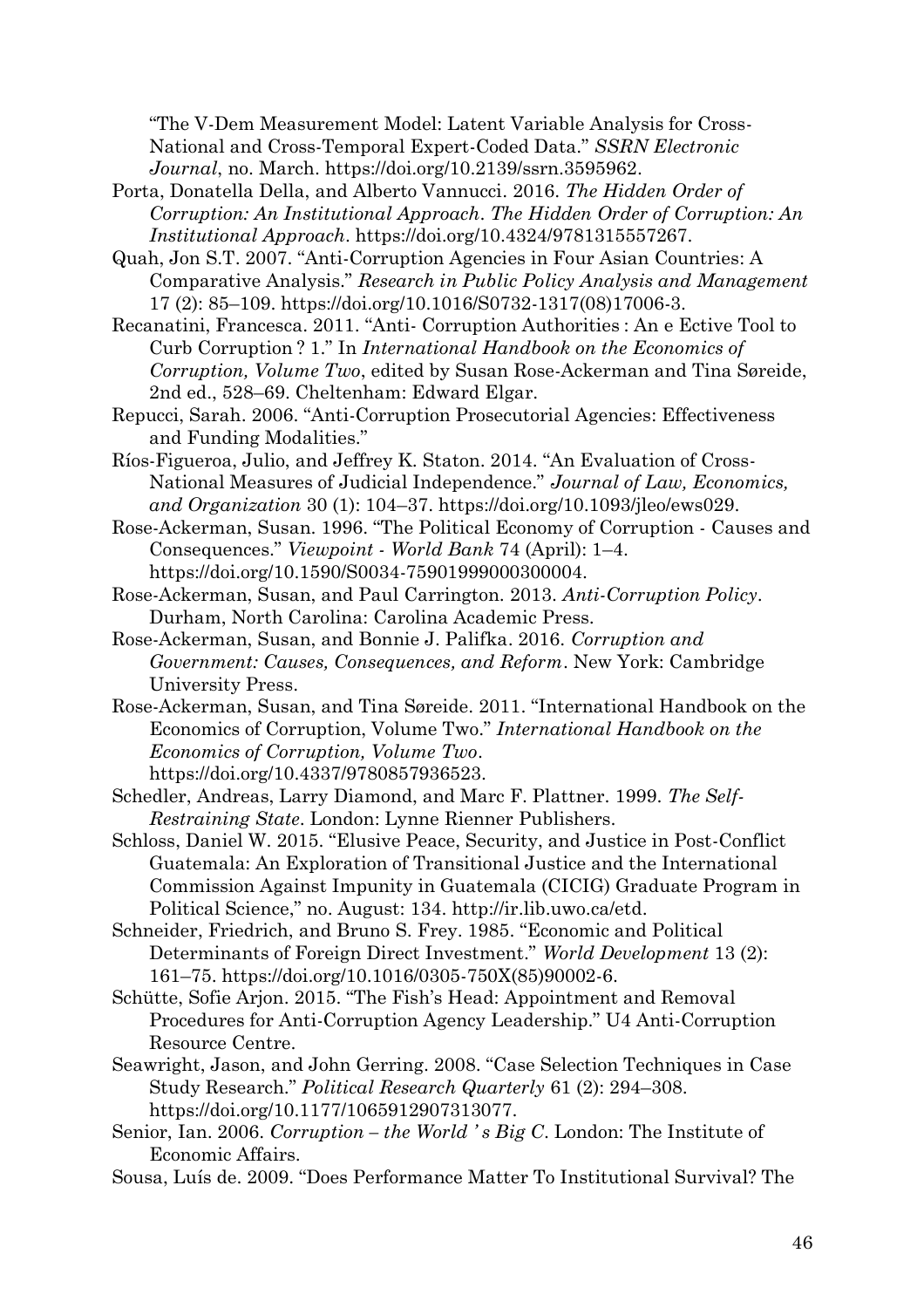"The V-Dem Measurement Model: Latent Variable Analysis for Cross-National and Cross-Temporal Expert-Coded Data." *SSRN Electronic Journal*, no. March. https://doi.org/10.2139/ssrn.3595962.

- Porta, Donatella Della, and Alberto Vannucci. 2016. *The Hidden Order of Corruption: An Institutional Approach*. *The Hidden Order of Corruption: An Institutional Approach*. https://doi.org/10.4324/9781315557267.
- Quah, Jon S.T. 2007. "Anti-Corruption Agencies in Four Asian Countries: A Comparative Analysis." *Research in Public Policy Analysis and Management* 17 (2): 85–109. https://doi.org/10.1016/S0732-1317(08)17006-3.
- Recanatini, Francesca. 2011. "Anti- Corruption Authorities : An e Ective Tool to Curb Corruption ? 1." In *International Handbook on the Economics of Corruption, Volume Two*, edited by Susan Rose-Ackerman and Tina Søreide, 2nd ed., 528–69. Cheltenham: Edward Elgar.
- Repucci, Sarah. 2006. "Anti-Corruption Prosecutorial Agencies: Effectiveness and Funding Modalities."
- Ríos-Figueroa, Julio, and Jeffrey K. Staton. 2014. "An Evaluation of Cross-National Measures of Judicial Independence." *Journal of Law, Economics, and Organization* 30 (1): 104–37. https://doi.org/10.1093/jleo/ews029.
- Rose-Ackerman, Susan. 1996. "The Political Economy of Corruption Causes and Consequences." *Viewpoint - World Bank* 74 (April): 1–4. https://doi.org/10.1590/S0034-75901999000300004.
- Rose-Ackerman, Susan, and Paul Carrington. 2013. *Anti-Corruption Policy*. Durham, North Carolina: Carolina Academic Press.
- Rose-Ackerman, Susan, and Bonnie J. Palifka. 2016. *Corruption and Government: Causes, Consequences, and Reform*. New York: Cambridge University Press.
- Rose-Ackerman, Susan, and Tina Søreide. 2011. "International Handbook on the Economics of Corruption, Volume Two." *International Handbook on the Economics of Corruption, Volume Two*. https://doi.org/10.4337/9780857936523.
- Schedler, Andreas, Larry Diamond, and Marc F. Plattner. 1999. *The Self-Restraining State*. London: Lynne Rienner Publishers.
- Schloss, Daniel W. 2015. "Elusive Peace, Security, and Justice in Post-Conflict Guatemala: An Exploration of Transitional Justice and the International Commission Against Impunity in Guatemala (CICIG) Graduate Program in Political Science," no. August: 134. http://ir.lib.uwo.ca/etd.
- Schneider, Friedrich, and Bruno S. Frey. 1985. "Economic and Political Determinants of Foreign Direct Investment." *World Development* 13 (2): 161–75. https://doi.org/10.1016/0305-750X(85)90002-6.
- Schütte, Sofie Arjon. 2015. "The Fish's Head: Appointment and Removal Procedures for Anti-Corruption Agency Leadership." U4 Anti-Corruption Resource Centre.
- Seawright, Jason, and John Gerring. 2008. "Case Selection Techniques in Case Study Research." *Political Research Quarterly* 61 (2): 294–308. https://doi.org/10.1177/1065912907313077.
- Senior, Ian. 2006. *Corruption the World 's Big C*. London: The Institute of Economic Affairs.
- Sousa, Luís de. 2009. "Does Performance Matter To Institutional Survival? The